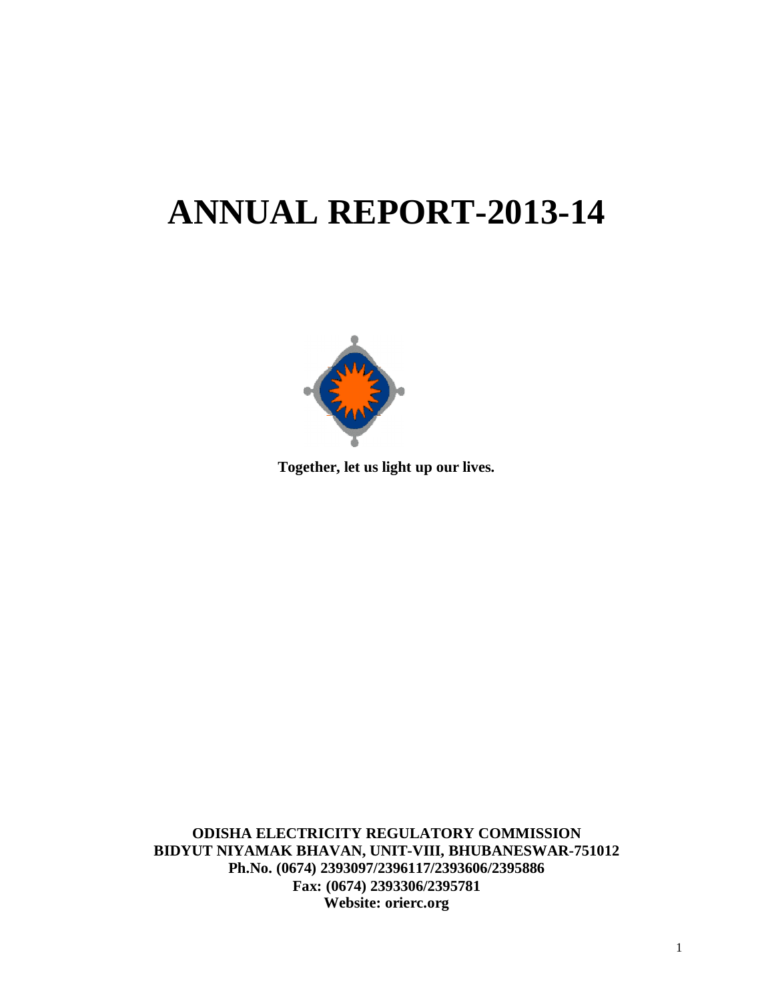# **ANNUAL REPORT-2013-14**



**Together, let us light up our lives.**

**ODISHA ELECTRICITY REGULATORY COMMISSION BIDYUT NIYAMAK BHAVAN, UNIT-VIII, BHUBANESWAR-751012 Ph.No. (0674) 2393097/2396117/2393606/2395886 Fax: (0674) 2393306/2395781 Website: orierc.org**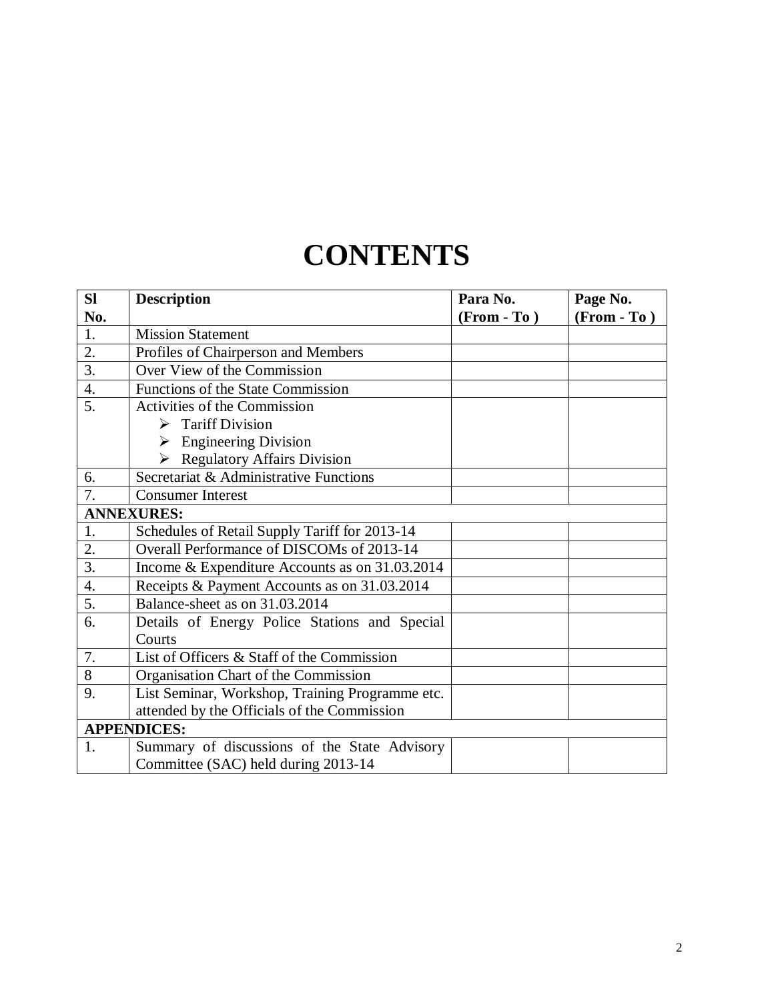## **CONTENTS**

| SI               | <b>Description</b>                              | Para No.      | Page No.      |
|------------------|-------------------------------------------------|---------------|---------------|
| No.              |                                                 | $(From - To)$ | $(From - To)$ |
| 1.               | <b>Mission Statement</b>                        |               |               |
| 2.               | Profiles of Chairperson and Members             |               |               |
| $\overline{3}$ . | Over View of the Commission                     |               |               |
| 4.               | Functions of the State Commission               |               |               |
| $\overline{5}$ . | Activities of the Commission                    |               |               |
|                  | <b>Tariff Division</b>                          |               |               |
|                  | $\triangleright$ Engineering Division           |               |               |
|                  | > Regulatory Affairs Division                   |               |               |
| 6.               | Secretariat & Administrative Functions          |               |               |
| $\overline{7}$ . | <b>Consumer Interest</b>                        |               |               |
|                  | <b>ANNEXURES:</b>                               |               |               |
| 1.               | Schedules of Retail Supply Tariff for 2013-14   |               |               |
| 2.               | Overall Performance of DISCOMs of 2013-14       |               |               |
| 3.               | Income & Expenditure Accounts as on 31.03.2014  |               |               |
| $\overline{4}$ . | Receipts & Payment Accounts as on 31.03.2014    |               |               |
| 5.               | Balance-sheet as on 31.03.2014                  |               |               |
| 6.               | Details of Energy Police Stations and Special   |               |               |
|                  | Courts                                          |               |               |
| 7.               | List of Officers & Staff of the Commission      |               |               |
| 8                | Organisation Chart of the Commission            |               |               |
| 9.               | List Seminar, Workshop, Training Programme etc. |               |               |
|                  | attended by the Officials of the Commission     |               |               |
|                  | <b>APPENDICES:</b>                              |               |               |
| 1.               | Summary of discussions of the State Advisory    |               |               |
|                  | Committee (SAC) held during 2013-14             |               |               |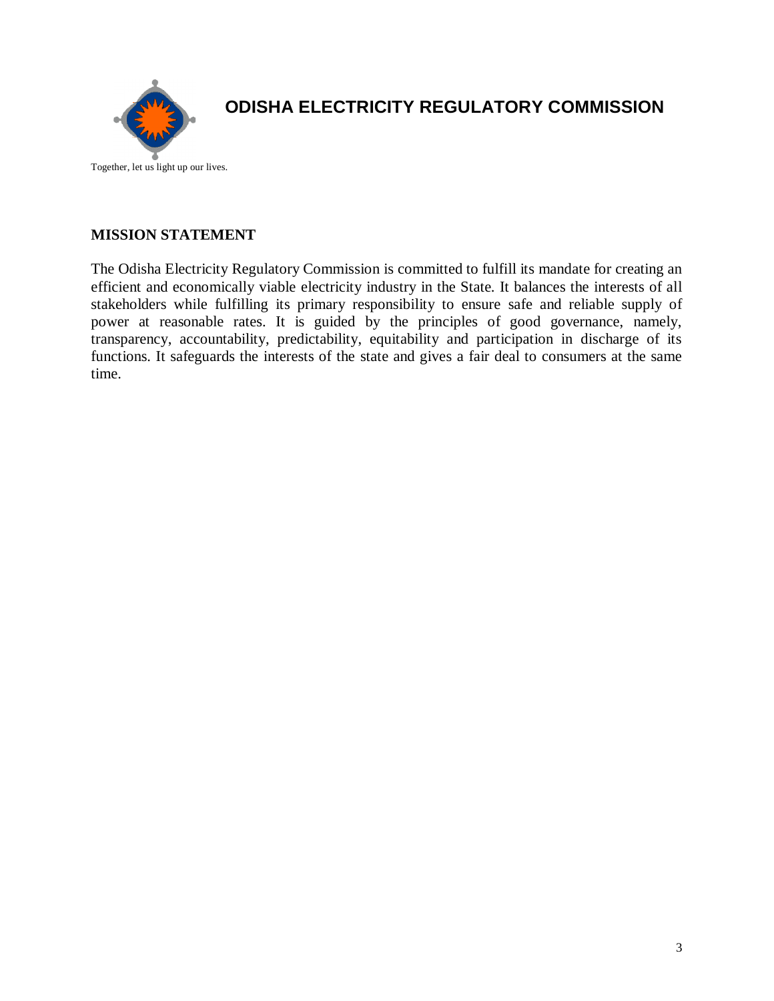

## **ODISHA ELECTRICITY REGULATORY COMMISSION**

Together, let us light up our lives.

#### **MISSION STATEMENT**

The Odisha Electricity Regulatory Commission is committed to fulfill its mandate for creating an efficient and economically viable electricity industry in the State. It balances the interests of all stakeholders while fulfilling its primary responsibility to ensure safe and reliable supply of power at reasonable rates. It is guided by the principles of good governance, namely, transparency, accountability, predictability, equitability and participation in discharge of its functions. It safeguards the interests of the state and gives a fair deal to consumers at the same time.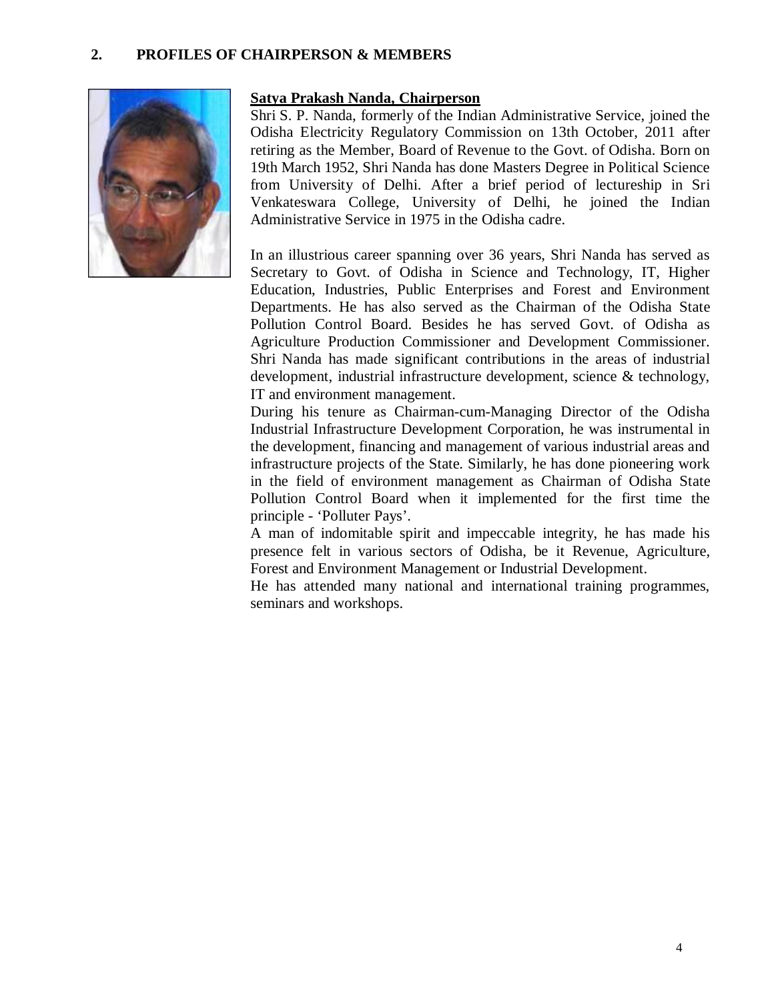#### **2. PROFILES OF CHAIRPERSON & MEMBERS**



#### **Satya Prakash Nanda, Chairperson**

Shri S. P. Nanda, formerly of the Indian Administrative Service, joined the Odisha Electricity Regulatory Commission on 13th October, 2011 after retiring as the Member, Board of Revenue to the Govt. of Odisha. Born on 19th March 1952, Shri Nanda has done Masters Degree in Political Science from University of Delhi. After a brief period of lectureship in Sri Venkateswara College, University of Delhi, he joined the Indian Administrative Service in 1975 in the Odisha cadre.

In an illustrious career spanning over 36 years, Shri Nanda has served as Secretary to Govt. of Odisha in Science and Technology, IT, Higher Education, Industries, Public Enterprises and Forest and Environment Departments. He has also served as the Chairman of the Odisha State Pollution Control Board. Besides he has served Govt. of Odisha as Agriculture Production Commissioner and Development Commissioner. Shri Nanda has made significant contributions in the areas of industrial development, industrial infrastructure development, science & technology, IT and environment management.

During his tenure as Chairman-cum-Managing Director of the Odisha Industrial Infrastructure Development Corporation, he was instrumental in the development, financing and management of various industrial areas and infrastructure projects of the State. Similarly, he has done pioneering work in the field of environment management as Chairman of Odisha State Pollution Control Board when it implemented for the first time the principle - 'Polluter Pays'.

A man of indomitable spirit and impeccable integrity, he has made his presence felt in various sectors of Odisha, be it Revenue, Agriculture, Forest and Environment Management or Industrial Development.

He has attended many national and international training programmes, seminars and workshops.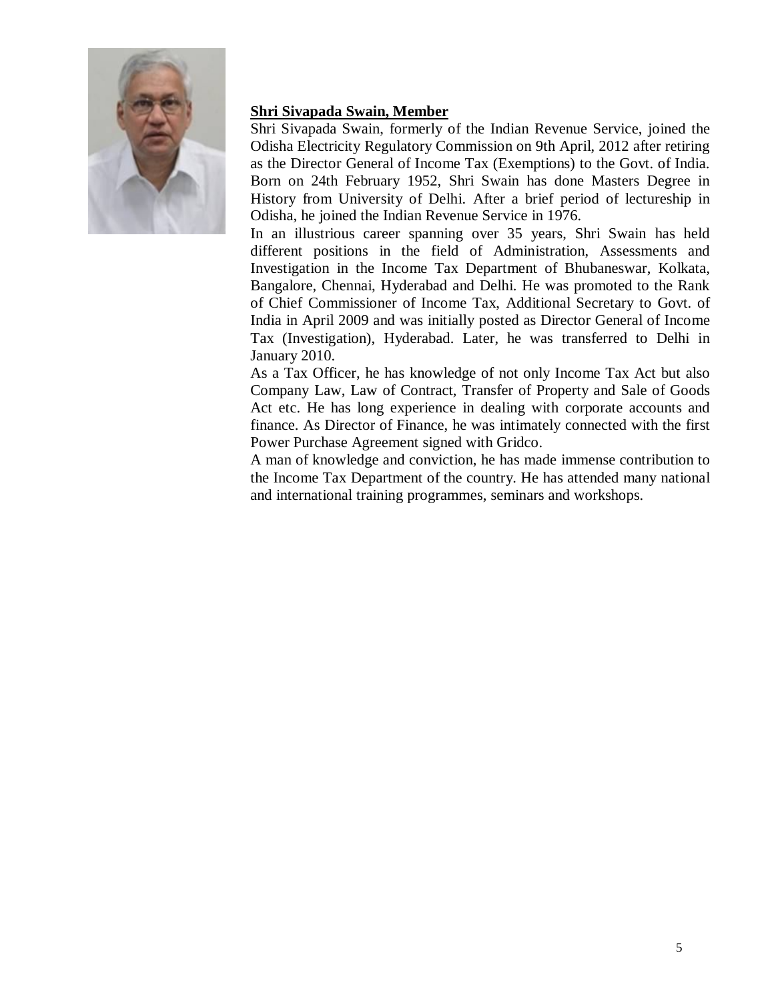

## **Shri Sivapada Swain, Member**

Shri Sivapada Swain, formerly of the Indian Revenue Service, joined the Odisha Electricity Regulatory Commission on 9th April, 2012 after retiring as the Director General of Income Tax (Exemptions) to the Govt. of India. Born on 24th February 1952, Shri Swain has done Masters Degree in History from University of Delhi. After a brief period of lectureship in Odisha, he joined the Indian Revenue Service in 1976.

In an illustrious career spanning over 35 years, Shri Swain has held different positions in the field of Administration, Assessments and Investigation in the Income Tax Department of Bhubaneswar, Kolkata, Bangalore, Chennai, Hyderabad and Delhi. He was promoted to the Rank of Chief Commissioner of Income Tax, Additional Secretary to Govt. of India in April 2009 and was initially posted as Director General of Income Tax (Investigation), Hyderabad. Later, he was transferred to Delhi in January 2010.

As a Tax Officer, he has knowledge of not only Income Tax Act but also Company Law, Law of Contract, Transfer of Property and Sale of Goods Act etc. He has long experience in dealing with corporate accounts and finance. As Director of Finance, he was intimately connected with the first Power Purchase Agreement signed with Gridco.

A man of knowledge and conviction, he has made immense contribution to the Income Tax Department of the country. He has attended many national and international training programmes, seminars and workshops.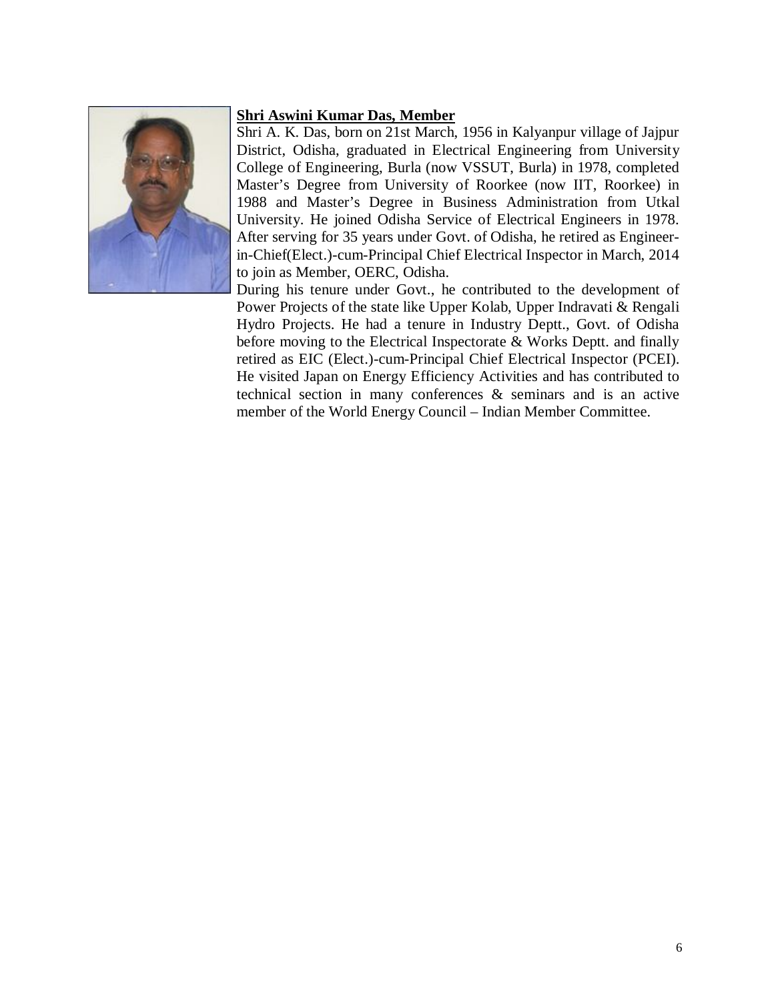#### **Shri Aswini Kumar Das, Member**



Shri A. K. Das, born on 21st March, 1956 in Kalyanpur village of Jajpur District, Odisha, graduated in Electrical Engineering from University College of Engineering, Burla (now VSSUT, Burla) in 1978, completed Master's Degree from University of Roorkee (now IIT, Roorkee) in 1988 and Master's Degree in Business Administration from Utkal University. He joined Odisha Service of Electrical Engineers in 1978. After serving for 35 years under Govt. of Odisha, he retired as Engineerin-Chief(Elect.)-cum-Principal Chief Electrical Inspector in March, 2014 to join as Member, OERC, Odisha.

During his tenure under Govt., he contributed to the development of Power Projects of the state like Upper Kolab, Upper Indravati & Rengali Hydro Projects. He had a tenure in Industry Deptt., Govt. of Odisha before moving to the Electrical Inspectorate & Works Deptt. and finally retired as EIC (Elect.)-cum-Principal Chief Electrical Inspector (PCEI). He visited Japan on Energy Efficiency Activities and has contributed to technical section in many conferences & seminars and is an active member of the World Energy Council – Indian Member Committee.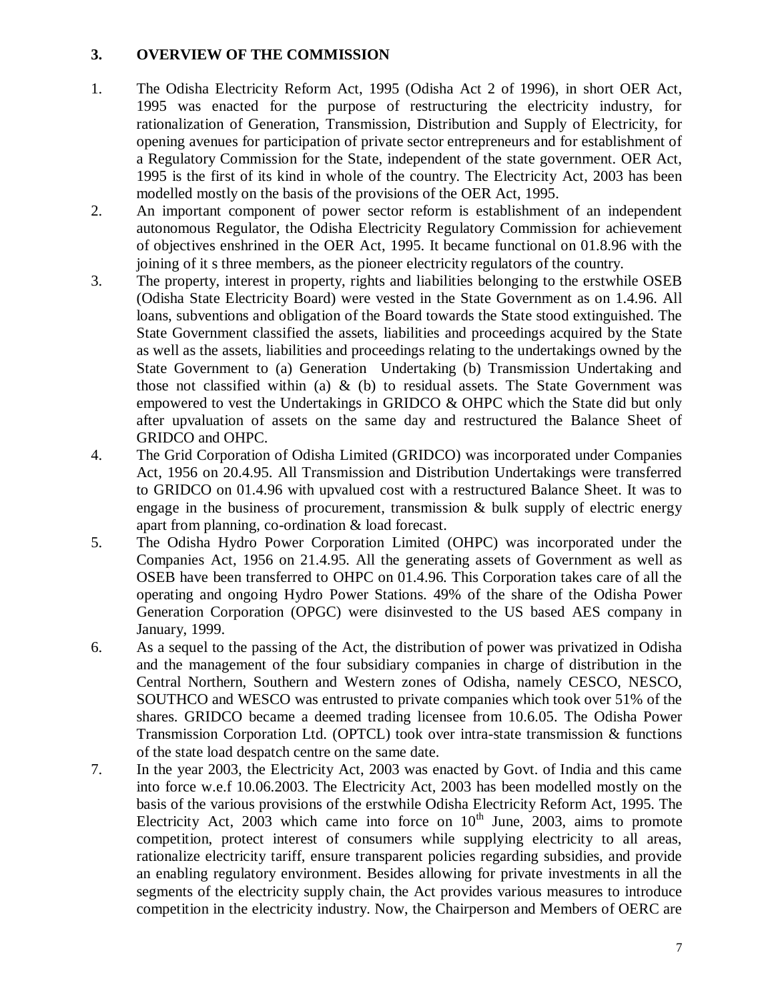## **3. OVERVIEW OF THE COMMISSION**

- 1. The Odisha Electricity Reform Act, 1995 (Odisha Act 2 of 1996), in short OER Act, 1995 was enacted for the purpose of restructuring the electricity industry, for rationalization of Generation, Transmission, Distribution and Supply of Electricity, for opening avenues for participation of private sector entrepreneurs and for establishment of a Regulatory Commission for the State, independent of the state government. OER Act, 1995 is the first of its kind in whole of the country. The Electricity Act, 2003 has been modelled mostly on the basis of the provisions of the OER Act, 1995.
- 2. An important component of power sector reform is establishment of an independent autonomous Regulator, the Odisha Electricity Regulatory Commission for achievement of objectives enshrined in the OER Act, 1995. It became functional on 01.8.96 with the joining of it s three members, as the pioneer electricity regulators of the country.
- 3. The property, interest in property, rights and liabilities belonging to the erstwhile OSEB (Odisha State Electricity Board) were vested in the State Government as on 1.4.96. All loans, subventions and obligation of the Board towards the State stood extinguished. The State Government classified the assets, liabilities and proceedings acquired by the State as well as the assets, liabilities and proceedings relating to the undertakings owned by the State Government to (a) Generation Undertaking (b) Transmission Undertaking and those not classified within (a)  $\&$  (b) to residual assets. The State Government was empowered to vest the Undertakings in GRIDCO & OHPC which the State did but only after upvaluation of assets on the same day and restructured the Balance Sheet of GRIDCO and OHPC.
- 4. The Grid Corporation of Odisha Limited (GRIDCO) was incorporated under Companies Act, 1956 on 20.4.95. All Transmission and Distribution Undertakings were transferred to GRIDCO on 01.4.96 with upvalued cost with a restructured Balance Sheet. It was to engage in the business of procurement, transmission & bulk supply of electric energy apart from planning, co-ordination & load forecast.
- 5. The Odisha Hydro Power Corporation Limited (OHPC) was incorporated under the Companies Act, 1956 on 21.4.95. All the generating assets of Government as well as OSEB have been transferred to OHPC on 01.4.96. This Corporation takes care of all the operating and ongoing Hydro Power Stations. 49% of the share of the Odisha Power Generation Corporation (OPGC) were disinvested to the US based AES company in January, 1999.
- 6. As a sequel to the passing of the Act, the distribution of power was privatized in Odisha and the management of the four subsidiary companies in charge of distribution in the Central Northern, Southern and Western zones of Odisha, namely CESCO, NESCO, SOUTHCO and WESCO was entrusted to private companies which took over 51% of the shares. GRIDCO became a deemed trading licensee from 10.6.05. The Odisha Power Transmission Corporation Ltd. (OPTCL) took over intra-state transmission & functions of the state load despatch centre on the same date.
- 7. In the year 2003, the Electricity Act, 2003 was enacted by Govt. of India and this came into force w.e.f 10.06.2003. The Electricity Act, 2003 has been modelled mostly on the basis of the various provisions of the erstwhile Odisha Electricity Reform Act, 1995. The Electricity Act,  $2003$  which came into force on  $10<sup>th</sup>$  June,  $2003$ , aims to promote competition, protect interest of consumers while supplying electricity to all areas, rationalize electricity tariff, ensure transparent policies regarding subsidies, and provide an enabling regulatory environment. Besides allowing for private investments in all the segments of the electricity supply chain, the Act provides various measures to introduce competition in the electricity industry. Now, the Chairperson and Members of OERC are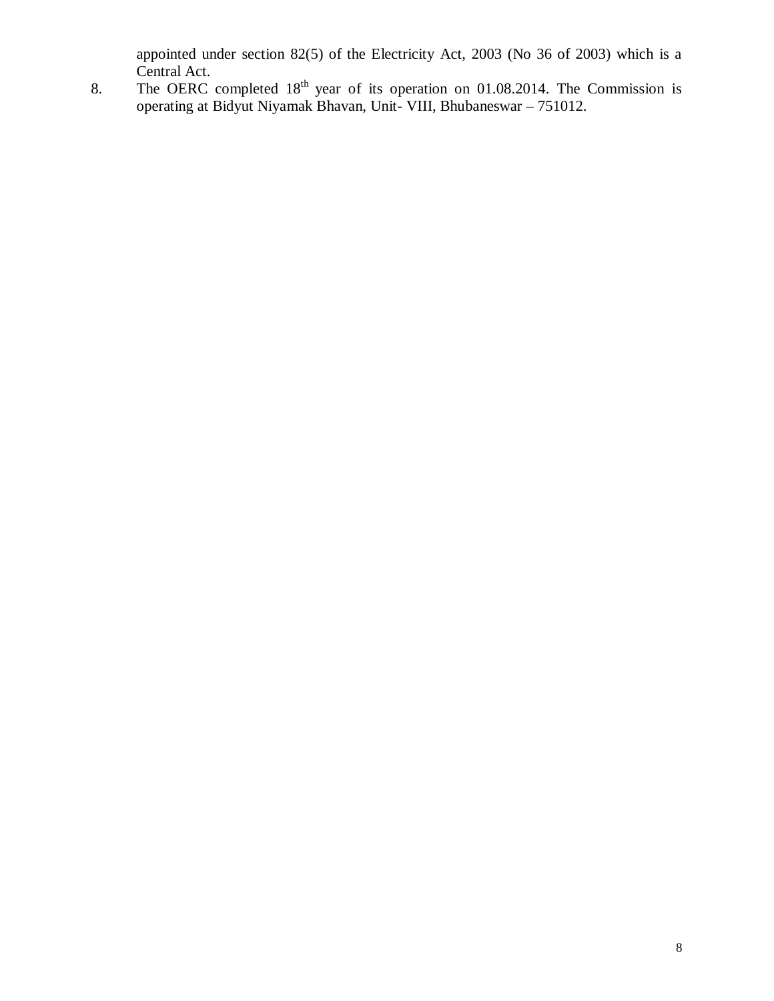appointed under section 82(5) of the Electricity Act, 2003 (No 36 of 2003) which is a Central Act.

8. The OERC completed  $18<sup>th</sup>$  year of its operation on 01.08.2014. The Commission is operating at Bidyut Niyamak Bhavan, Unit- VIII, Bhubaneswar – 751012.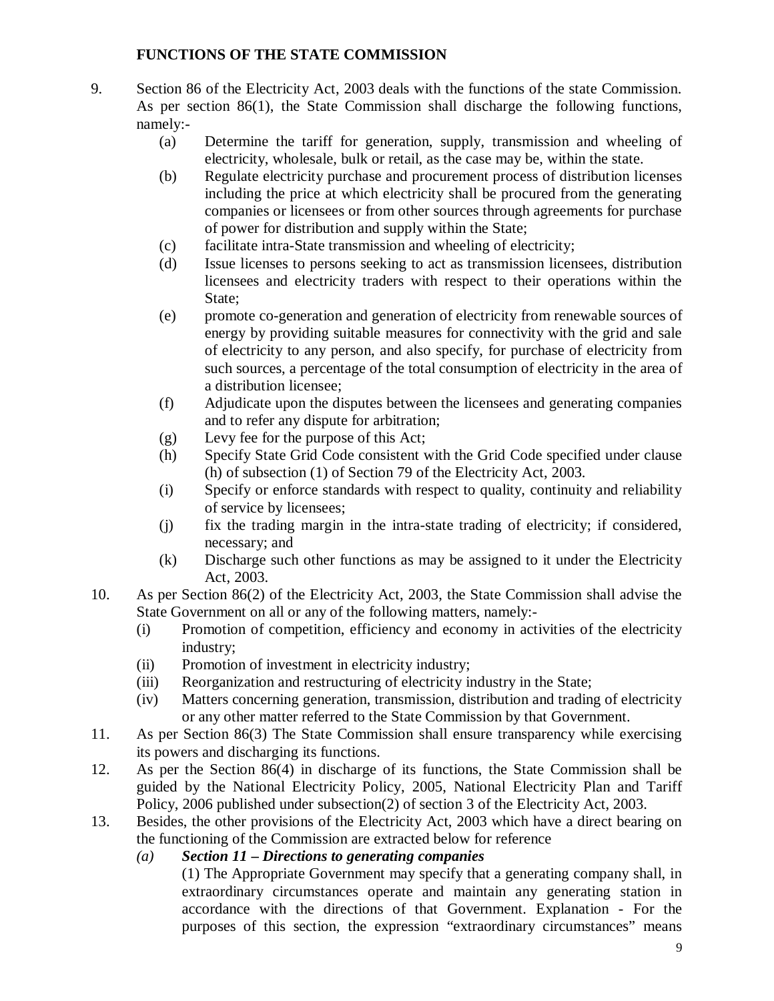## **FUNCTIONS OF THE STATE COMMISSION**

- 9. Section 86 of the Electricity Act, 2003 deals with the functions of the state Commission. As per section 86(1), the State Commission shall discharge the following functions, namely:-
	- (a) Determine the tariff for generation, supply, transmission and wheeling of electricity, wholesale, bulk or retail, as the case may be, within the state.
	- (b) Regulate electricity purchase and procurement process of distribution licenses including the price at which electricity shall be procured from the generating companies or licensees or from other sources through agreements for purchase of power for distribution and supply within the State;
	- (c) facilitate intra-State transmission and wheeling of electricity;
	- (d) Issue licenses to persons seeking to act as transmission licensees, distribution licensees and electricity traders with respect to their operations within the State;
	- (e) promote co-generation and generation of electricity from renewable sources of energy by providing suitable measures for connectivity with the grid and sale of electricity to any person, and also specify, for purchase of electricity from such sources, a percentage of the total consumption of electricity in the area of a distribution licensee;
	- (f) Adjudicate upon the disputes between the licensees and generating companies and to refer any dispute for arbitration;
	- (g) Levy fee for the purpose of this Act;
	- (h) Specify State Grid Code consistent with the Grid Code specified under clause (h) of subsection (1) of Section 79 of the Electricity Act, 2003.
	- (i) Specify or enforce standards with respect to quality, continuity and reliability of service by licensees;
	- (j) fix the trading margin in the intra-state trading of electricity; if considered, necessary; and
	- (k) Discharge such other functions as may be assigned to it under the Electricity Act, 2003.
- 10. As per Section 86(2) of the Electricity Act, 2003, the State Commission shall advise the State Government on all or any of the following matters, namely:-
	- (i) Promotion of competition, efficiency and economy in activities of the electricity industry;
	- (ii) Promotion of investment in electricity industry;
	- (iii) Reorganization and restructuring of electricity industry in the State;
	- (iv) Matters concerning generation, transmission, distribution and trading of electricity or any other matter referred to the State Commission by that Government.
- 11. As per Section 86(3) The State Commission shall ensure transparency while exercising its powers and discharging its functions.
- 12. As per the Section 86(4) in discharge of its functions, the State Commission shall be guided by the National Electricity Policy, 2005, National Electricity Plan and Tariff Policy, 2006 published under subsection(2) of section 3 of the Electricity Act, 2003.
- 13. Besides, the other provisions of the Electricity Act, 2003 which have a direct bearing on the functioning of the Commission are extracted below for reference

## *(a) Section 11 – Directions to generating companies*

(1) The Appropriate Government may specify that a generating company shall, in extraordinary circumstances operate and maintain any generating station in accordance with the directions of that Government. Explanation - For the purposes of this section, the expression "extraordinary circumstances" means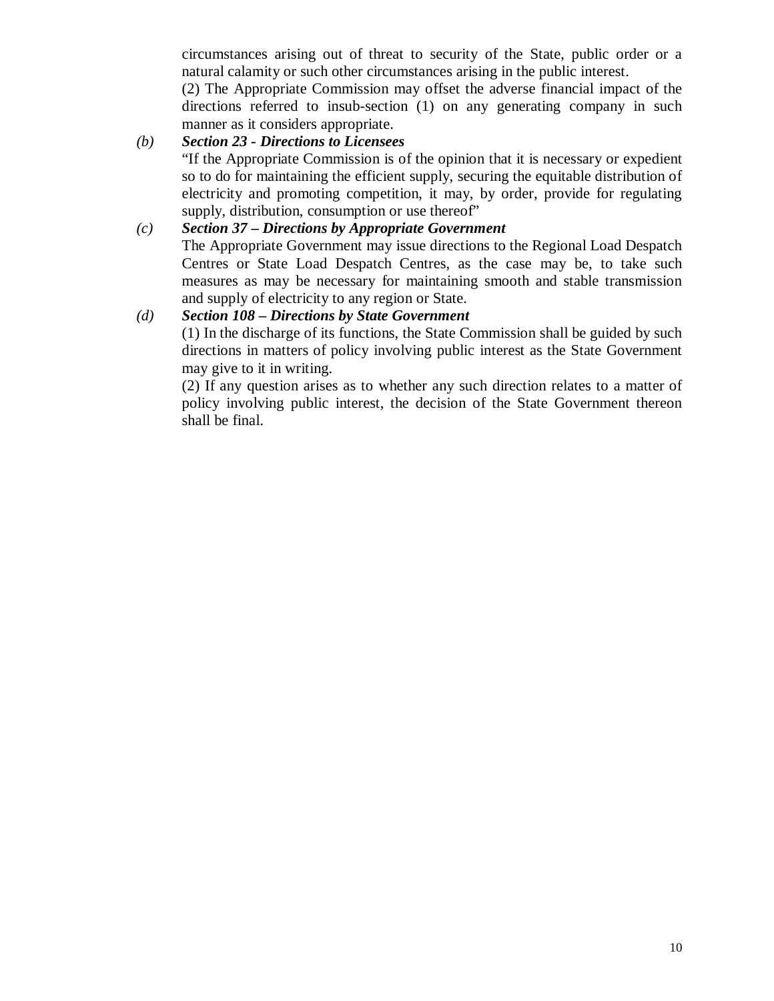circumstances arising out of threat to security of the State, public order or a natural calamity or such other circumstances arising in the public interest.

(2) The Appropriate Commission may offset the adverse financial impact of the directions referred to insub-section (1) on any generating company in such manner as it considers appropriate.

## *(b) Section 23 - Directions to Licensees*

"If the Appropriate Commission is of the opinion that it is necessary or expedient so to do for maintaining the efficient supply, securing the equitable distribution of electricity and promoting competition, it may, by order, provide for regulating supply, distribution, consumption or use thereof"

#### *(c) Section 37 – Directions by Appropriate Government*

The Appropriate Government may issue directions to the Regional Load Despatch Centres or State Load Despatch Centres, as the case may be, to take such measures as may be necessary for maintaining smooth and stable transmission and supply of electricity to any region or State.

#### *(d) Section 108 – Directions by State Government*

(1) In the discharge of its functions, the State Commission shall be guided by such directions in matters of policy involving public interest as the State Government may give to it in writing.

(2) If any question arises as to whether any such direction relates to a matter of policy involving public interest, the decision of the State Government thereon shall be final.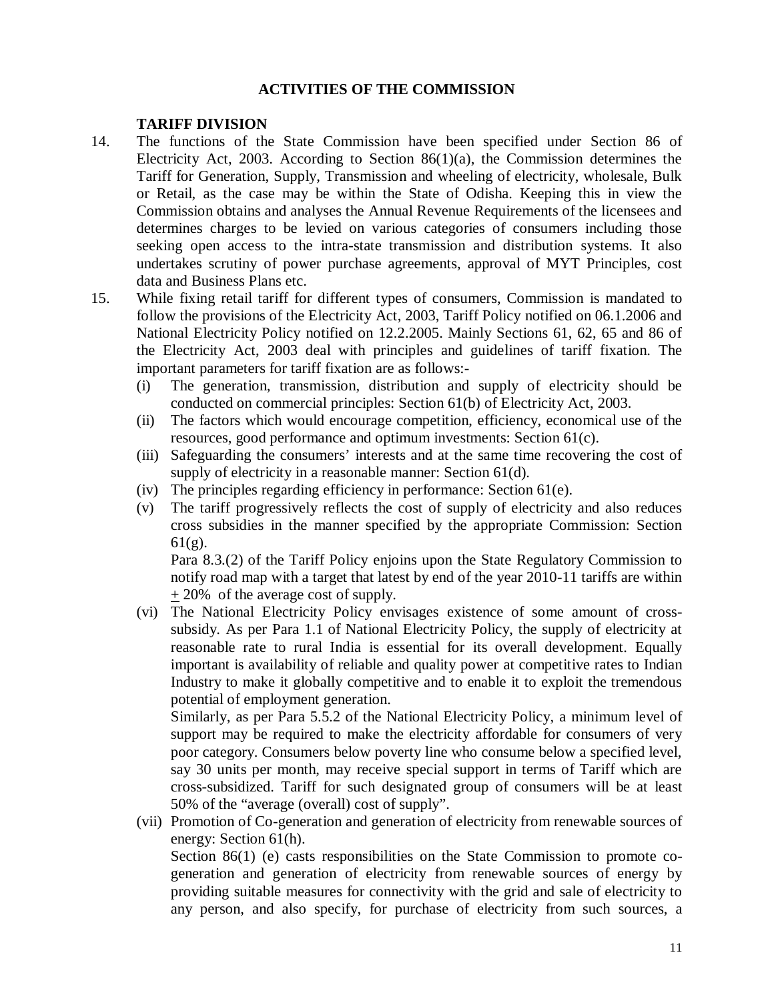## **ACTIVITIES OF THE COMMISSION**

#### **TARIFF DIVISION**

- 14. The functions of the State Commission have been specified under Section 86 of Electricity Act, 2003. According to Section  $86(1)(a)$ , the Commission determines the Tariff for Generation, Supply, Transmission and wheeling of electricity, wholesale, Bulk or Retail, as the case may be within the State of Odisha. Keeping this in view the Commission obtains and analyses the Annual Revenue Requirements of the licensees and determines charges to be levied on various categories of consumers including those seeking open access to the intra-state transmission and distribution systems. It also undertakes scrutiny of power purchase agreements, approval of MYT Principles, cost data and Business Plans etc.
- 15. While fixing retail tariff for different types of consumers, Commission is mandated to follow the provisions of the Electricity Act, 2003, Tariff Policy notified on 06.1.2006 and National Electricity Policy notified on 12.2.2005. Mainly Sections 61, 62, 65 and 86 of the Electricity Act, 2003 deal with principles and guidelines of tariff fixation. The important parameters for tariff fixation are as follows:-
	- (i) The generation, transmission, distribution and supply of electricity should be conducted on commercial principles: Section 61(b) of Electricity Act, 2003.
	- (ii) The factors which would encourage competition, efficiency, economical use of the resources, good performance and optimum investments: Section 61(c).
	- (iii) Safeguarding the consumers' interests and at the same time recovering the cost of supply of electricity in a reasonable manner: Section 61(d).
	- (iv) The principles regarding efficiency in performance: Section 61(e).
	- (v) The tariff progressively reflects the cost of supply of electricity and also reduces cross subsidies in the manner specified by the appropriate Commission: Section 61(g).

Para 8.3.(2) of the Tariff Policy enjoins upon the State Regulatory Commission to notify road map with a target that latest by end of the year 2010-11 tariffs are within + 20% of the average cost of supply.

(vi) The National Electricity Policy envisages existence of some amount of crosssubsidy. As per Para 1.1 of National Electricity Policy, the supply of electricity at reasonable rate to rural India is essential for its overall development. Equally important is availability of reliable and quality power at competitive rates to Indian Industry to make it globally competitive and to enable it to exploit the tremendous potential of employment generation.

Similarly, as per Para 5.5.2 of the National Electricity Policy, a minimum level of support may be required to make the electricity affordable for consumers of very poor category. Consumers below poverty line who consume below a specified level, say 30 units per month, may receive special support in terms of Tariff which are cross-subsidized. Tariff for such designated group of consumers will be at least 50% of the "average (overall) cost of supply".

(vii) Promotion of Co-generation and generation of electricity from renewable sources of energy: Section 61(h).

Section 86(1) (e) casts responsibilities on the State Commission to promote cogeneration and generation of electricity from renewable sources of energy by providing suitable measures for connectivity with the grid and sale of electricity to any person, and also specify, for purchase of electricity from such sources, a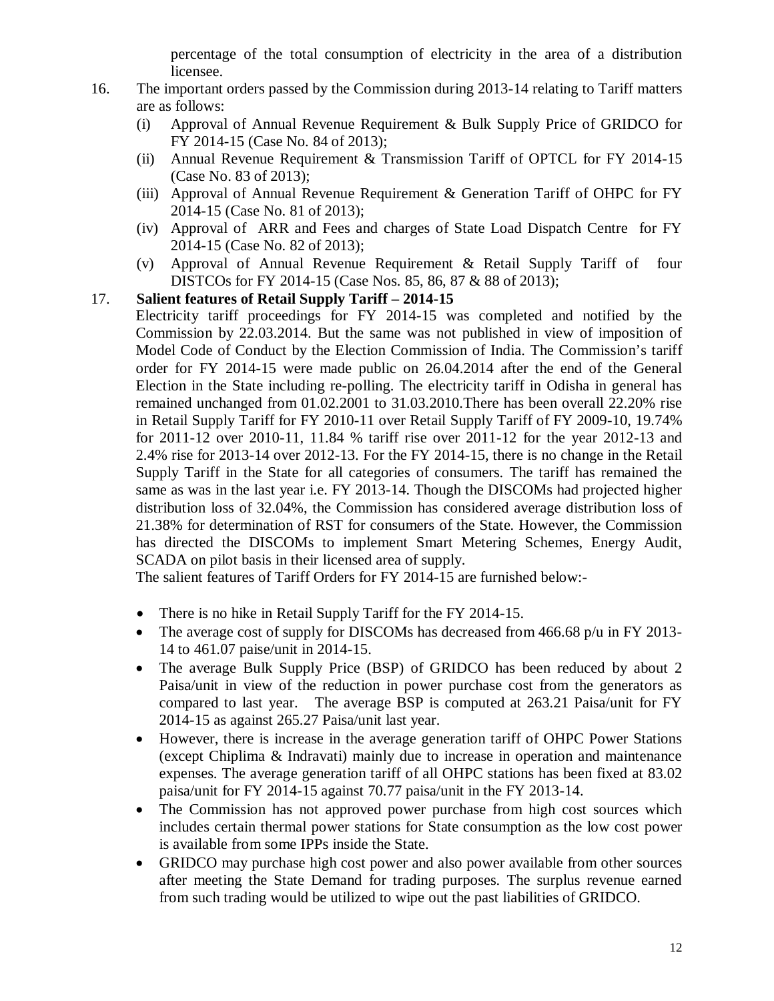percentage of the total consumption of electricity in the area of a distribution licensee.

- 16. The important orders passed by the Commission during 2013-14 relating to Tariff matters are as follows:
	- (i) Approval of Annual Revenue Requirement & Bulk Supply Price of GRIDCO for FY 2014-15 (Case No. 84 of 2013);
	- (ii) Annual Revenue Requirement & Transmission Tariff of OPTCL for FY 2014-15 (Case No. 83 of 2013);
	- (iii) Approval of Annual Revenue Requirement  $&$  Generation Tariff of OHPC for FY 2014-15 (Case No. 81 of 2013);
	- (iv) Approval of ARR and Fees and charges of State Load Dispatch Centre for FY 2014-15 (Case No. 82 of 2013);
	- (v) Approval of Annual Revenue Requirement & Retail Supply Tariff of four DISTCOs for FY 2014-15 (Case Nos. 85, 86, 87 & 88 of 2013);

## 17. **Salient features of Retail Supply Tariff – 2014-15**

Electricity tariff proceedings for FY 2014-15 was completed and notified by the Commission by 22.03.2014. But the same was not published in view of imposition of Model Code of Conduct by the Election Commission of India. The Commission's tariff order for FY 2014-15 were made public on 26.04.2014 after the end of the General Election in the State including re-polling. The electricity tariff in Odisha in general has remained unchanged from 01.02.2001 to 31.03.2010.There has been overall 22.20% rise in Retail Supply Tariff for FY 2010-11 over Retail Supply Tariff of FY 2009-10, 19.74% for 2011-12 over 2010-11, 11.84 % tariff rise over 2011-12 for the year 2012-13 and 2.4% rise for 2013-14 over 2012-13. For the FY 2014-15, there is no change in the Retail Supply Tariff in the State for all categories of consumers. The tariff has remained the same as was in the last year i.e. FY 2013-14. Though the DISCOMs had projected higher distribution loss of 32.04%, the Commission has considered average distribution loss of 21.38% for determination of RST for consumers of the State. However, the Commission has directed the DISCOMs to implement Smart Metering Schemes, Energy Audit, SCADA on pilot basis in their licensed area of supply.

The salient features of Tariff Orders for FY 2014-15 are furnished below:-

- There is no hike in Retail Supply Tariff for the FY 2014-15.
- The average cost of supply for DISCOMs has decreased from 466.68 p/u in FY 2013-14 to 461.07 paise/unit in 2014-15.
- The average Bulk Supply Price (BSP) of GRIDCO has been reduced by about 2 Paisa/unit in view of the reduction in power purchase cost from the generators as compared to last year. The average BSP is computed at 263.21 Paisa/unit for FY 2014-15 as against 265.27 Paisa/unit last year.
- However, there is increase in the average generation tariff of OHPC Power Stations (except Chiplima & Indravati) mainly due to increase in operation and maintenance expenses. The average generation tariff of all OHPC stations has been fixed at 83.02 paisa/unit for FY 2014-15 against 70.77 paisa/unit in the FY 2013-14.
- The Commission has not approved power purchase from high cost sources which includes certain thermal power stations for State consumption as the low cost power is available from some IPPs inside the State.
- GRIDCO may purchase high cost power and also power available from other sources after meeting the State Demand for trading purposes. The surplus revenue earned from such trading would be utilized to wipe out the past liabilities of GRIDCO.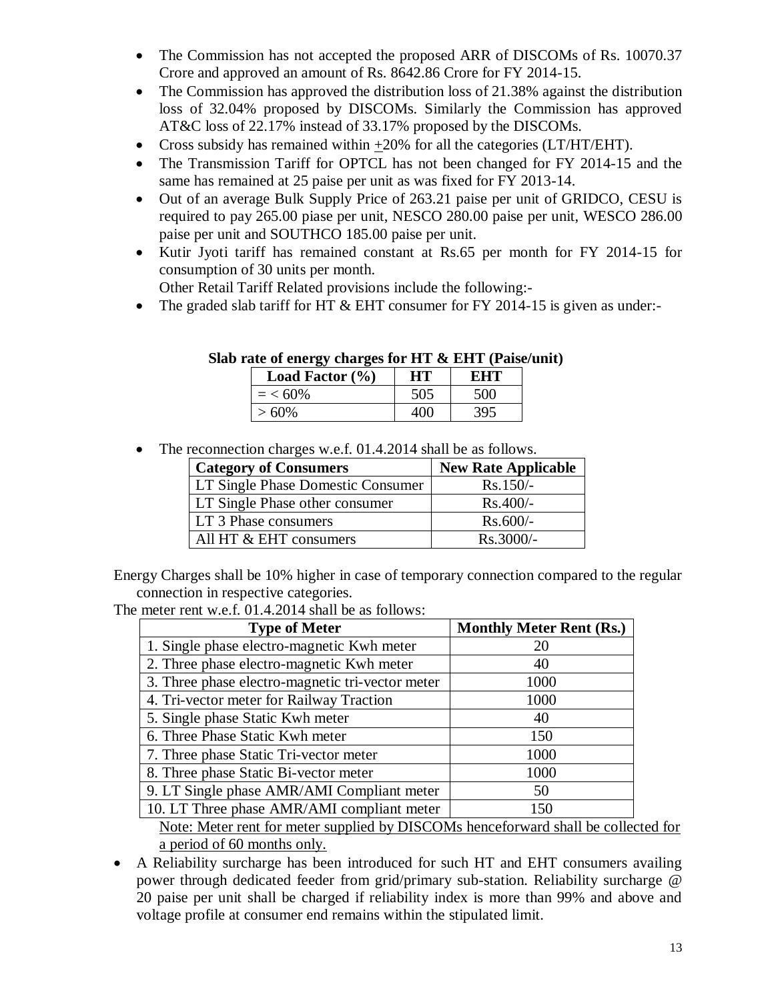- The Commission has not accepted the proposed ARR of DISCOMs of Rs. 10070.37 Crore and approved an amount of Rs. 8642.86 Crore for FY 2014-15.
- The Commission has approved the distribution loss of 21.38% against the distribution loss of 32.04% proposed by DISCOMs. Similarly the Commission has approved AT&C loss of 22.17% instead of 33.17% proposed by the DISCOMs.
- Cross subsidy has remained within  $\pm 20\%$  for all the categories (LT/HT/EHT).
- The Transmission Tariff for OPTCL has not been changed for FY 2014-15 and the same has remained at 25 paise per unit as was fixed for FY 2013-14.
- Out of an average Bulk Supply Price of 263.21 paise per unit of GRIDCO, CESU is required to pay 265.00 piase per unit, NESCO 280.00 paise per unit, WESCO 286.00 paise per unit and SOUTHCO 185.00 paise per unit.
- Kutir Jyoti tariff has remained constant at Rs.65 per month for FY 2014-15 for consumption of 30 units per month.

Other Retail Tariff Related provisions include the following:-

• The graded slab tariff for HT & EHT consumer for FY 2014-15 is given as under:-

| Load Factor $(\% )$ | HU. | F.HT |
|---------------------|-----|------|
| $=$ < 60%           |     | 500  |
| > 60%               |     |      |

#### **Slab rate of energy charges for HT & EHT (Paise/unit)**

• The reconnection charges w.e.f. 01.4.2014 shall be as follows.

| <b>Category of Consumers</b>      | <b>New Rate Applicable</b> |
|-----------------------------------|----------------------------|
| LT Single Phase Domestic Consumer | $Rs.150/-$                 |
| LT Single Phase other consumer    | $Rs.400/-$                 |
| LT 3 Phase consumers              | $Rs.600/-$                 |
| All HT & EHT consumers            | $Rs.3000/-$                |

Energy Charges shall be 10% higher in case of temporary connection compared to the regular connection in respective categories.

The meter rent w.e.f. 01.4.2014 shall be as follows:

| <b>Type of Meter</b>                             | <b>Monthly Meter Rent (Rs.)</b> |
|--------------------------------------------------|---------------------------------|
| 1. Single phase electro-magnetic Kwh meter       | 20                              |
| 2. Three phase electro-magnetic Kwh meter        | 40                              |
| 3. Three phase electro-magnetic tri-vector meter | 1000                            |
| 4. Tri-vector meter for Railway Traction         | 1000                            |
| 5. Single phase Static Kwh meter                 | 40                              |
| 6. Three Phase Static Kwh meter                  | 150                             |
| 7. Three phase Static Tri-vector meter           | 1000                            |
| 8. Three phase Static Bi-vector meter            | 1000                            |
| 9. LT Single phase AMR/AMI Compliant meter       | 50                              |
| 10. LT Three phase AMR/AMI compliant meter       | 150                             |

Note: Meter rent for meter supplied by DISCOMs henceforward shall be collected for a period of 60 months only.

 A Reliability surcharge has been introduced for such HT and EHT consumers availing power through dedicated feeder from grid/primary sub-station. Reliability surcharge @ 20 paise per unit shall be charged if reliability index is more than 99% and above and voltage profile at consumer end remains within the stipulated limit.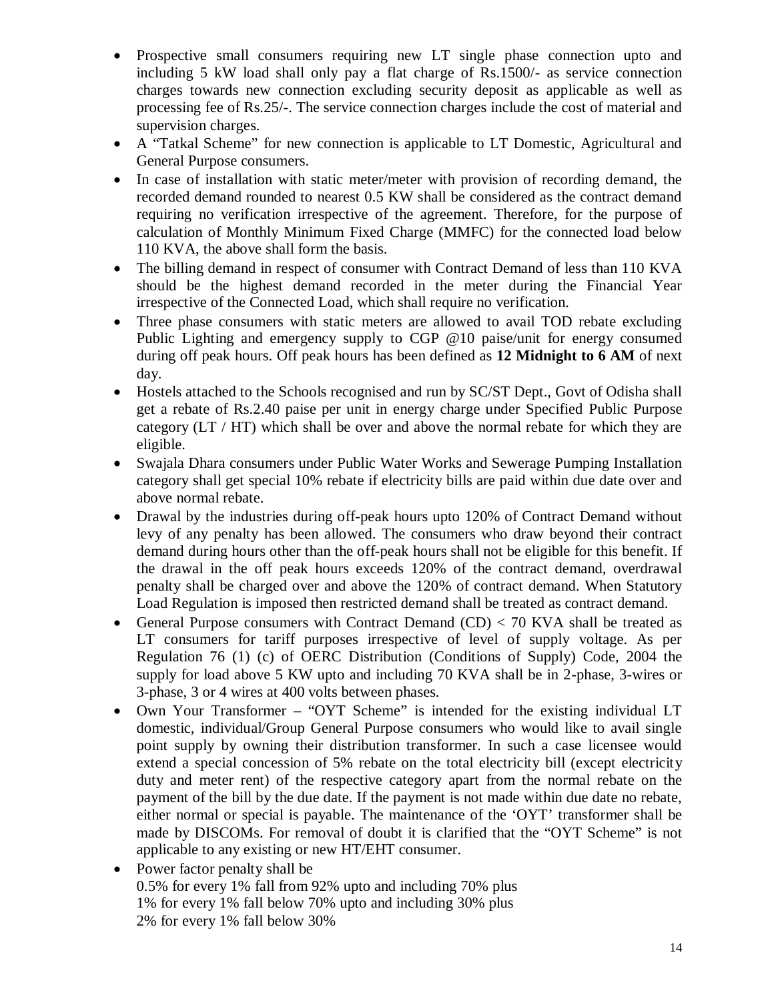- Prospective small consumers requiring new LT single phase connection upto and including 5 kW load shall only pay a flat charge of Rs.1500/- as service connection charges towards new connection excluding security deposit as applicable as well as processing fee of Rs.25/-. The service connection charges include the cost of material and supervision charges.
- A "Tatkal Scheme" for new connection is applicable to LT Domestic, Agricultural and General Purpose consumers.
- In case of installation with static meter/meter with provision of recording demand, the recorded demand rounded to nearest 0.5 KW shall be considered as the contract demand requiring no verification irrespective of the agreement. Therefore, for the purpose of calculation of Monthly Minimum Fixed Charge (MMFC) for the connected load below 110 KVA, the above shall form the basis.
- The billing demand in respect of consumer with Contract Demand of less than 110 KVA should be the highest demand recorded in the meter during the Financial Year irrespective of the Connected Load, which shall require no verification.
- Three phase consumers with static meters are allowed to avail TOD rebate excluding Public Lighting and emergency supply to CGP @10 paise/unit for energy consumed during off peak hours. Off peak hours has been defined as **12 Midnight to 6 AM** of next day.
- Hostels attached to the Schools recognised and run by SC/ST Dept., Govt of Odisha shall get a rebate of Rs.2.40 paise per unit in energy charge under Specified Public Purpose category (LT / HT) which shall be over and above the normal rebate for which they are eligible.
- Swajala Dhara consumers under Public Water Works and Sewerage Pumping Installation category shall get special 10% rebate if electricity bills are paid within due date over and above normal rebate.
- Drawal by the industries during off-peak hours upto 120% of Contract Demand without levy of any penalty has been allowed. The consumers who draw beyond their contract demand during hours other than the off-peak hours shall not be eligible for this benefit. If the drawal in the off peak hours exceeds 120% of the contract demand, overdrawal penalty shall be charged over and above the 120% of contract demand. When Statutory Load Regulation is imposed then restricted demand shall be treated as contract demand.
- General Purpose consumers with Contract Demand  $(CD) < 70$  KVA shall be treated as LT consumers for tariff purposes irrespective of level of supply voltage. As per Regulation 76 (1) (c) of OERC Distribution (Conditions of Supply) Code, 2004 the supply for load above 5 KW upto and including 70 KVA shall be in 2-phase, 3-wires or 3-phase, 3 or 4 wires at 400 volts between phases.
- Own Your Transformer "OYT Scheme" is intended for the existing individual LT domestic, individual/Group General Purpose consumers who would like to avail single point supply by owning their distribution transformer. In such a case licensee would extend a special concession of 5% rebate on the total electricity bill (except electricity duty and meter rent) of the respective category apart from the normal rebate on the payment of the bill by the due date. If the payment is not made within due date no rebate, either normal or special is payable. The maintenance of the 'OYT' transformer shall be made by DISCOMs. For removal of doubt it is clarified that the "OYT Scheme" is not applicable to any existing or new HT/EHT consumer.
- Power factor penalty shall be 0.5% for every 1% fall from 92% upto and including 70% plus 1% for every 1% fall below 70% upto and including 30% plus 2% for every 1% fall below 30%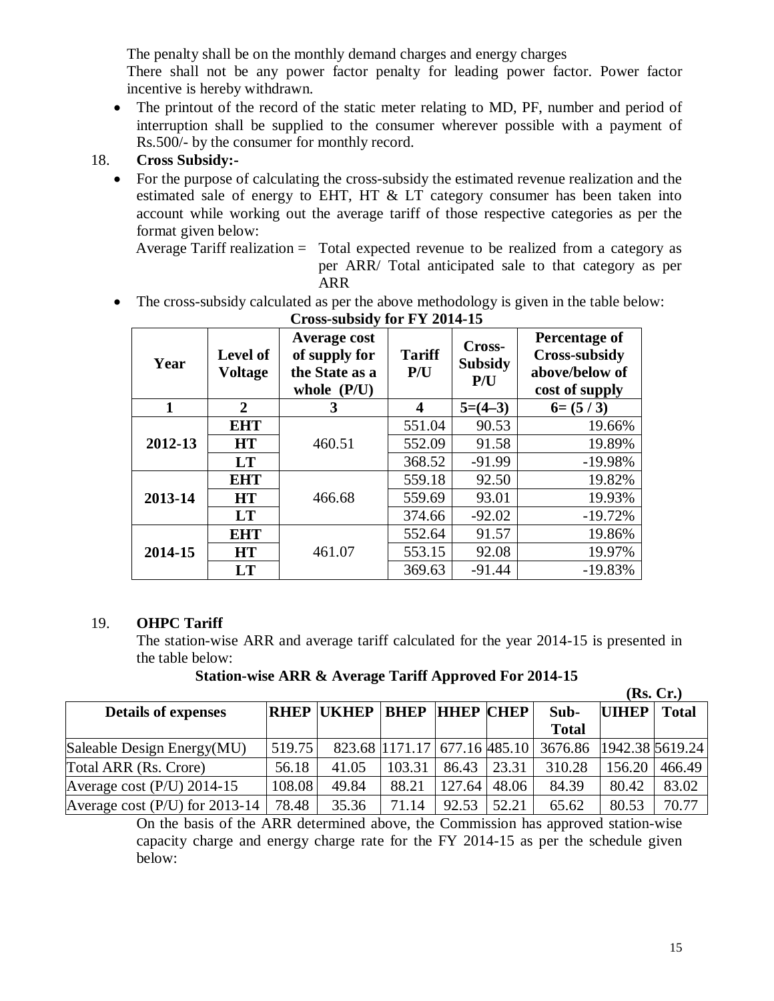The penalty shall be on the monthly demand charges and energy charges

There shall not be any power factor penalty for leading power factor. Power factor incentive is hereby withdrawn.

• The printout of the record of the static meter relating to MD, PF, number and period of interruption shall be supplied to the consumer wherever possible with a payment of Rs.500/- by the consumer for monthly record.

## 18. **Cross Subsidy:-**

• For the purpose of calculating the cross-subsidy the estimated revenue realization and the estimated sale of energy to EHT, HT & LT category consumer has been taken into account while working out the average tariff of those respective categories as per the format given below:

Average Tariff realization = Total expected revenue to be realized from a category as per ARR/ Total anticipated sale to that category as per ARR

• The cross-subsidy calculated as per the above methodology is given in the table below:

| <b>Cross-subsidy for FY 2014-15</b>       |                |                                                                         |                      |                                 |                                                                           |  |
|-------------------------------------------|----------------|-------------------------------------------------------------------------|----------------------|---------------------------------|---------------------------------------------------------------------------|--|
| <b>Level of</b><br>Year<br><b>Voltage</b> |                | <b>Average cost</b><br>of supply for<br>the State as a<br>whole $(P/U)$ | <b>Tariff</b><br>P/U | Cross-<br><b>Subsidy</b><br>P/U | Percentage of<br><b>Cross-subsidy</b><br>above/below of<br>cost of supply |  |
| 1                                         | $\overline{2}$ | 3                                                                       | $\boldsymbol{4}$     | $5=(4-3)$                       | $6=(5/3)$                                                                 |  |
|                                           | <b>EHT</b>     |                                                                         | 551.04               | 90.53                           | 19.66%                                                                    |  |
| 2012-13                                   | <b>HT</b>      | 460.51                                                                  | 552.09               | 91.58                           | 19.89%                                                                    |  |
|                                           | LT             |                                                                         | 368.52               | $-91.99$                        | $-19.98%$                                                                 |  |
|                                           | <b>EHT</b>     | 466.68                                                                  | 559.18               | 92.50                           | 19.82%                                                                    |  |
| 2013-14                                   | HT             |                                                                         | 559.69               | 93.01                           | 19.93%                                                                    |  |
|                                           | LT             |                                                                         | 374.66               | $-92.02$                        | $-19.72%$                                                                 |  |
|                                           | <b>EHT</b>     |                                                                         | 552.64               | 91.57                           | 19.86%                                                                    |  |
| 2014-15                                   | <b>HT</b>      | 461.07                                                                  | 553.15               | 92.08                           | 19.97%                                                                    |  |
|                                           | <b>LT</b>      |                                                                         | 369.63               | $-91.44$                        | $-19.83%$                                                                 |  |

## 19. **OHPC Tariff**

The station-wise ARR and average tariff calculated for the year 2014-15 is presented in the table below:

**Station-wise ARR & Average Tariff Approved For 2014-15**

|                                  |        |                   |                              |        |       |              |              | (Rs, Cr.)       |
|----------------------------------|--------|-------------------|------------------------------|--------|-------|--------------|--------------|-----------------|
| <b>Details of expenses</b>       |        | <b>RHEP UKHEP</b> | <b>BHEP HHEP CHEP</b>        |        |       | Sub-         | <b>UIHEP</b> | <b>Total</b>    |
|                                  |        |                   |                              |        |       | <b>Total</b> |              |                 |
| Saleable Design Energy(MU)       | 519.75 |                   | 823.68 1171.17 677.16 485.10 |        |       | 3676.86      |              | 1942.38 5619.24 |
| Total ARR (Rs. Crore)            | 56.18  | 41.05             | 103.31                       | 86.43  | 23.31 | 310.28       | 156.20       | 466.49          |
| Average cost $(P/U)$ 2014-15     | 108.08 | 49.84             | 88.21                        | 127.64 | 48.06 | 84.39        | 80.42        | 83.02           |
| Average cost $(P/U)$ for 2013-14 | 78.48  | 35.36             | 71.14                        | 92.53  | 52.21 | 65.62        | 80.53        | 70.77           |

On the basis of the ARR determined above, the Commission has approved station-wise capacity charge and energy charge rate for the FY 2014-15 as per the schedule given below: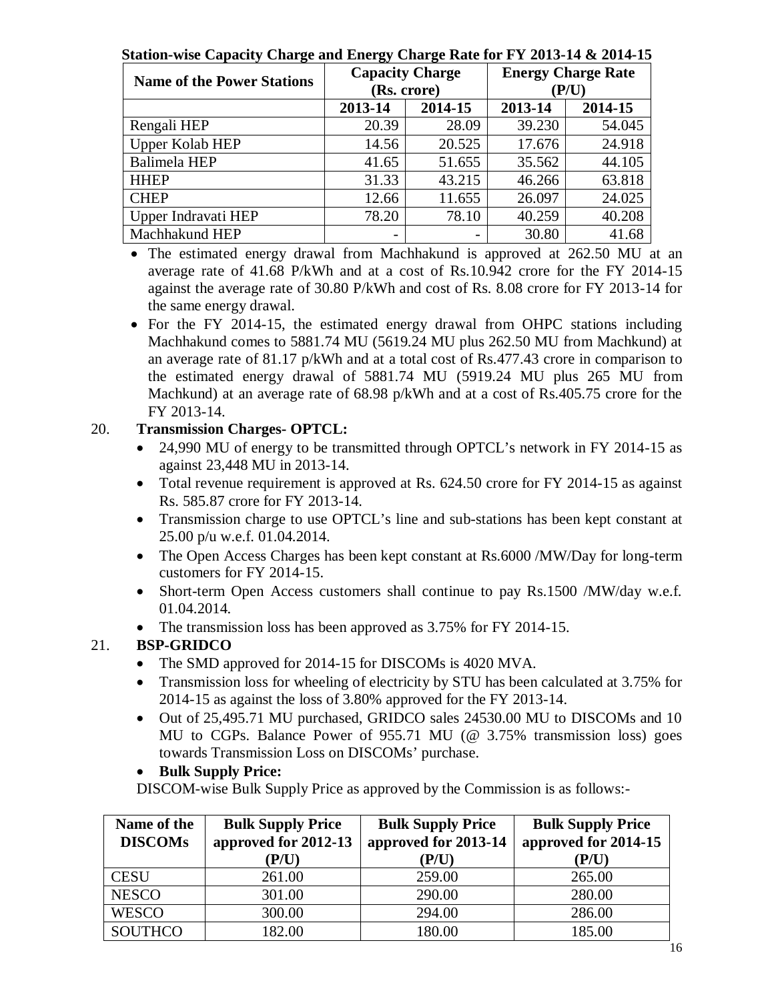**Station-wise Capacity Charge and Energy Charge Rate for FY 2013-14 & 2014-15**

| <b>Name of the Power Stations</b> | <b>Capacity Charge</b>   | (Rs. crore) | <b>Energy Charge Rate</b><br>(P/U) |         |  |
|-----------------------------------|--------------------------|-------------|------------------------------------|---------|--|
|                                   | 2013-14                  | 2014-15     | 2013-14                            | 2014-15 |  |
| Rengali HEP                       | 20.39                    | 28.09       | 39.230                             | 54.045  |  |
| <b>Upper Kolab HEP</b>            | 14.56                    | 20.525      | 17.676                             | 24.918  |  |
| <b>Balimela HEP</b>               | 41.65                    | 51.655      | 35.562                             | 44.105  |  |
| <b>HHEP</b>                       | 31.33                    | 43.215      | 46.266                             | 63.818  |  |
| <b>CHEP</b>                       | 12.66                    | 11.655      | 26.097                             | 24.025  |  |
| Upper Indravati HEP               | 78.20                    | 78.10       | 40.259                             | 40.208  |  |
| Machhakund HEP                    | $\overline{\phantom{a}}$ | -           | 30.80                              | 41.68   |  |

• The estimated energy drawal from Machhakund is approved at 262.50 MU at an average rate of 41.68 P/kWh and at a cost of Rs.10.942 crore for the FY 2014-15 against the average rate of 30.80 P/kWh and cost of Rs. 8.08 crore for FY 2013-14 for the same energy drawal.

• For the FY 2014-15, the estimated energy drawal from OHPC stations including Machhakund comes to 5881.74 MU (5619.24 MU plus 262.50 MU from Machkund) at an average rate of 81.17 p/kWh and at a total cost of Rs.477.43 crore in comparison to the estimated energy drawal of 5881.74 MU (5919.24 MU plus 265 MU from Machkund) at an average rate of 68.98 p/kWh and at a cost of Rs.405.75 crore for the FY 2013-14.

## 20. **Transmission Charges- OPTCL:**

- 24,990 MU of energy to be transmitted through OPTCL's network in FY 2014-15 as against 23,448 MU in 2013-14.
- Total revenue requirement is approved at Rs. 624.50 crore for FY 2014-15 as against Rs. 585.87 crore for FY 2013-14.
- Transmission charge to use OPTCL's line and sub-stations has been kept constant at 25.00 p/u w.e.f. 01.04.2014.
- The Open Access Charges has been kept constant at Rs.6000 /MW/Day for long-term customers for FY 2014-15.
- Short-term Open Access customers shall continue to pay Rs.1500 /MW/day w.e.f. 01.04.2014.
- The transmission loss has been approved as 3.75% for FY 2014-15.

## 21. **BSP-GRIDCO**

- The SMD approved for 2014-15 for DISCOMs is 4020 MVA.
- Transmission loss for wheeling of electricity by STU has been calculated at 3.75% for 2014-15 as against the loss of 3.80% approved for the FY 2013-14.
- Out of 25,495.71 MU purchased, GRIDCO sales 24530.00 MU to DISCOMs and 10 MU to CGPs. Balance Power of 955.71 MU (@ 3.75% transmission loss) goes towards Transmission Loss on DISCOMs' purchase.

## **Bulk Supply Price:**

DISCOM-wise Bulk Supply Price as approved by the Commission is as follows:-

| Name of the<br><b>DISCOMs</b> | <b>Bulk Supply Price</b><br>approved for 2012-13<br>(P/U) | <b>Bulk Supply Price</b><br>approved for 2013-14<br>(P/U) | <b>Bulk Supply Price</b><br>approved for 2014-15<br>( P/U) |
|-------------------------------|-----------------------------------------------------------|-----------------------------------------------------------|------------------------------------------------------------|
| <b>CESU</b>                   | 261.00                                                    | 259.00                                                    | 265.00                                                     |
| <b>NESCO</b>                  | 301.00                                                    | 290.00                                                    | 280.00                                                     |
| <b>WESCO</b>                  | 300.00                                                    | 294.00                                                    | 286.00                                                     |
| <b>SOUTHCO</b>                | 182.00                                                    | 180.00                                                    | 185.00                                                     |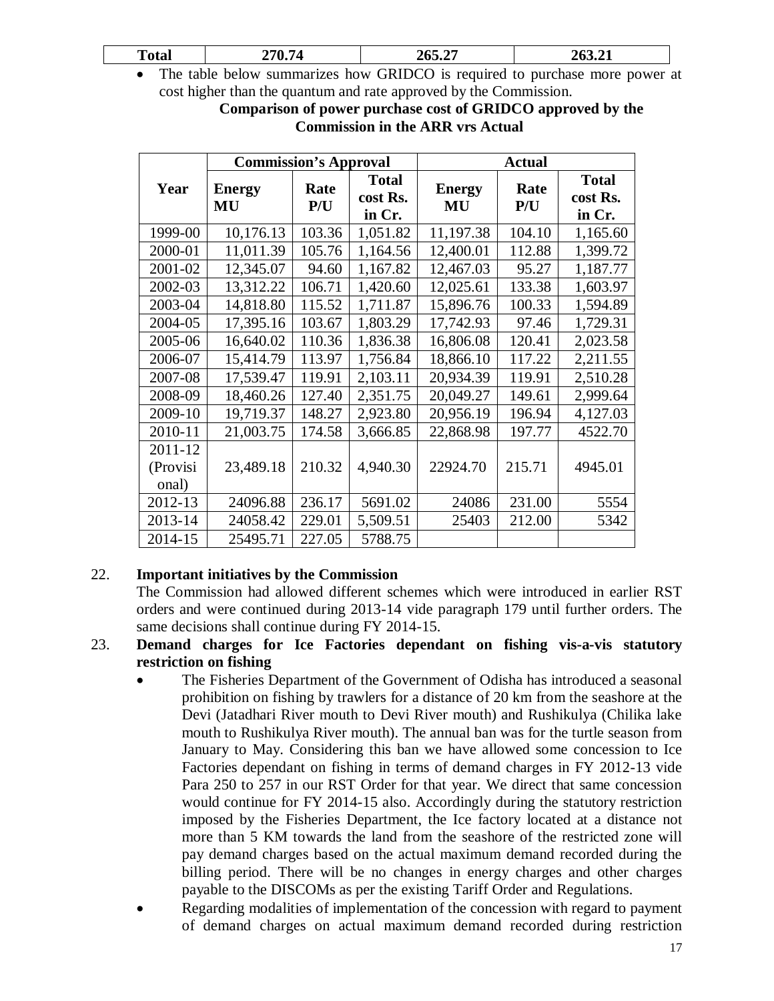The table below summarizes how GRIDCO is required to purchase more power at cost higher than the quantum and rate approved by the Commission.

**Comparison of power purchase cost of GRIDCO approved by the Commission in the ARR vrs Actual**

|          | <b>Commission's Approval</b> |             |                                    | <b>Actual</b>       |             |                                    |
|----------|------------------------------|-------------|------------------------------------|---------------------|-------------|------------------------------------|
| Year     | <b>Energy</b><br>MU          | Rate<br>P/U | <b>Total</b><br>cost Rs.<br>in Cr. | <b>Energy</b><br>MU | Rate<br>P/U | <b>Total</b><br>cost Rs.<br>in Cr. |
| 1999-00  | 10,176.13                    | 103.36      | 1,051.82                           | 11,197.38           | 104.10      | 1,165.60                           |
| 2000-01  | 11,011.39                    | 105.76      | 1,164.56                           | 12,400.01           | 112.88      | 1,399.72                           |
| 2001-02  | 12,345.07                    | 94.60       | 1,167.82                           | 12,467.03           | 95.27       | 1,187.77                           |
| 2002-03  | 13,312.22                    | 106.71      | 1,420.60                           | 12,025.61           | 133.38      | 1,603.97                           |
| 2003-04  | 14,818.80                    | 115.52      | 1,711.87                           | 15,896.76           | 100.33      | 1,594.89                           |
| 2004-05  | 17,395.16                    | 103.67      | 1,803.29                           | 17,742.93           | 97.46       | 1,729.31                           |
| 2005-06  | 16,640.02                    | 110.36      | 1,836.38                           | 16,806.08           | 120.41      | 2,023.58                           |
| 2006-07  | 15,414.79                    | 113.97      | 1,756.84                           | 18,866.10           | 117.22      | 2,211.55                           |
| 2007-08  | 17,539.47                    | 119.91      | 2,103.11                           | 20,934.39           | 119.91      | 2,510.28                           |
| 2008-09  | 18,460.26                    | 127.40      | 2,351.75                           | 20,049.27           | 149.61      | 2,999.64                           |
| 2009-10  | 19,719.37                    | 148.27      | 2,923.80                           | 20,956.19           | 196.94      | 4,127.03                           |
| 2010-11  | 21,003.75                    | 174.58      | 3,666.85                           | 22,868.98           | 197.77      | 4522.70                            |
| 2011-12  |                              |             |                                    |                     |             |                                    |
| (Provisi | 23,489.18                    | 210.32      | 4,940.30                           | 22924.70            | 215.71      | 4945.01                            |
| onal)    |                              |             |                                    |                     |             |                                    |
| 2012-13  | 24096.88                     | 236.17      | 5691.02                            | 24086               | 231.00      | 5554                               |
| 2013-14  | 24058.42                     | 229.01      | 5,509.51                           | 25403               | 212.00      | 5342                               |
| 2014-15  | 25495.71                     | 227.05      | 5788.75                            |                     |             |                                    |

## 22. **Important initiatives by the Commission**

The Commission had allowed different schemes which were introduced in earlier RST orders and were continued during 2013-14 vide paragraph 179 until further orders. The same decisions shall continue during FY 2014-15.

#### 23. **Demand charges for Ice Factories dependant on fishing vis-a-vis statutory restriction on fishing**

- The Fisheries Department of the Government of Odisha has introduced a seasonal prohibition on fishing by trawlers for a distance of 20 km from the seashore at the Devi (Jatadhari River mouth to Devi River mouth) and Rushikulya (Chilika lake mouth to Rushikulya River mouth). The annual ban was for the turtle season from January to May. Considering this ban we have allowed some concession to Ice Factories dependant on fishing in terms of demand charges in FY 2012-13 vide Para 250 to 257 in our RST Order for that year. We direct that same concession would continue for FY 2014-15 also. Accordingly during the statutory restriction imposed by the Fisheries Department, the Ice factory located at a distance not more than 5 KM towards the land from the seashore of the restricted zone will pay demand charges based on the actual maximum demand recorded during the billing period. There will be no changes in energy charges and other charges payable to the DISCOMs as per the existing Tariff Order and Regulations.
- Regarding modalities of implementation of the concession with regard to payment of demand charges on actual maximum demand recorded during restriction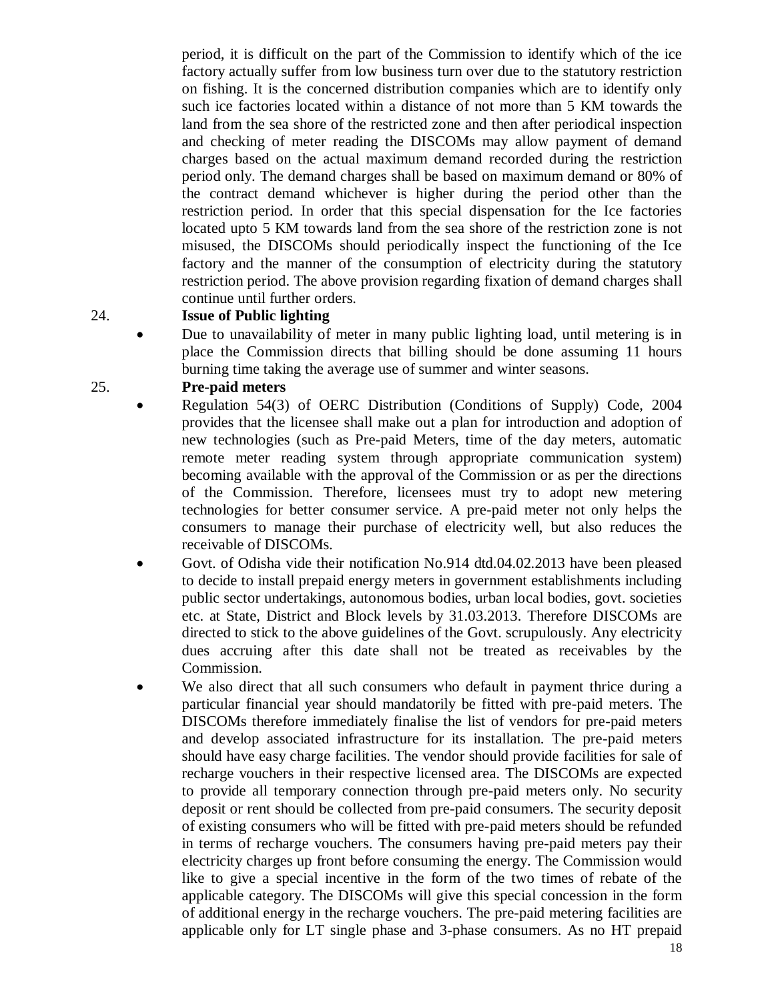period, it is difficult on the part of the Commission to identify which of the ice factory actually suffer from low business turn over due to the statutory restriction on fishing. It is the concerned distribution companies which are to identify only such ice factories located within a distance of not more than 5 KM towards the land from the sea shore of the restricted zone and then after periodical inspection and checking of meter reading the DISCOMs may allow payment of demand charges based on the actual maximum demand recorded during the restriction period only. The demand charges shall be based on maximum demand or 80% of the contract demand whichever is higher during the period other than the restriction period. In order that this special dispensation for the Ice factories located upto 5 KM towards land from the sea shore of the restriction zone is not misused, the DISCOMs should periodically inspect the functioning of the Ice factory and the manner of the consumption of electricity during the statutory restriction period. The above provision regarding fixation of demand charges shall continue until further orders.

#### 24. **Issue of Public lighting**

 Due to unavailability of meter in many public lighting load, until metering is in place the Commission directs that billing should be done assuming 11 hours burning time taking the average use of summer and winter seasons.

#### 25. **Pre-paid meters**

- Regulation 54(3) of OERC Distribution (Conditions of Supply) Code, 2004 provides that the licensee shall make out a plan for introduction and adoption of new technologies (such as Pre-paid Meters, time of the day meters, automatic remote meter reading system through appropriate communication system) becoming available with the approval of the Commission or as per the directions of the Commission. Therefore, licensees must try to adopt new metering technologies for better consumer service. A pre-paid meter not only helps the consumers to manage their purchase of electricity well, but also reduces the receivable of DISCOMs.
- Govt. of Odisha vide their notification No.914 dtd.04.02.2013 have been pleased to decide to install prepaid energy meters in government establishments including public sector undertakings, autonomous bodies, urban local bodies, govt. societies etc. at State, District and Block levels by 31.03.2013. Therefore DISCOMs are directed to stick to the above guidelines of the Govt. scrupulously. Any electricity dues accruing after this date shall not be treated as receivables by the Commission.
- We also direct that all such consumers who default in payment thrice during a particular financial year should mandatorily be fitted with pre-paid meters. The DISCOMs therefore immediately finalise the list of vendors for pre-paid meters and develop associated infrastructure for its installation. The pre-paid meters should have easy charge facilities. The vendor should provide facilities for sale of recharge vouchers in their respective licensed area. The DISCOMs are expected to provide all temporary connection through pre-paid meters only. No security deposit or rent should be collected from pre-paid consumers. The security deposit of existing consumers who will be fitted with pre-paid meters should be refunded in terms of recharge vouchers. The consumers having pre-paid meters pay their electricity charges up front before consuming the energy. The Commission would like to give a special incentive in the form of the two times of rebate of the applicable category. The DISCOMs will give this special concession in the form of additional energy in the recharge vouchers. The pre-paid metering facilities are applicable only for LT single phase and 3-phase consumers. As no HT prepaid

18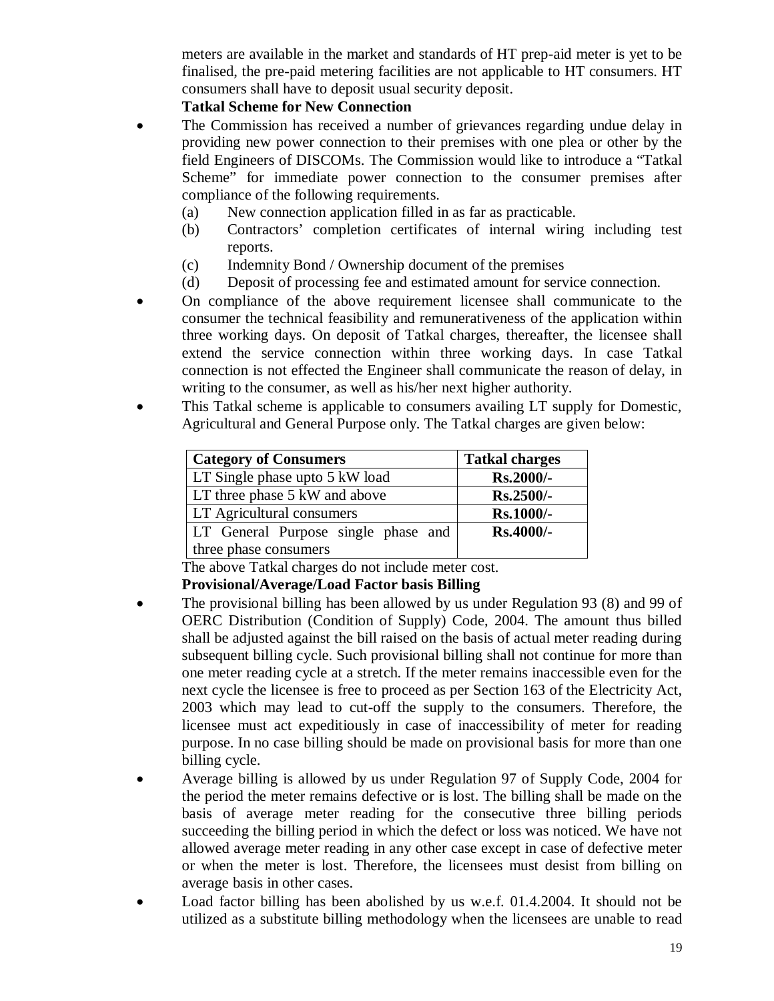meters are available in the market and standards of HT prep-aid meter is yet to be finalised, the pre-paid metering facilities are not applicable to HT consumers. HT consumers shall have to deposit usual security deposit.

## **Tatkal Scheme for New Connection**

- The Commission has received a number of grievances regarding undue delay in providing new power connection to their premises with one plea or other by the field Engineers of DISCOMs. The Commission would like to introduce a "Tatkal Scheme" for immediate power connection to the consumer premises after compliance of the following requirements.
	- (a) New connection application filled in as far as practicable.
	- (b) Contractors' completion certificates of internal wiring including test reports.
	- (c) Indemnity Bond / Ownership document of the premises
	- (d) Deposit of processing fee and estimated amount for service connection.
- On compliance of the above requirement licensee shall communicate to the consumer the technical feasibility and remunerativeness of the application within three working days. On deposit of Tatkal charges, thereafter, the licensee shall extend the service connection within three working days. In case Tatkal connection is not effected the Engineer shall communicate the reason of delay, in writing to the consumer, as well as his/her next higher authority.
- This Tatkal scheme is applicable to consumers availing LT supply for Domestic, Agricultural and General Purpose only. The Tatkal charges are given below:

| <b>Category of Consumers</b>        | <b>Tatkal charges</b> |
|-------------------------------------|-----------------------|
| LT Single phase upto 5 kW load      | Rs.2000/-             |
| LT three phase 5 kW and above       | Rs.2500/-             |
| <b>LT</b> Agricultural consumers    | Rs.1000/-             |
| LT General Purpose single phase and | Rs.4000/-             |
| three phase consumers               |                       |

The above Tatkal charges do not include meter cost.

## **Provisional/Average/Load Factor basis Billing**

- The provisional billing has been allowed by us under Regulation 93 (8) and 99 of OERC Distribution (Condition of Supply) Code, 2004. The amount thus billed shall be adjusted against the bill raised on the basis of actual meter reading during subsequent billing cycle. Such provisional billing shall not continue for more than one meter reading cycle at a stretch. If the meter remains inaccessible even for the next cycle the licensee is free to proceed as per Section 163 of the Electricity Act, 2003 which may lead to cut-off the supply to the consumers. Therefore, the licensee must act expeditiously in case of inaccessibility of meter for reading purpose. In no case billing should be made on provisional basis for more than one billing cycle.
- Average billing is allowed by us under Regulation 97 of Supply Code, 2004 for the period the meter remains defective or is lost. The billing shall be made on the basis of average meter reading for the consecutive three billing periods succeeding the billing period in which the defect or loss was noticed. We have not allowed average meter reading in any other case except in case of defective meter or when the meter is lost. Therefore, the licensees must desist from billing on average basis in other cases.
- Load factor billing has been abolished by us w.e.f. 01.4.2004. It should not be utilized as a substitute billing methodology when the licensees are unable to read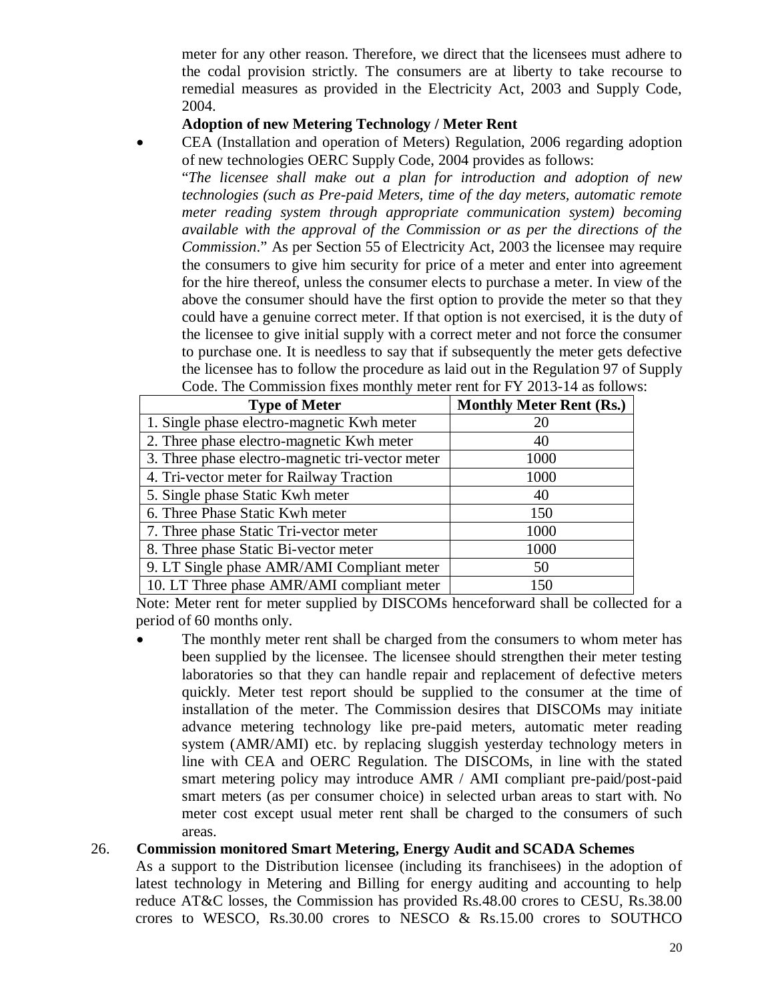meter for any other reason. Therefore, we direct that the licensees must adhere to the codal provision strictly. The consumers are at liberty to take recourse to remedial measures as provided in the Electricity Act, 2003 and Supply Code, 2004.

## **Adoption of new Metering Technology / Meter Rent**

 CEA (Installation and operation of Meters) Regulation, 2006 regarding adoption of new technologies OERC Supply Code, 2004 provides as follows:

"*The licensee shall make out a plan for introduction and adoption of new technologies (such as Pre-paid Meters, time of the day meters, automatic remote meter reading system through appropriate communication system) becoming available with the approval of the Commission or as per the directions of the Commission*." As per Section 55 of Electricity Act, 2003 the licensee may require the consumers to give him security for price of a meter and enter into agreement for the hire thereof, unless the consumer elects to purchase a meter. In view of the above the consumer should have the first option to provide the meter so that they could have a genuine correct meter. If that option is not exercised, it is the duty of the licensee to give initial supply with a correct meter and not force the consumer to purchase one. It is needless to say that if subsequently the meter gets defective the licensee has to follow the procedure as laid out in the Regulation 97 of Supply Code. The Commission fixes monthly meter rent for FY 2013-14 as follows:

| <b>Type of Meter</b>                             | <b>Monthly Meter Rent (Rs.)</b> |
|--------------------------------------------------|---------------------------------|
| 1. Single phase electro-magnetic Kwh meter       | 20                              |
| 2. Three phase electro-magnetic Kwh meter        | 40                              |
| 3. Three phase electro-magnetic tri-vector meter | 1000                            |
| 4. Tri-vector meter for Railway Traction         | 1000                            |
| 5. Single phase Static Kwh meter                 | 40                              |
| 6. Three Phase Static Kwh meter                  | 150                             |
| 7. Three phase Static Tri-vector meter           | 1000                            |
| 8. Three phase Static Bi-vector meter            | 1000                            |
| 9. LT Single phase AMR/AMI Compliant meter       | 50                              |
| 10. LT Three phase AMR/AMI compliant meter       | 150                             |

Note: Meter rent for meter supplied by DISCOMs henceforward shall be collected for a period of 60 months only.

 The monthly meter rent shall be charged from the consumers to whom meter has been supplied by the licensee. The licensee should strengthen their meter testing laboratories so that they can handle repair and replacement of defective meters quickly. Meter test report should be supplied to the consumer at the time of installation of the meter. The Commission desires that DISCOMs may initiate advance metering technology like pre-paid meters, automatic meter reading system (AMR/AMI) etc. by replacing sluggish yesterday technology meters in line with CEA and OERC Regulation. The DISCOMs, in line with the stated smart metering policy may introduce AMR / AMI compliant pre-paid/post-paid smart meters (as per consumer choice) in selected urban areas to start with. No meter cost except usual meter rent shall be charged to the consumers of such areas.

#### 26. **Commission monitored Smart Metering, Energy Audit and SCADA Schemes**

As a support to the Distribution licensee (including its franchisees) in the adoption of latest technology in Metering and Billing for energy auditing and accounting to help reduce AT&C losses, the Commission has provided Rs.48.00 crores to CESU, Rs.38.00 crores to WESCO, Rs.30.00 crores to NESCO & Rs.15.00 crores to SOUTHCO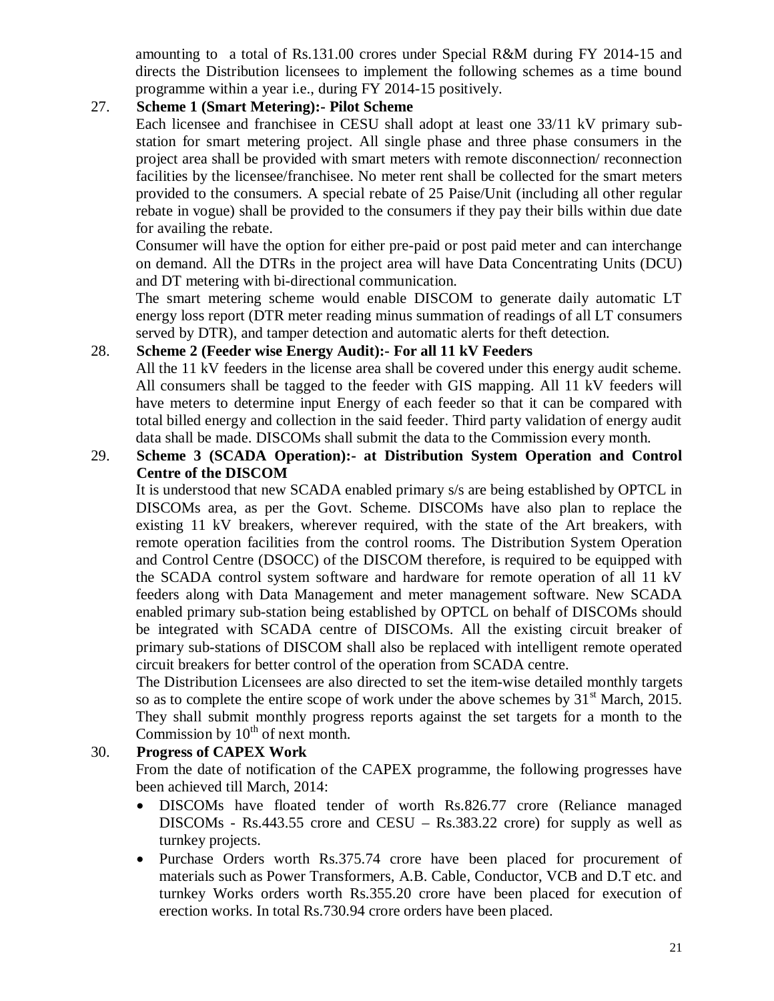amounting to a total of Rs.131.00 crores under Special R&M during FY 2014-15 and directs the Distribution licensees to implement the following schemes as a time bound programme within a year i.e., during FY 2014-15 positively.

## 27. **Scheme 1 (Smart Metering):- Pilot Scheme**

Each licensee and franchisee in CESU shall adopt at least one 33/11 kV primary substation for smart metering project. All single phase and three phase consumers in the project area shall be provided with smart meters with remote disconnection/ reconnection facilities by the licensee/franchisee. No meter rent shall be collected for the smart meters provided to the consumers. A special rebate of 25 Paise/Unit (including all other regular rebate in vogue) shall be provided to the consumers if they pay their bills within due date for availing the rebate.

Consumer will have the option for either pre-paid or post paid meter and can interchange on demand. All the DTRs in the project area will have Data Concentrating Units (DCU) and DT metering with bi-directional communication.

The smart metering scheme would enable DISCOM to generate daily automatic LT energy loss report (DTR meter reading minus summation of readings of all LT consumers served by DTR), and tamper detection and automatic alerts for theft detection.

## 28. **Scheme 2 (Feeder wise Energy Audit):- For all 11 kV Feeders**

All the 11 kV feeders in the license area shall be covered under this energy audit scheme. All consumers shall be tagged to the feeder with GIS mapping. All 11 kV feeders will have meters to determine input Energy of each feeder so that it can be compared with total billed energy and collection in the said feeder. Third party validation of energy audit data shall be made. DISCOMs shall submit the data to the Commission every month.

## 29. **Scheme 3 (SCADA Operation):- at Distribution System Operation and Control Centre of the DISCOM**

It is understood that new SCADA enabled primary s/s are being established by OPTCL in DISCOMs area, as per the Govt. Scheme. DISCOMs have also plan to replace the existing 11 kV breakers, wherever required, with the state of the Art breakers, with remote operation facilities from the control rooms. The Distribution System Operation and Control Centre (DSOCC) of the DISCOM therefore, is required to be equipped with the SCADA control system software and hardware for remote operation of all 11 kV feeders along with Data Management and meter management software. New SCADA enabled primary sub-station being established by OPTCL on behalf of DISCOMs should be integrated with SCADA centre of DISCOMs. All the existing circuit breaker of primary sub-stations of DISCOM shall also be replaced with intelligent remote operated circuit breakers for better control of the operation from SCADA centre.

The Distribution Licensees are also directed to set the item-wise detailed monthly targets so as to complete the entire scope of work under the above schemes by  $31<sup>st</sup>$  March, 2015. They shall submit monthly progress reports against the set targets for a month to the Commission by  $10<sup>th</sup>$  of next month.

## 30. **Progress of CAPEX Work**

From the date of notification of the CAPEX programme, the following progresses have been achieved till March, 2014:

- DISCOMs have floated tender of worth Rs.826.77 crore (Reliance managed DISCOMs - Rs.443.55 crore and CESU – Rs.383.22 crore) for supply as well as turnkey projects.
- Purchase Orders worth Rs.375.74 crore have been placed for procurement of materials such as Power Transformers, A.B. Cable, Conductor, VCB and D.T etc. and turnkey Works orders worth Rs.355.20 crore have been placed for execution of erection works. In total Rs.730.94 crore orders have been placed.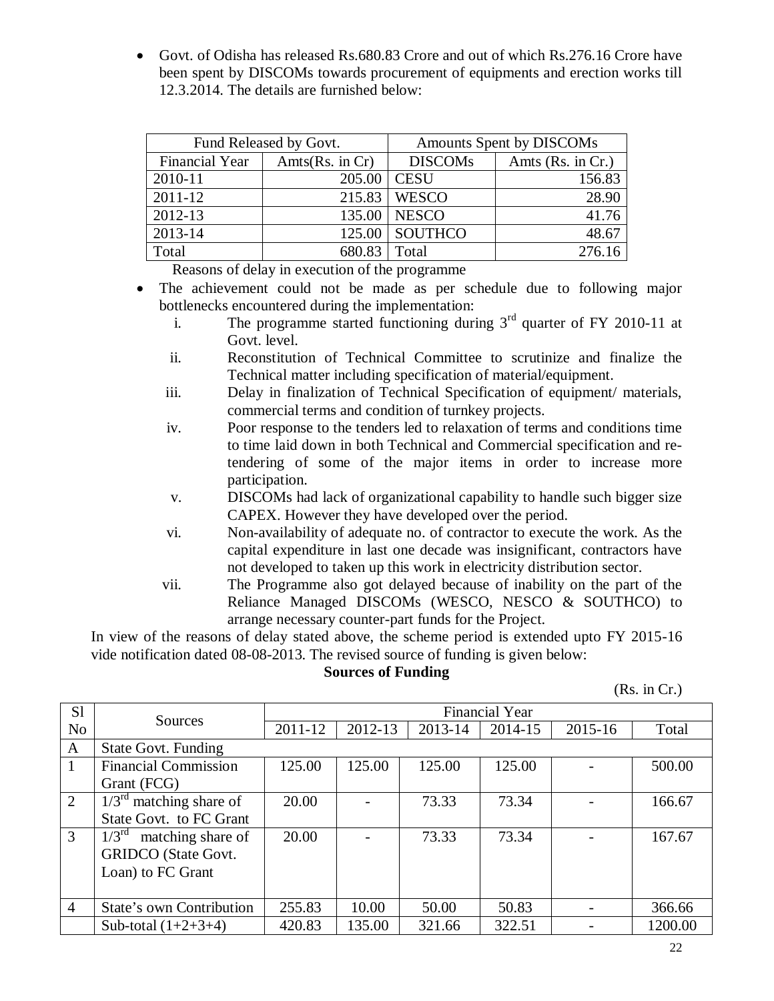Govt. of Odisha has released Rs.680.83 Crore and out of which Rs.276.16 Crore have been spent by DISCOMs towards procurement of equipments and erection works till 12.3.2014. The details are furnished below:

|                       | Fund Released by Govt. | Amounts Spent by DISCOMs |                   |  |
|-----------------------|------------------------|--------------------------|-------------------|--|
| <b>Financial Year</b> | Amts $(Rs.$ in $Cr)$   | <b>DISCOMs</b>           | Amts (Rs. in Cr.) |  |
| 2010-11               | 205.00                 | <b>CESU</b>              | 156.83            |  |
| 2011-12               |                        | 215.83   WESCO           | 28.90             |  |
| 2012-13               |                        | 135.00   NESCO           | 41.76             |  |
| 2013-14               |                        | 125.00 SOUTHCO           | 48.67             |  |
| Total                 | 680.83                 | Total                    | 276.16            |  |

Reasons of delay in execution of the programme

- The achievement could not be made as per schedule due to following major bottlenecks encountered during the implementation:
	- i. The programme started functioning during  $3<sup>rd</sup>$  quarter of FY 2010-11 at Govt. level.
	- ii. Reconstitution of Technical Committee to scrutinize and finalize the Technical matter including specification of material/equipment.
	- iii. Delay in finalization of Technical Specification of equipment/ materials, commercial terms and condition of turnkey projects.
	- iv. Poor response to the tenders led to relaxation of terms and conditions time to time laid down in both Technical and Commercial specification and retendering of some of the major items in order to increase more participation.
	- v. DISCOMs had lack of organizational capability to handle such bigger size CAPEX. However they have developed over the period.
	- vi. Non-availability of adequate no. of contractor to execute the work. As the capital expenditure in last one decade was insignificant, contractors have not developed to taken up this work in electricity distribution sector.
	- vii. The Programme also got delayed because of inability on the part of the Reliance Managed DISCOMs (WESCO, NESCO & SOUTHCO) to arrange necessary counter-part funds for the Project.

In view of the reasons of delay stated above, the scheme period is extended upto FY 2015-16 vide notification dated 08-08-2013. The revised source of funding is given below:

#### **Sources of Funding**

(Rs. in Cr.)

| S <sub>1</sub> |                                     |         | <b>Financial Year</b> |         |         |         |         |  |  |
|----------------|-------------------------------------|---------|-----------------------|---------|---------|---------|---------|--|--|
| N <sub>o</sub> | Sources                             | 2011-12 | 2012-13               | 2013-14 | 2014-15 | 2015-16 | Total   |  |  |
| A              | <b>State Govt. Funding</b>          |         |                       |         |         |         |         |  |  |
| 1              | <b>Financial Commission</b>         | 125.00  | 125.00                | 125.00  | 125.00  |         | 500.00  |  |  |
|                | Grant (FCG)                         |         |                       |         |         |         |         |  |  |
| 2              | $1/3^{\text{rd}}$ matching share of | 20.00   |                       | 73.33   | 73.34   |         | 166.67  |  |  |
|                | State Govt. to FC Grant             |         |                       |         |         |         |         |  |  |
| 3              | $1/3^{\rm rd}$<br>matching share of | 20.00   |                       | 73.33   | 73.34   |         | 167.67  |  |  |
|                | <b>GRIDCO</b> (State Govt.          |         |                       |         |         |         |         |  |  |
|                | Loan) to FC Grant                   |         |                       |         |         |         |         |  |  |
|                |                                     |         |                       |         |         |         |         |  |  |
| $\overline{4}$ | State's own Contribution            | 255.83  | 10.00                 | 50.00   | 50.83   |         | 366.66  |  |  |
|                | Sub-total $(1+2+3+4)$               | 420.83  | 135.00                | 321.66  | 322.51  |         | 1200.00 |  |  |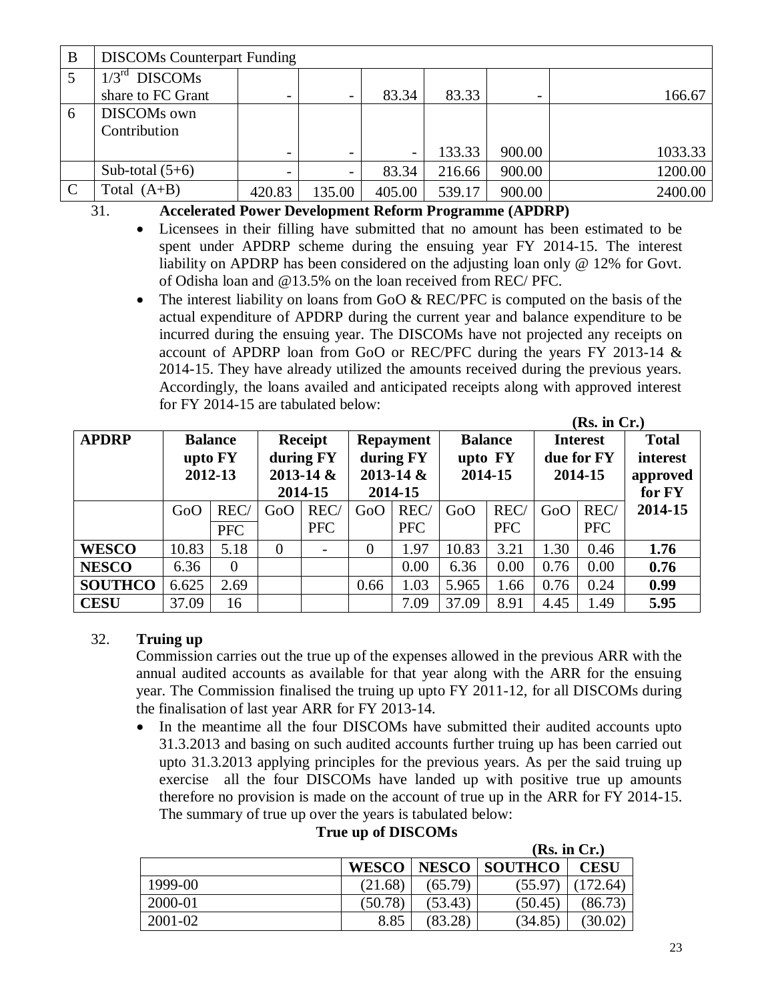| B             | <b>DISCOMs Counterpart Funding</b>                   |                          |                          |        |        |        |         |  |
|---------------|------------------------------------------------------|--------------------------|--------------------------|--------|--------|--------|---------|--|
|               | $/3^{\rm rd}$<br><b>DISCOMs</b><br>share to FC Grant | $\overline{\phantom{0}}$ | $\overline{\phantom{a}}$ | 83.34  | 83.33  |        | 166.67  |  |
| 6             | DISCOMs own<br>Contribution                          |                          |                          |        |        |        |         |  |
|               |                                                      | $\overline{\phantom{0}}$ |                          | -      | 133.33 | 900.00 | 1033.33 |  |
|               | Sub-total $(5+6)$                                    |                          |                          | 83.34  | 216.66 | 900.00 | 1200.00 |  |
| $\mathcal{C}$ | Total $(A+B)$                                        | 420.83                   | 135.00                   | 405.00 | 539.17 | 900.00 | 2400.00 |  |

31. **Accelerated Power Development Reform Programme (APDRP)** 

- Licensees in their filling have submitted that no amount has been estimated to be spent under APDRP scheme during the ensuing year FY 2014-15. The interest liability on APDRP has been considered on the adjusting loan only @ 12% for Govt. of Odisha loan and @13.5% on the loan received from REC/ PFC.
- The interest liability on loans from GoO & REC/PFC is computed on the basis of the actual expenditure of APDRP during the current year and balance expenditure to be incurred during the ensuing year. The DISCOMs have not projected any receipts on account of APDRP loan from GoO or REC/PFC during the years FY 2013-14 & 2014-15. They have already utilized the amounts received during the previous years. Accordingly, the loans availed and anticipated receipts along with approved interest for FY 2014-15 are tabulated below:

| (Rs. in Cr.)   |                                      |            |                                                  |            |                                                           |            |                                      |            |                                          |            |                                                |
|----------------|--------------------------------------|------------|--------------------------------------------------|------------|-----------------------------------------------------------|------------|--------------------------------------|------------|------------------------------------------|------------|------------------------------------------------|
| <b>APDRP</b>   | <b>Balance</b><br>upto FY<br>2012-13 |            | Receipt<br>during FY<br>$2013 - 14$ &<br>2014-15 |            | <b>Repayment</b><br>during FY<br>$2013 - 14 &$<br>2014-15 |            | <b>Balance</b><br>upto FY<br>2014-15 |            | <b>Interest</b><br>due for FY<br>2014-15 |            | <b>Total</b><br>interest<br>approved<br>for FY |
|                | GoO                                  | REC/       | GoO                                              | REC/       | GoO                                                       | REC/       | GoO                                  | REC/       | GoO                                      | REC/       | 2014-15                                        |
|                |                                      | <b>PFC</b> |                                                  | <b>PFC</b> |                                                           | <b>PFC</b> |                                      | <b>PFC</b> |                                          | <b>PFC</b> |                                                |
| <b>WESCO</b>   | 10.83                                | 5.18       | $\theta$                                         |            | 0                                                         | 1.97       | 10.83                                | 3.21       | 1.30                                     | 0.46       | 1.76                                           |
| <b>NESCO</b>   | 6.36                                 | $\theta$   |                                                  |            |                                                           | 0.00       | 6.36                                 | 0.00       | 0.76                                     | 0.00       | 0.76                                           |
| <b>SOUTHCO</b> | 6.625                                | 2.69       |                                                  |            | 0.66                                                      | 1.03       | 5.965                                | 1.66       | 0.76                                     | 0.24       | 0.99                                           |
| <b>CESU</b>    | 37.09                                | 16         |                                                  |            |                                                           | 7.09       | 37.09                                | 8.91       | 4.45                                     | 1.49       | 5.95                                           |

## 32. **Truing up**

Commission carries out the true up of the expenses allowed in the previous ARR with the annual audited accounts as available for that year along with the ARR for the ensuing year. The Commission finalised the truing up upto FY 2011-12, for all DISCOMs during the finalisation of last year ARR for FY 2013-14.

• In the meantime all the four DISCOMs have submitted their audited accounts upto 31.3.2013 and basing on such audited accounts further truing up has been carried out upto 31.3.2013 applying principles for the previous years. As per the said truing up exercise all the four DISCOMs have landed up with positive true up amounts therefore no provision is made on the account of true up in the ARR for FY 2014-15. The summary of true up over the years is tabulated below:

|         |              | (MS, III U.) |                |             |  |
|---------|--------------|--------------|----------------|-------------|--|
|         | <b>WESCO</b> | <b>NESCO</b> | <b>SOUTHCO</b> | <b>CESU</b> |  |
| 1999-00 | (21.68)      | (65.79)      | (55.97         | (172.64)    |  |
| 2000-01 | (50.78)      | (53.43)      | (50.45)        | (86.73)     |  |
| 2001-02 | 8.85         | (83.28)      | (34.85)        | (30.02)     |  |

 $(\mathbf{D}_s, \mathbf{L}, \mathbf{C}_r)$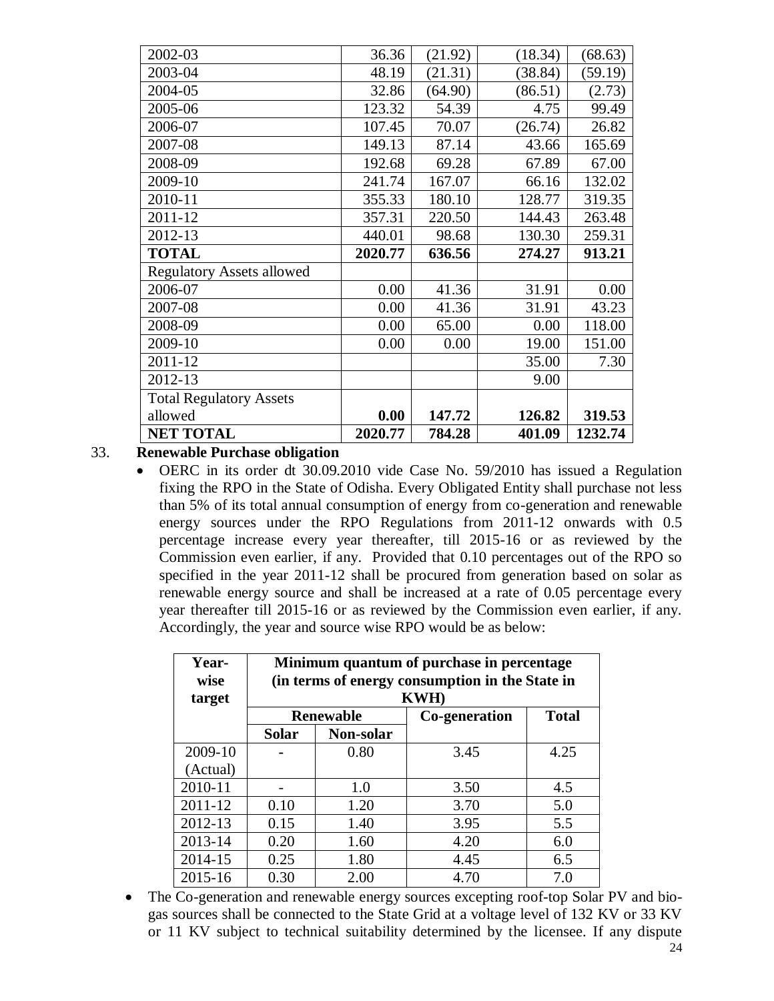| 2002-03                          | 36.36   | (21.92) | (18.34) | (68.63) |
|----------------------------------|---------|---------|---------|---------|
| 2003-04                          | 48.19   | (21.31) | (38.84) | (59.19) |
| 2004-05                          | 32.86   | (64.90) | (86.51) | (2.73)  |
| 2005-06                          | 123.32  | 54.39   | 4.75    | 99.49   |
| 2006-07                          | 107.45  | 70.07   | (26.74) | 26.82   |
| 2007-08                          | 149.13  | 87.14   | 43.66   | 165.69  |
| 2008-09                          | 192.68  | 69.28   | 67.89   | 67.00   |
| 2009-10                          | 241.74  | 167.07  | 66.16   | 132.02  |
| 2010-11                          | 355.33  | 180.10  | 128.77  | 319.35  |
| 2011-12                          | 357.31  | 220.50  | 144.43  | 263.48  |
| 2012-13                          | 440.01  | 98.68   | 130.30  | 259.31  |
|                                  |         |         |         |         |
| <b>TOTAL</b>                     | 2020.77 | 636.56  | 274.27  | 913.21  |
| <b>Regulatory Assets allowed</b> |         |         |         |         |
| 2006-07                          | 0.00    | 41.36   | 31.91   | 0.00    |
| 2007-08                          | 0.00    | 41.36   | 31.91   | 43.23   |
| 2008-09                          | 0.00    | 65.00   | 0.00    | 118.00  |
| 2009-10                          | 0.00    | 0.00    | 19.00   | 151.00  |
| $2011 - 12$                      |         |         | 35.00   | 7.30    |
| 2012-13                          |         |         | 9.00    |         |
| <b>Total Regulatory Assets</b>   |         |         |         |         |
| allowed                          | 0.00    | 147.72  | 126.82  | 319.53  |

33. **Renewable Purchase obligation**

 OERC in its order dt 30.09.2010 vide Case No. 59/2010 has issued a Regulation fixing the RPO in the State of Odisha. Every Obligated Entity shall purchase not less than 5% of its total annual consumption of energy from co-generation and renewable energy sources under the RPO Regulations from 2011-12 onwards with 0.5 percentage increase every year thereafter, till 2015-16 or as reviewed by the Commission even earlier, if any. Provided that 0.10 percentages out of the RPO so specified in the year 2011-12 shall be procured from generation based on solar as renewable energy source and shall be increased at a rate of 0.05 percentage every year thereafter till 2015-16 or as reviewed by the Commission even earlier, if any. Accordingly, the year and source wise RPO would be as below:

| Year-<br>wise<br>target | Minimum quantum of purchase in percentage<br>(in terms of energy consumption in the State in<br><b>KWH</b> ) |                  |               |              |  |  |  |  |
|-------------------------|--------------------------------------------------------------------------------------------------------------|------------------|---------------|--------------|--|--|--|--|
|                         |                                                                                                              | <b>Renewable</b> | Co-generation | <b>Total</b> |  |  |  |  |
|                         | <b>Solar</b>                                                                                                 | Non-solar        |               |              |  |  |  |  |
| 2009-10                 |                                                                                                              | 0.80             | 3.45          | 4.25         |  |  |  |  |
| (Actual)                |                                                                                                              |                  |               |              |  |  |  |  |
| 2010-11                 |                                                                                                              | 1.0              | 3.50          | 4.5          |  |  |  |  |
| 2011-12                 | 0.10                                                                                                         | 1.20             | 3.70          | 5.0          |  |  |  |  |
| 2012-13                 | 0.15                                                                                                         | 1.40             | 3.95          | 5.5          |  |  |  |  |
| 2013-14                 | 0.20                                                                                                         | 1.60             | 4.20          | 6.0          |  |  |  |  |
| 2014-15                 | 0.25                                                                                                         | 1.80             | 4.45          | 6.5          |  |  |  |  |
| 2015-16                 | 0.30                                                                                                         | 2.00             | 4.70          | 7.0          |  |  |  |  |

 The Co-generation and renewable energy sources excepting roof-top Solar PV and biogas sources shall be connected to the State Grid at a voltage level of 132 KV or 33 KV or 11 KV subject to technical suitability determined by the licensee. If any dispute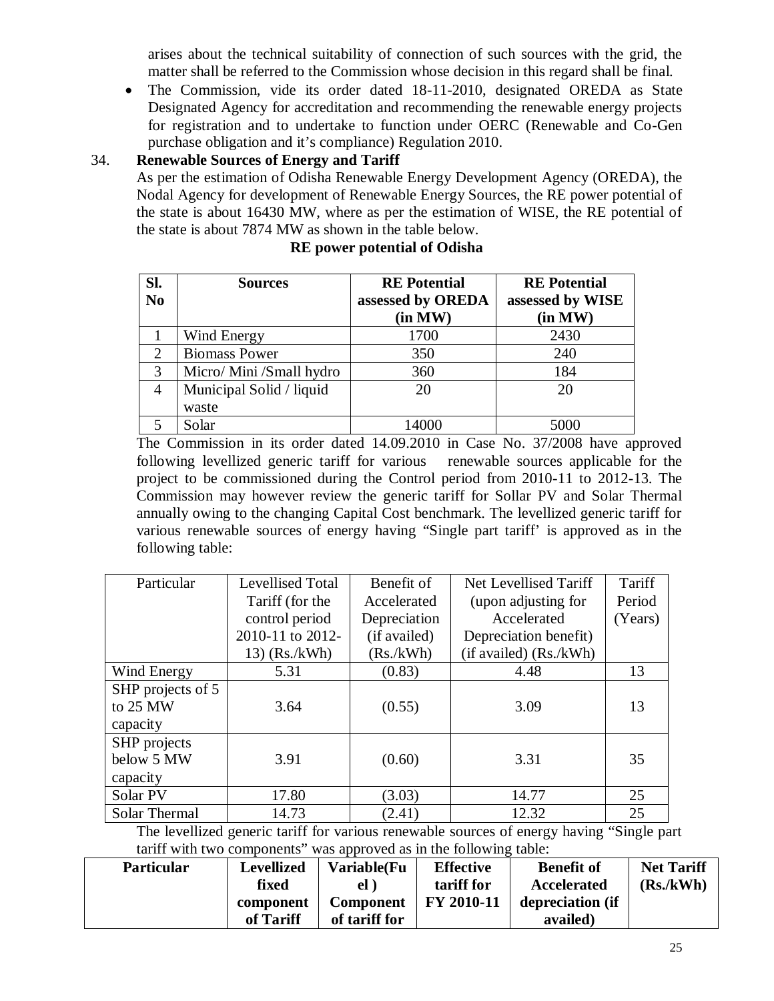arises about the technical suitability of connection of such sources with the grid, the matter shall be referred to the Commission whose decision in this regard shall be final.

 The Commission, vide its order dated 18-11-2010, designated OREDA as State Designated Agency for accreditation and recommending the renewable energy projects for registration and to undertake to function under OERC (Renewable and Co-Gen purchase obligation and it's compliance) Regulation 2010.

## 34. **Renewable Sources of Energy and Tariff**

As per the estimation of Odisha Renewable Energy Development Agency (OREDA), the Nodal Agency for development of Renewable Energy Sources, the RE power potential of the state is about 16430 MW, where as per the estimation of WISE, the RE potential of the state is about 7874 MW as shown in the table below.

| Sl.            | <b>Sources</b>           | <b>RE</b> Potential | <b>RE</b> Potential |
|----------------|--------------------------|---------------------|---------------------|
| N <sub>0</sub> |                          | assessed by OREDA   | assessed by WISE    |
|                |                          | (in MW)             | (in MW)             |
|                | Wind Energy              | 1700                | 2430                |
| 2              | <b>Biomass Power</b>     | 350                 | 240                 |
| 3              | Micro/ Mini /Small hydro | 360                 | 184                 |
| 4              | Municipal Solid / liquid | 20                  | 20                  |
|                | waste                    |                     |                     |
|                | Solar                    | 14000               | 5000                |

#### **RE power potential of Odisha**

The Commission in its order dated 14.09.2010 in Case No. 37/2008 have approved following levellized generic tariff for various renewable sources applicable for the project to be commissioned during the Control period from 2010-11 to 2012-13. The Commission may however review the generic tariff for Sollar PV and Solar Thermal annually owing to the changing Capital Cost benchmark. The levellized generic tariff for various renewable sources of energy having "Single part tariff' is approved as in the following table:

| Particular        | <b>Levellised Total</b> | Benefit of   | Net Levellised Tariff  | Tariff  |
|-------------------|-------------------------|--------------|------------------------|---------|
|                   | Tariff (for the         | Accelerated  | (upon adjusting for    | Period  |
|                   | control period          | Depreciation | Accelerated            | (Years) |
|                   | 2010-11 to 2012-        | (if availed) | Depreciation benefit)  |         |
|                   | $13)$ (Rs./kWh)         | (Rs./kWh)    | (if availed) (Rs./kWh) |         |
| Wind Energy       | 5.31                    | (0.83)       | 4.48                   | 13      |
| SHP projects of 5 |                         |              |                        |         |
| to 25 MW          | 3.64                    | (0.55)       | 3.09                   | 13      |
| capacity          |                         |              |                        |         |
| SHP projects      |                         |              |                        |         |
| below 5 MW        | 3.91                    | (0.60)       | 3.31                   | 35      |
| capacity          |                         |              |                        |         |
| Solar PV          | 17.80                   | (3.03)       | 14.77                  | 25      |
| Solar Thermal     | 14.73                   | (2.41)       | 12.32                  | 25      |

The levellized generic tariff for various renewable sources of energy having "Single part tariff with two components" was approved as in the following table:

| <b>Particular</b> | <b>Levellized</b> | <b>Variable(Fu</b> | <b>Effective</b> | <b>Benefit of</b> | <b>Net Tariff</b> |
|-------------------|-------------------|--------------------|------------------|-------------------|-------------------|
|                   | fixed             | el                 | tariff for       | Accelerated       | (Rs./kWh)         |
|                   | component         | <b>Component</b>   | FY 2010-11       | depreciation (if  |                   |
|                   | of Tariff         | of tariff for      |                  | availed)          |                   |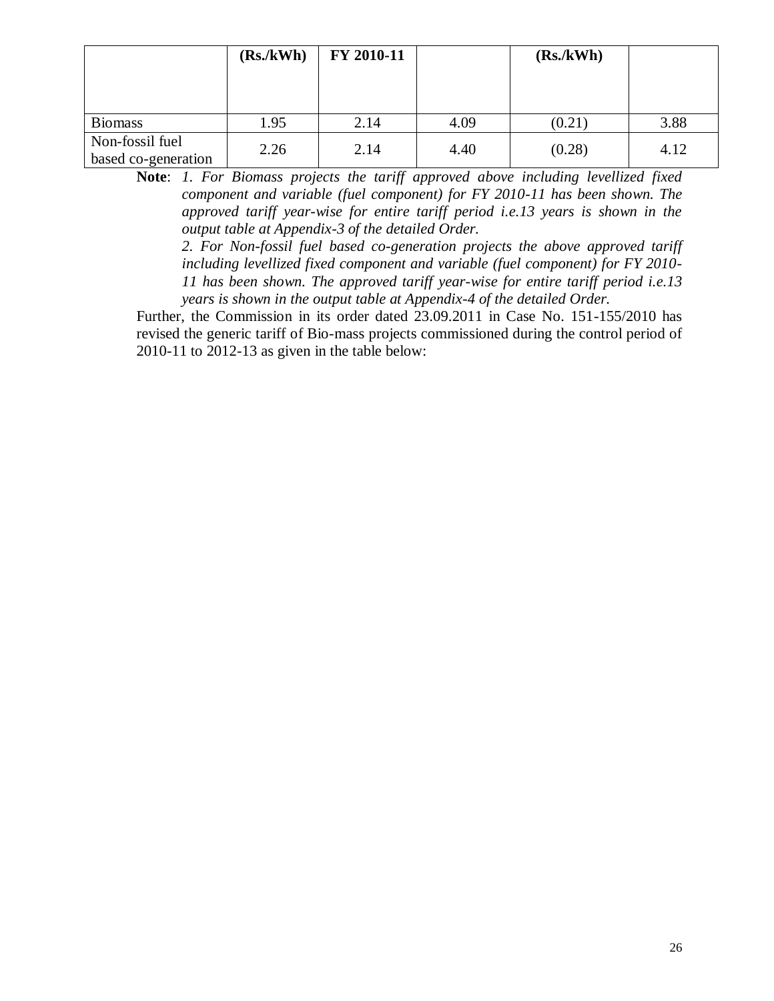|                                        | (Rs./kWh) | FY 2010-11 |      | (Rs./kWh) |      |
|----------------------------------------|-----------|------------|------|-----------|------|
| <b>Biomass</b>                         | 1.95      | 2.14       | 4.09 | (0.21)    | 3.88 |
| Non-fossil fuel<br>based co-generation | 2.26      | 2.14       | 4.40 | (0.28)    | 4.12 |

**Note**: *1. For Biomass projects the tariff approved above including levellized fixed component and variable (fuel component) for FY 2010-11 has been shown. The approved tariff year-wise for entire tariff period i.e.13 years is shown in the output table at Appendix-3 of the detailed Order.* 

*2. For Non-fossil fuel based co-generation projects the above approved tariff including levellized fixed component and variable (fuel component) for FY 2010- 11 has been shown. The approved tariff year-wise for entire tariff period i.e.13 years is shown in the output table at Appendix-4 of the detailed Order.* 

Further, the Commission in its order dated 23.09.2011 in Case No. 151-155/2010 has revised the generic tariff of Bio-mass projects commissioned during the control period of 2010-11 to 2012-13 as given in the table below: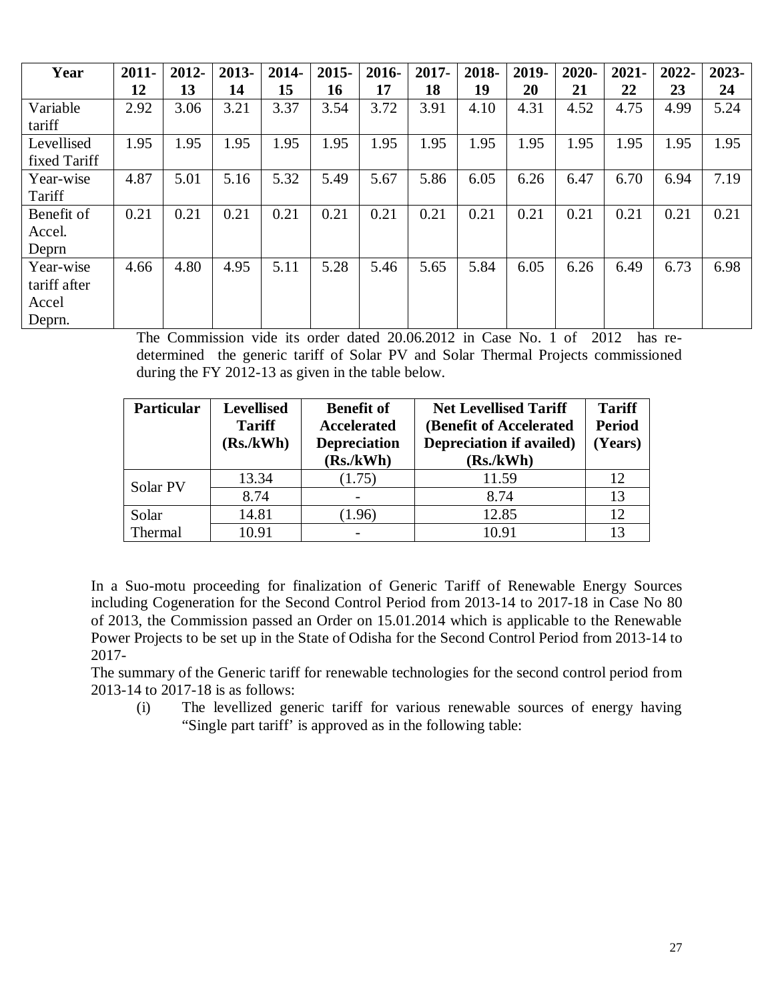| Year         | $2011 -$ | 2012- | 2013- | 2014- | $2015 -$ | 2016- | $2017 -$ | 2018- | 2019- | 2020- | 2021- | 2022- | 2023- |
|--------------|----------|-------|-------|-------|----------|-------|----------|-------|-------|-------|-------|-------|-------|
|              | 12       | 13    | 14    | 15    | 16       | 17    | 18       | 19    | 20    | 21    | 22    | 23    | 24    |
| Variable     | 2.92     | 3.06  | 3.21  | 3.37  | 3.54     | 3.72  | 3.91     | 4.10  | 4.31  | 4.52  | 4.75  | 4.99  | 5.24  |
| tariff       |          |       |       |       |          |       |          |       |       |       |       |       |       |
| Levellised   | 1.95     | 1.95  | 1.95  | 1.95  | 1.95     | 1.95  | 1.95     | 1.95  | 1.95  | 1.95  | 1.95  | 1.95  | 1.95  |
| fixed Tariff |          |       |       |       |          |       |          |       |       |       |       |       |       |
| Year-wise    | 4.87     | 5.01  | 5.16  | 5.32  | 5.49     | 5.67  | 5.86     | 6.05  | 6.26  | 6.47  | 6.70  | 6.94  | 7.19  |
| Tariff       |          |       |       |       |          |       |          |       |       |       |       |       |       |
| Benefit of   | 0.21     | 0.21  | 0.21  | 0.21  | 0.21     | 0.21  | 0.21     | 0.21  | 0.21  | 0.21  | 0.21  | 0.21  | 0.21  |
| Accel.       |          |       |       |       |          |       |          |       |       |       |       |       |       |
| Deprn        |          |       |       |       |          |       |          |       |       |       |       |       |       |
| Year-wise    | 4.66     | 4.80  | 4.95  | 5.11  | 5.28     | 5.46  | 5.65     | 5.84  | 6.05  | 6.26  | 6.49  | 6.73  | 6.98  |
| tariff after |          |       |       |       |          |       |          |       |       |       |       |       |       |
| Accel        |          |       |       |       |          |       |          |       |       |       |       |       |       |
| Deprn.       |          |       |       |       |          |       |          |       |       |       |       |       |       |

The Commission vide its order dated 20.06.2012 in Case No. 1 of 2012 has redetermined the generic tariff of Solar PV and Solar Thermal Projects commissioned during the FY 2012-13 as given in the table below.

| <b>Particular</b> | <b>Levellised</b><br><b>Tariff</b><br>(Rs./kWh) | <b>Benefit of</b><br><b>Accelerated</b><br><b>Depreciation</b><br>(Rs./kWh) | <b>Net Levellised Tariff</b><br>(Benefit of Accelerated<br><b>Depreciation if availed)</b><br>(Rs./kWh) | <b>Tariff</b><br><b>Period</b><br>(Years) |
|-------------------|-------------------------------------------------|-----------------------------------------------------------------------------|---------------------------------------------------------------------------------------------------------|-------------------------------------------|
| Solar PV          | 13.34                                           | (1.75)                                                                      | 11.59                                                                                                   | 12                                        |
|                   | 8.74                                            |                                                                             | 8.74                                                                                                    | 13                                        |
| Solar             | 14.81                                           | (1.96)                                                                      | 12.85                                                                                                   | 12                                        |
| Thermal           | 10.91                                           |                                                                             | 10.91                                                                                                   |                                           |

In a Suo-motu proceeding for finalization of Generic Tariff of Renewable Energy Sources including Cogeneration for the Second Control Period from 2013-14 to 2017-18 in Case No 80 of 2013, the Commission passed an Order on 15.01.2014 which is applicable to the Renewable Power Projects to be set up in the State of Odisha for the Second Control Period from 2013-14 to 2017-

The summary of the Generic tariff for renewable technologies for the second control period from 2013-14 to 2017-18 is as follows:

(i) The levellized generic tariff for various renewable sources of energy having "Single part tariff' is approved as in the following table: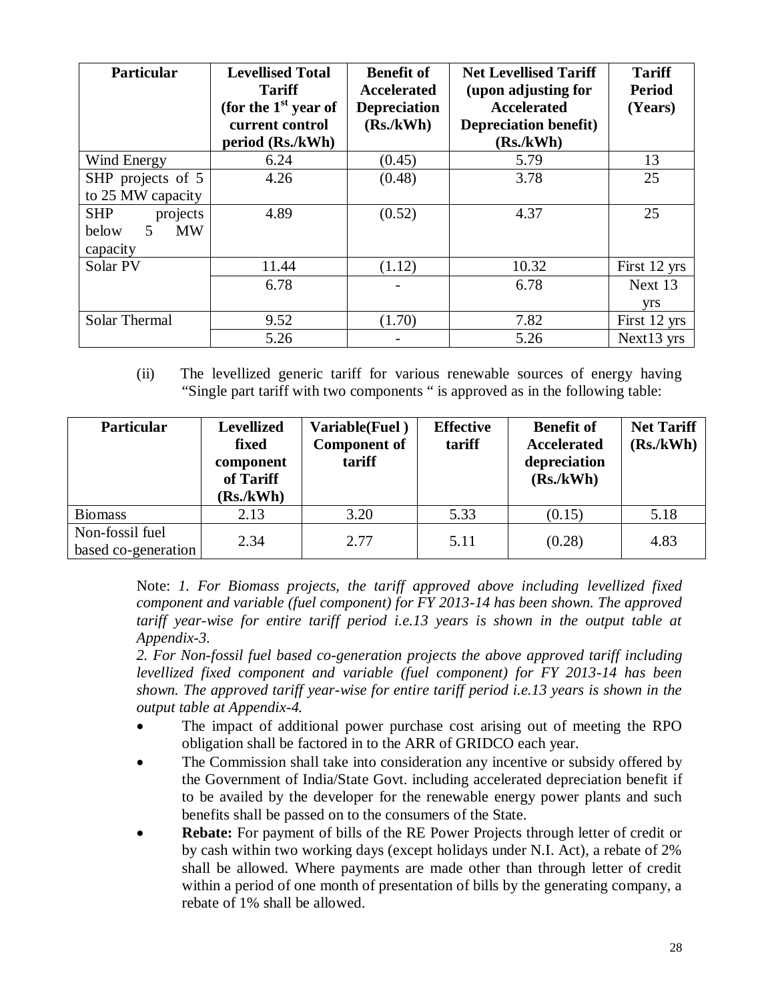| <b>Particular</b>                                                         | <b>Levellised Total</b><br><b>Tariff</b><br>(for the $1st$ year of<br>current control<br>period (Rs./kWh) | <b>Benefit of</b><br><b>Accelerated</b><br><b>Depreciation</b><br>(Rs./kWh) | <b>Net Levellised Tariff</b><br>(upon adjusting for<br><b>Accelerated</b><br><b>Depreciation benefit)</b><br>(Rs./kWh) | <b>Tariff</b><br><b>Period</b><br>(Years) |
|---------------------------------------------------------------------------|-----------------------------------------------------------------------------------------------------------|-----------------------------------------------------------------------------|------------------------------------------------------------------------------------------------------------------------|-------------------------------------------|
| Wind Energy                                                               | 6.24                                                                                                      | (0.45)                                                                      | 5.79                                                                                                                   | 13                                        |
| SHP projects of 5<br>to 25 MW capacity                                    | 4.26                                                                                                      | (0.48)                                                                      | 3.78                                                                                                                   | 25                                        |
| <b>SHP</b><br>projects<br><b>MW</b><br>below<br>$\mathcal{F}$<br>capacity | 4.89                                                                                                      | (0.52)                                                                      | 4.37                                                                                                                   | 25                                        |
| Solar PV                                                                  | 11.44                                                                                                     | (1.12)                                                                      | 10.32                                                                                                                  | First 12 yrs                              |
|                                                                           | 6.78                                                                                                      |                                                                             | 6.78                                                                                                                   | Next 13<br><b>yrs</b>                     |
| Solar Thermal                                                             | 9.52                                                                                                      | (1.70)                                                                      | 7.82                                                                                                                   | First 12 yrs                              |
|                                                                           | 5.26                                                                                                      |                                                                             | 5.26                                                                                                                   | Next13 yrs                                |

(ii) The levellized generic tariff for various renewable sources of energy having "Single part tariff with two components " is approved as in the following table:

| Particular                             | <b>Levellized</b><br>fixed<br>component<br>of Tariff<br>(Rs./kWh) | Variable(Fuel)<br><b>Component of</b><br>tariff | <b>Effective</b><br>tariff | <b>Benefit of</b><br><b>Accelerated</b><br>depreciation<br>(Rs./kWh) | <b>Net Tariff</b><br>(Rs./kWh) |
|----------------------------------------|-------------------------------------------------------------------|-------------------------------------------------|----------------------------|----------------------------------------------------------------------|--------------------------------|
| <b>Biomass</b>                         | 2.13                                                              | 3.20                                            | 5.33                       | (0.15)                                                               | 5.18                           |
| Non-fossil fuel<br>based co-generation | 2.34                                                              | 2.77                                            | 5.11                       | (0.28)                                                               | 4.83                           |

Note: *1. For Biomass projects, the tariff approved above including levellized fixed component and variable (fuel component) for FY 2013-14 has been shown. The approved tariff year-wise for entire tariff period i.e.13 years is shown in the output table at Appendix-3.*

*2. For Non-fossil fuel based co-generation projects the above approved tariff including levellized fixed component and variable (fuel component) for FY 2013-14 has been shown. The approved tariff year-wise for entire tariff period i.e.13 years is shown in the output table at Appendix-4.*

- The impact of additional power purchase cost arising out of meeting the RPO obligation shall be factored in to the ARR of GRIDCO each year.
- The Commission shall take into consideration any incentive or subsidy offered by the Government of India/State Govt. including accelerated depreciation benefit if to be availed by the developer for the renewable energy power plants and such benefits shall be passed on to the consumers of the State.
- **Rebate:** For payment of bills of the RE Power Projects through letter of credit or by cash within two working days (except holidays under N.I. Act), a rebate of 2% shall be allowed. Where payments are made other than through letter of credit within a period of one month of presentation of bills by the generating company, a rebate of 1% shall be allowed.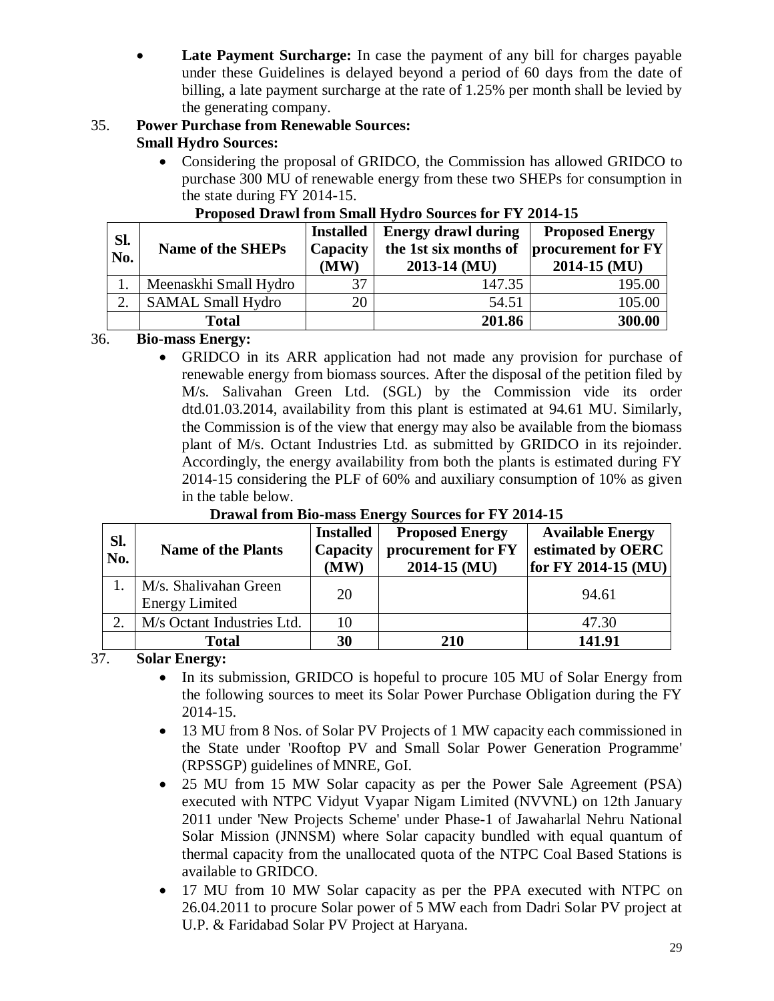**Late Payment Surcharge:** In case the payment of any bill for charges payable under these Guidelines is delayed beyond a period of 60 days from the date of billing, a late payment surcharge at the rate of 1.25% per month shall be levied by the generating company.

#### 35. **Power Purchase from Renewable Sources: Small Hydro Sources:**

 Considering the proposal of GRIDCO, the Commission has allowed GRIDCO to purchase 300 MU of renewable energy from these two SHEPs for consumption in the state during FY 2014-15.

| Sl.<br>No. | <b>Name of the SHEPs</b> | <b>Installed</b><br>Capacity<br>(MW) | <b>Energy drawl during</b><br>the 1st six months of<br>$2013-14$ (MU) | <b>Proposed Energy</b><br>procurement for FY<br>$2014 - 15$ (MU) |
|------------|--------------------------|--------------------------------------|-----------------------------------------------------------------------|------------------------------------------------------------------|
|            | Meenaskhi Small Hydro    | 37                                   | 147.35                                                                | 195.00                                                           |
| $\gamma$   | <b>SAMAL Small Hydro</b> | 20                                   | 54.51                                                                 | 105.00                                                           |
|            | <b>Total</b>             |                                      | 201.86                                                                | 300.00                                                           |

## **Proposed Drawl from Small Hydro Sources for FY 2014-15**

## 36. **Bio-mass Energy:**

 GRIDCO in its ARR application had not made any provision for purchase of renewable energy from biomass sources. After the disposal of the petition filed by M/s. Salivahan Green Ltd. (SGL) by the Commission vide its order dtd.01.03.2014, availability from this plant is estimated at 94.61 MU. Similarly, the Commission is of the view that energy may also be available from the biomass plant of M/s. Octant Industries Ltd. as submitted by GRIDCO in its rejoinder. Accordingly, the energy availability from both the plants is estimated during FY 2014-15 considering the PLF of 60% and auxiliary consumption of 10% as given in the table below.

| Sl.<br>No. | <b>Name of the Plants</b>                      | <b>Installed</b><br>Capacity<br>(MW) | <b>Proposed Energy</b><br>procurement for FY<br>2014-15 (MU) | <b>Available Energy</b><br>estimated by OERC<br>for FY 2014-15 (MU) |
|------------|------------------------------------------------|--------------------------------------|--------------------------------------------------------------|---------------------------------------------------------------------|
|            | M/s. Shalivahan Green<br><b>Energy Limited</b> | 20                                   |                                                              | 94.61                                                               |
| 2.         | M/s Octant Industries Ltd.                     | 10                                   |                                                              | 47.30                                                               |
|            | <b>Total</b>                                   | 30                                   | 210                                                          | 141.91                                                              |

## **Drawal from Bio-mass Energy Sources for FY 2014-15**

37. **Solar Energy:** 

- In its submission, GRIDCO is hopeful to procure 105 MU of Solar Energy from the following sources to meet its Solar Power Purchase Obligation during the FY 2014-15.
- 13 MU from 8 Nos. of Solar PV Projects of 1 MW capacity each commissioned in the State under 'Rooftop PV and Small Solar Power Generation Programme' (RPSSGP) guidelines of MNRE, GoI.
- 25 MU from 15 MW Solar capacity as per the Power Sale Agreement (PSA) executed with NTPC Vidyut Vyapar Nigam Limited (NVVNL) on 12th January 2011 under 'New Projects Scheme' under Phase-1 of Jawaharlal Nehru National Solar Mission (JNNSM) where Solar capacity bundled with equal quantum of thermal capacity from the unallocated quota of the NTPC Coal Based Stations is available to GRIDCO.
- 17 MU from 10 MW Solar capacity as per the PPA executed with NTPC on 26.04.2011 to procure Solar power of 5 MW each from Dadri Solar PV project at U.P. & Faridabad Solar PV Project at Haryana.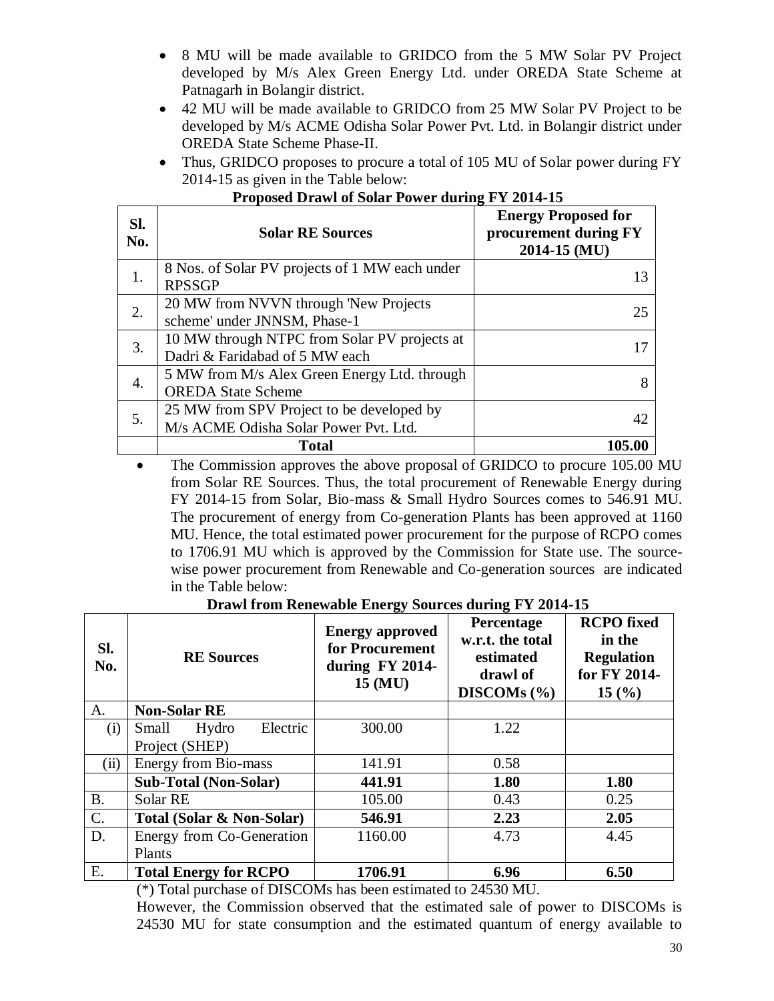- 8 MU will be made available to GRIDCO from the 5 MW Solar PV Project developed by M/s Alex Green Energy Ltd. under OREDA State Scheme at Patnagarh in Bolangir district.
- 42 MU will be made available to GRIDCO from 25 MW Solar PV Project to be developed by M/s ACME Odisha Solar Power Pvt. Ltd. in Bolangir district under OREDA State Scheme Phase-II.
- Thus, GRIDCO proposes to procure a total of 105 MU of Solar power during FY 2014-15 as given in the Table below:

| Sl.<br>No. | <b>Solar RE Sources</b>                                                            | <b>Energy Proposed for</b><br>procurement during FY<br>2014-15 (MU) |
|------------|------------------------------------------------------------------------------------|---------------------------------------------------------------------|
| 1.         | 8 Nos. of Solar PV projects of 1 MW each under<br><b>RPSSGP</b>                    | 13                                                                  |
| 2.         | 20 MW from NVVN through 'New Projects<br>scheme' under JNNSM, Phase-1              | 25                                                                  |
| 3.         | 10 MW through NTPC from Solar PV projects at<br>Dadri & Faridabad of 5 MW each     |                                                                     |
| 4.         | 5 MW from M/s Alex Green Energy Ltd. through<br><b>OREDA State Scheme</b>          |                                                                     |
| 5.         | 25 MW from SPV Project to be developed by<br>M/s ACME Odisha Solar Power Pvt. Ltd. | 42                                                                  |
|            | Total                                                                              | 105.00                                                              |

#### **Proposed Drawl of Solar Power during FY 2014-15**

 The Commission approves the above proposal of GRIDCO to procure 105.00 MU from Solar RE Sources. Thus, the total procurement of Renewable Energy during FY 2014-15 from Solar, Bio-mass & Small Hydro Sources comes to 546.91 MU. The procurement of energy from Co-generation Plants has been approved at 1160 MU. Hence, the total estimated power procurement for the purpose of RCPO comes to 1706.91 MU which is approved by the Commission for State use. The sourcewise power procurement from Renewable and Co-generation sources are indicated in the Table below:

| Sl.<br>No. | <b>RE Sources</b>            | <b>Energy approved</b><br>for Procurement<br>during FY 2014-<br>15 (MU) | Percentage<br>w.r.t. the total<br>estimated<br>drawl of<br>DISCOMs $(\% )$ | <b>RCPO</b> fixed<br>in the<br><b>Regulation</b><br>for FY 2014-<br>15(%) |
|------------|------------------------------|-------------------------------------------------------------------------|----------------------------------------------------------------------------|---------------------------------------------------------------------------|
| A.         | <b>Non-Solar RE</b>          |                                                                         |                                                                            |                                                                           |
| (i)        | Electric<br>Hydro<br>Small   | 300.00                                                                  | 1.22                                                                       |                                                                           |
|            | Project (SHEP)               |                                                                         |                                                                            |                                                                           |
| (ii)       | Energy from Bio-mass         | 141.91                                                                  | 0.58                                                                       |                                                                           |
|            | <b>Sub-Total (Non-Solar)</b> | 441.91                                                                  | 1.80                                                                       | 1.80                                                                      |
| <b>B.</b>  | Solar RE                     | 105.00                                                                  | 0.43                                                                       | 0.25                                                                      |
| C.         | Total (Solar & Non-Solar)    | 546.91                                                                  | 2.23                                                                       | 2.05                                                                      |
| D.         | Energy from Co-Generation    | 1160.00                                                                 | 4.73                                                                       | 4.45                                                                      |
|            | Plants                       |                                                                         |                                                                            |                                                                           |
| E.         | <b>Total Energy for RCPO</b> | 1706.91                                                                 | 6.96                                                                       | 6.50                                                                      |

**Drawl from Renewable Energy Sources during FY 2014-15**

(\*) Total purchase of DISCOMs has been estimated to 24530 MU.

However, the Commission observed that the estimated sale of power to DISCOMs is 24530 MU for state consumption and the estimated quantum of energy available to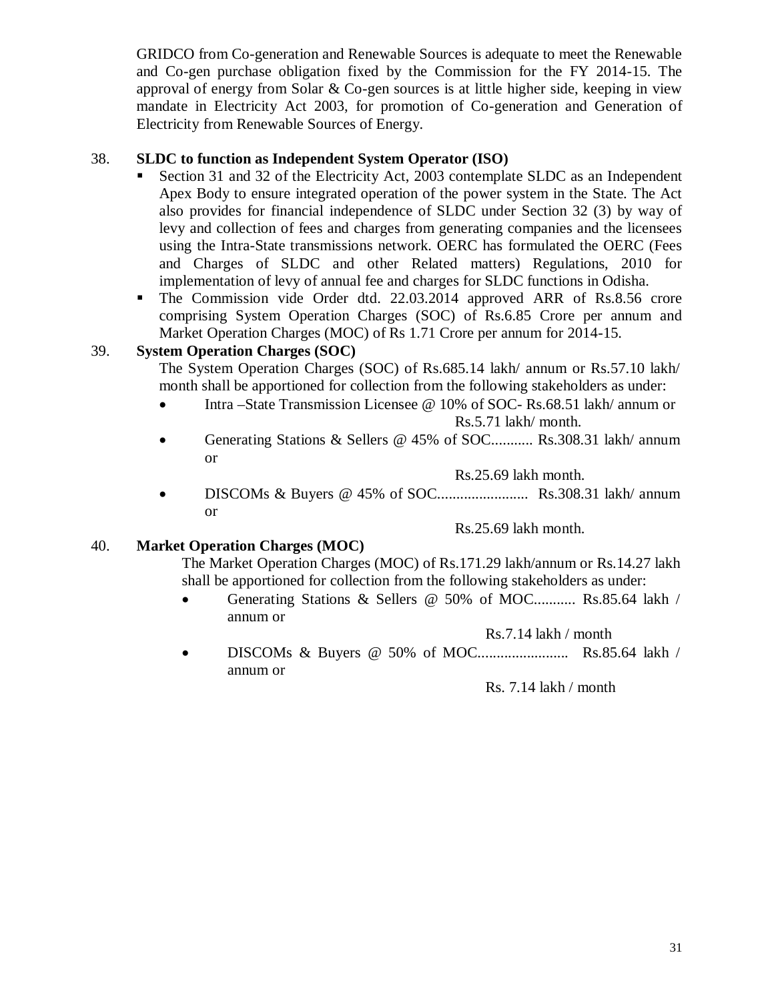GRIDCO from Co-generation and Renewable Sources is adequate to meet the Renewable and Co-gen purchase obligation fixed by the Commission for the FY 2014-15. The approval of energy from Solar  $&$  Co-gen sources is at little higher side, keeping in view mandate in Electricity Act 2003, for promotion of Co-generation and Generation of Electricity from Renewable Sources of Energy.

## 38. **SLDC to function as Independent System Operator (ISO)**

- Section 31 and 32 of the Electricity Act, 2003 contemplate SLDC as an Independent Apex Body to ensure integrated operation of the power system in the State. The Act also provides for financial independence of SLDC under Section 32 (3) by way of levy and collection of fees and charges from generating companies and the licensees using the Intra-State transmissions network. OERC has formulated the OERC (Fees and Charges of SLDC and other Related matters) Regulations, 2010 for implementation of levy of annual fee and charges for SLDC functions in Odisha.
- The Commission vide Order dtd. 22.03.2014 approved ARR of Rs.8.56 crore comprising System Operation Charges (SOC) of Rs.6.85 Crore per annum and Market Operation Charges (MOC) of Rs 1.71 Crore per annum for 2014-15.

#### 39. **System Operation Charges (SOC)**

The System Operation Charges (SOC) of Rs.685.14 lakh/ annum or Rs.57.10 lakh/ month shall be apportioned for collection from the following stakeholders as under:

- Intra –State Transmission Licensee @ 10% of SOC- Rs.68.51 lakh/ annum or Rs.5.71 lakh/ month.
- Generating Stations & Sellers @ 45% of SOC........... Rs.308.31 lakh/ annum or

Rs.25.69 lakh month.

 DISCOMs & Buyers @ 45% of SOC........................ Rs.308.31 lakh/ annum or

Rs.25.69 lakh month.

#### 40. **Market Operation Charges (MOC)**

The Market Operation Charges (MOC) of Rs.171.29 lakh/annum or Rs.14.27 lakh shall be apportioned for collection from the following stakeholders as under:

 Generating Stations & Sellers @ 50% of MOC........... Rs.85.64 lakh / annum or

Rs.7.14 lakh / month

 DISCOMs & Buyers @ 50% of MOC........................ Rs.85.64 lakh / annum or

Rs. 7.14 lakh / month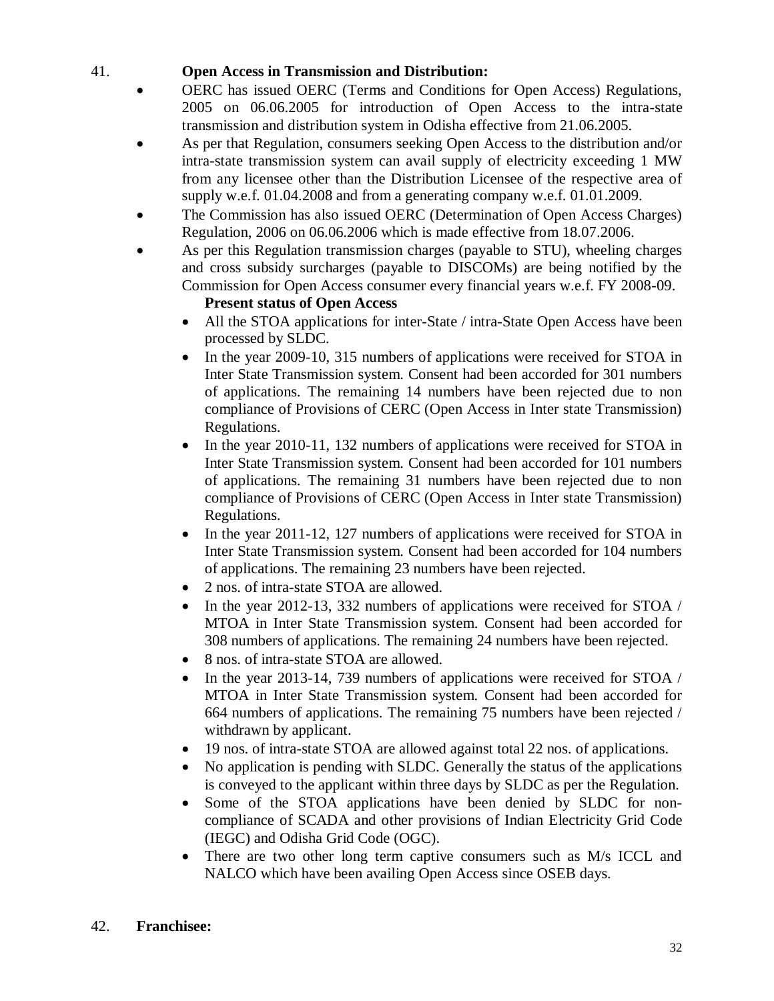## 41. **Open Access in Transmission and Distribution:**

- OERC has issued OERC (Terms and Conditions for Open Access) Regulations, 2005 on 06.06.2005 for introduction of Open Access to the intra-state transmission and distribution system in Odisha effective from 21.06.2005.
- As per that Regulation, consumers seeking Open Access to the distribution and/or intra-state transmission system can avail supply of electricity exceeding 1 MW from any licensee other than the Distribution Licensee of the respective area of supply w.e.f. 01.04.2008 and from a generating company w.e.f. 01.01.2009.
- The Commission has also issued OERC (Determination of Open Access Charges) Regulation, 2006 on 06.06.2006 which is made effective from 18.07.2006.
- As per this Regulation transmission charges (payable to STU), wheeling charges and cross subsidy surcharges (payable to DISCOMs) are being notified by the Commission for Open Access consumer every financial years w.e.f. FY 2008-09.

## **Present status of Open Access**

- All the STOA applications for inter-State / intra-State Open Access have been processed by SLDC.
- In the year 2009-10, 315 numbers of applications were received for STOA in Inter State Transmission system. Consent had been accorded for 301 numbers of applications. The remaining 14 numbers have been rejected due to non compliance of Provisions of CERC (Open Access in Inter state Transmission) Regulations.
- In the year 2010-11, 132 numbers of applications were received for STOA in Inter State Transmission system. Consent had been accorded for 101 numbers of applications. The remaining 31 numbers have been rejected due to non compliance of Provisions of CERC (Open Access in Inter state Transmission) Regulations.
- In the year 2011-12, 127 numbers of applications were received for STOA in Inter State Transmission system. Consent had been accorded for 104 numbers of applications. The remaining 23 numbers have been rejected.
- 2 nos. of intra-state STOA are allowed.
- In the year 2012-13, 332 numbers of applications were received for STOA / MTOA in Inter State Transmission system. Consent had been accorded for 308 numbers of applications. The remaining 24 numbers have been rejected.
- 8 nos. of intra-state STOA are allowed.
- In the year 2013-14, 739 numbers of applications were received for STOA / MTOA in Inter State Transmission system. Consent had been accorded for 664 numbers of applications. The remaining 75 numbers have been rejected / withdrawn by applicant.
- 19 nos. of intra-state STOA are allowed against total 22 nos. of applications.
- No application is pending with SLDC. Generally the status of the applications is conveyed to the applicant within three days by SLDC as per the Regulation.
- Some of the STOA applications have been denied by SLDC for noncompliance of SCADA and other provisions of Indian Electricity Grid Code (IEGC) and Odisha Grid Code (OGC).
- There are two other long term captive consumers such as M/s ICCL and NALCO which have been availing Open Access since OSEB days.

## 42. **Franchisee:**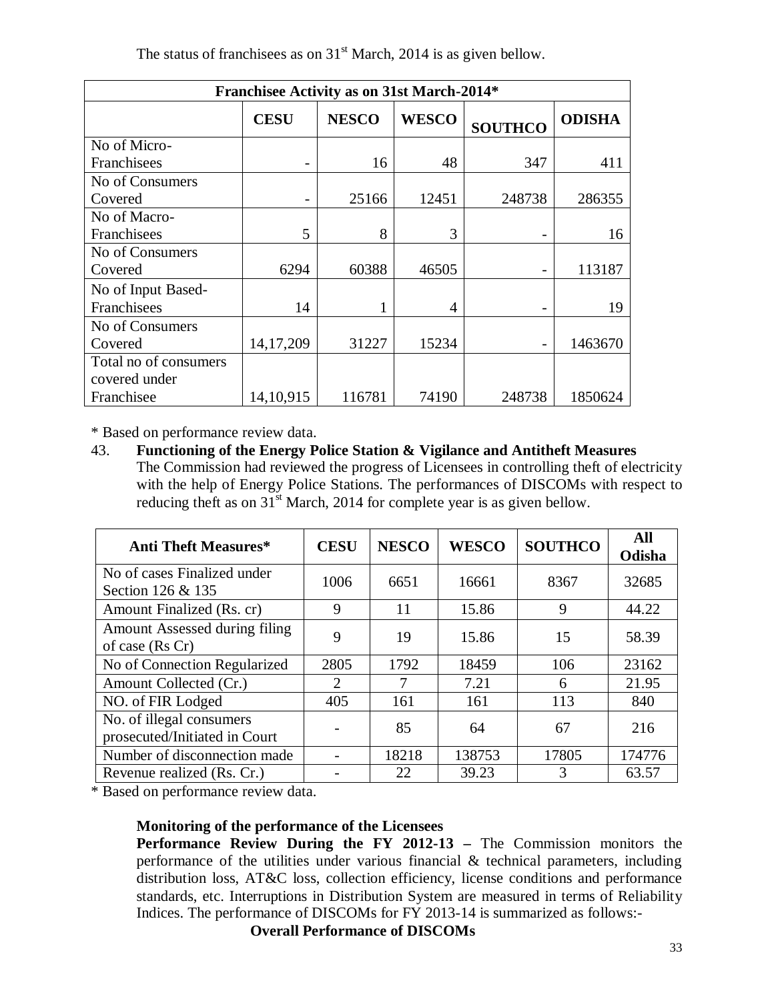The status of franchisees as on  $31<sup>st</sup>$  March, 2014 is as given bellow.

| <b>Franchisee Activity as on 31st March-2014*</b>                              |             |        |                |        |         |  |  |  |  |  |
|--------------------------------------------------------------------------------|-------------|--------|----------------|--------|---------|--|--|--|--|--|
| <b>NESCO</b><br><b>WESCO</b><br><b>CESU</b><br><b>ODISHA</b><br><b>SOUTHCO</b> |             |        |                |        |         |  |  |  |  |  |
| No of Micro-                                                                   |             |        |                |        |         |  |  |  |  |  |
| Franchisees                                                                    |             | 16     | 48             | 347    | 411     |  |  |  |  |  |
| No of Consumers                                                                |             |        |                |        |         |  |  |  |  |  |
| Covered                                                                        |             | 25166  | 12451          | 248738 | 286355  |  |  |  |  |  |
| No of Macro-                                                                   |             |        |                |        |         |  |  |  |  |  |
| Franchisees                                                                    | 5           | 8      | 3              |        | 16      |  |  |  |  |  |
| No of Consumers                                                                |             |        |                |        |         |  |  |  |  |  |
| Covered                                                                        | 6294        | 60388  | 46505          |        | 113187  |  |  |  |  |  |
| No of Input Based-                                                             |             |        |                |        |         |  |  |  |  |  |
| Franchisees                                                                    | 14          |        | $\overline{A}$ |        | 19      |  |  |  |  |  |
| No of Consumers                                                                |             |        |                |        |         |  |  |  |  |  |
| Covered                                                                        | 14, 17, 209 | 31227  | 15234          |        | 1463670 |  |  |  |  |  |
| Total no of consumers                                                          |             |        |                |        |         |  |  |  |  |  |
| covered under                                                                  |             |        |                |        |         |  |  |  |  |  |
| Franchisee                                                                     | 14,10,915   | 116781 | 74190          | 248738 | 1850624 |  |  |  |  |  |

\* Based on performance review data.

#### 43. **Functioning of the Energy Police Station & Vigilance and Antitheft Measures** The Commission had reviewed the progress of Licensees in controlling theft of electricity with the help of Energy Police Stations. The performances of DISCOMs with respect to reducing theft as on  $31<sup>st</sup>$  March, 2014 for complete year is as given bellow.

| <b>Anti Theft Measures*</b>                               | <b>CESU</b> | <b>NESCO</b> | <b>WESCO</b> | <b>SOUTHCO</b> | All<br>Odisha |
|-----------------------------------------------------------|-------------|--------------|--------------|----------------|---------------|
| No of cases Finalized under<br>Section 126 & 135          | 1006        | 6651         | 16661        | 8367           | 32685         |
| Amount Finalized (Rs. cr)                                 | 9           | 11           | 15.86        | 9              | 44.22         |
| Amount Assessed during filing<br>of case (Rs Cr)          | 9           | 19           | 15.86        | 15             | 58.39         |
| No of Connection Regularized                              | 2805        | 1792         | 18459        | 106            | 23162         |
| Amount Collected (Cr.)                                    | 2           |              | 7.21         | 6              | 21.95         |
| NO. of FIR Lodged                                         | 405         | 161          | 161          | 113            | 840           |
| No. of illegal consumers<br>prosecuted/Initiated in Court |             | 85           | 64           | 67             | 216           |
| Number of disconnection made                              |             | 18218        | 138753       | 17805          | 174776        |
| Revenue realized (Rs. Cr.)                                |             | 22           | 39.23        | 3              | 63.57         |

\* Based on performance review data.

## **Monitoring of the performance of the Licensees**

**Performance Review During the FY 2012-13 –** The Commission monitors the performance of the utilities under various financial & technical parameters, including distribution loss, AT&C loss, collection efficiency, license conditions and performance standards, etc. Interruptions in Distribution System are measured in terms of Reliability Indices. The performance of DISCOMs for FY 2013-14 is summarized as follows:-

**Overall Performance of DISCOMs**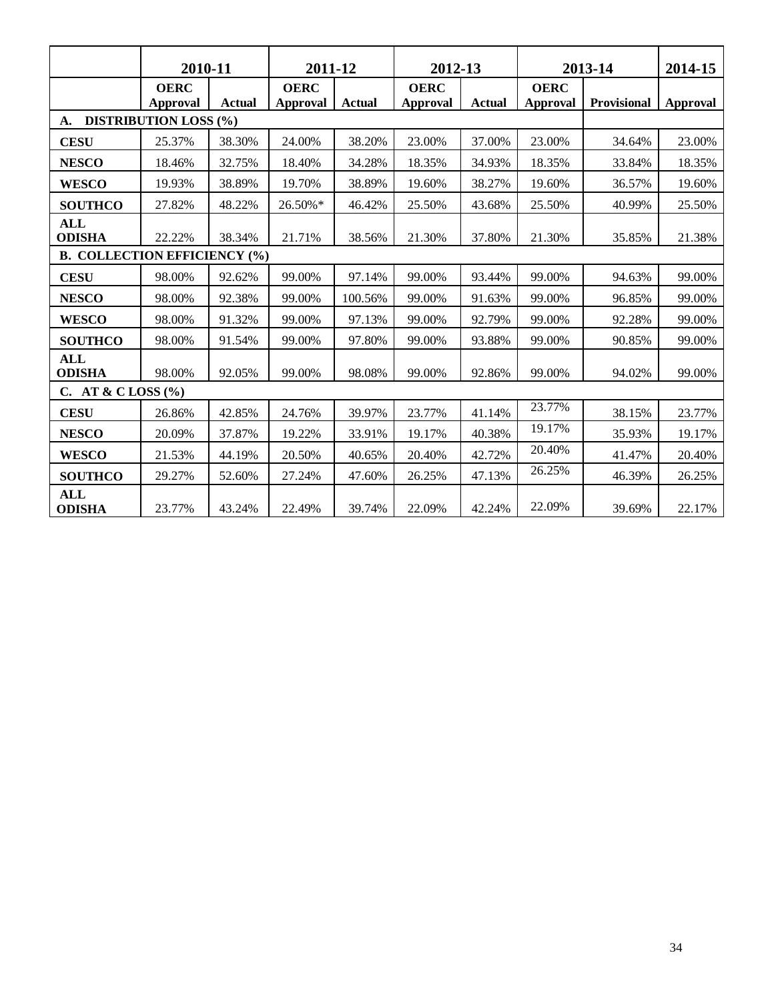|                                     | 2010-11                      |               | 2011-12                 |               | 2012-13                        |        | 2013-14                        |             | 2014-15  |
|-------------------------------------|------------------------------|---------------|-------------------------|---------------|--------------------------------|--------|--------------------------------|-------------|----------|
|                                     | <b>OERC</b><br>Approval      | <b>Actual</b> | <b>OERC</b><br>Approval | <b>Actual</b> | <b>OERC</b><br><b>Approval</b> | Actual | <b>OERC</b><br><b>Approval</b> | Provisional | Approval |
| A.                                  | <b>DISTRIBUTION LOSS (%)</b> |               |                         |               |                                |        |                                |             |          |
| <b>CESU</b>                         | 25.37%                       | 38.30%        | 24.00%                  | 38.20%        | 23.00%                         | 37.00% | 23.00%                         | 34.64%      | 23.00%   |
| <b>NESCO</b>                        | 18.46%                       | 32.75%        | 18.40%                  | 34.28%        | 18.35%                         | 34.93% | 18.35%                         | 33.84%      | 18.35%   |
| <b>WESCO</b>                        | 19.93%                       | 38.89%        | 19.70%                  | 38.89%        | 19.60%                         | 38.27% | 19.60%                         | 36.57%      | 19.60%   |
| <b>SOUTHCO</b>                      | 27.82%                       | 48.22%        | 26.50%*                 | 46.42%        | 25.50%                         | 43.68% | 25.50%                         | 40.99%      | 25.50%   |
| <b>ALL</b><br><b>ODISHA</b>         | 22.22%                       | 38.34%        | 21.71%                  | 38.56%        | 21.30%                         | 37.80% | 21.30%                         | 35.85%      | 21.38%   |
| <b>B. COLLECTION EFFICIENCY (%)</b> |                              |               |                         |               |                                |        |                                |             |          |
| <b>CESU</b>                         | 98.00%                       | 92.62%        | 99.00%                  | 97.14%        | 99.00%                         | 93.44% | 99.00%                         | 94.63%      | 99.00%   |
| <b>NESCO</b>                        | 98.00%                       | 92.38%        | 99.00%                  | 100.56%       | 99.00%                         | 91.63% | 99.00%                         | 96.85%      | 99.00%   |
| <b>WESCO</b>                        | 98.00%                       | 91.32%        | 99.00%                  | 97.13%        | 99.00%                         | 92.79% | 99.00%                         | 92.28%      | 99.00%   |
| <b>SOUTHCO</b>                      | 98.00%                       | 91.54%        | 99.00%                  | 97.80%        | 99.00%                         | 93.88% | 99.00%                         | 90.85%      | 99.00%   |
| <b>ALL</b><br><b>ODISHA</b>         | 98.00%                       | 92.05%        | 99.00%                  | 98.08%        | 99.00%                         | 92.86% | 99.00%                         | 94.02%      | 99.00%   |
| C. AT & CLOSS $(\%$                 |                              |               |                         |               |                                |        |                                |             |          |
| <b>CESU</b>                         | 26.86%                       | 42.85%        | 24.76%                  | 39.97%        | 23.77%                         | 41.14% | 23.77%                         | 38.15%      | 23.77%   |
| <b>NESCO</b>                        | 20.09%                       | 37.87%        | 19.22%                  | 33.91%        | 19.17%                         | 40.38% | 19.17%                         | 35.93%      | 19.17%   |
| <b>WESCO</b>                        | 21.53%                       | 44.19%        | 20.50%                  | 40.65%        | 20.40%                         | 42.72% | 20.40%                         | 41.47%      | 20.40%   |
| <b>SOUTHCO</b>                      | 29.27%                       | 52.60%        | 27.24%                  | 47.60%        | 26.25%                         | 47.13% | 26.25%                         | 46.39%      | 26.25%   |
| <b>ALL</b><br><b>ODISHA</b>         | 23.77%                       | 43.24%        | 22.49%                  | 39.74%        | 22.09%                         | 42.24% | 22.09%                         | 39.69%      | 22.17%   |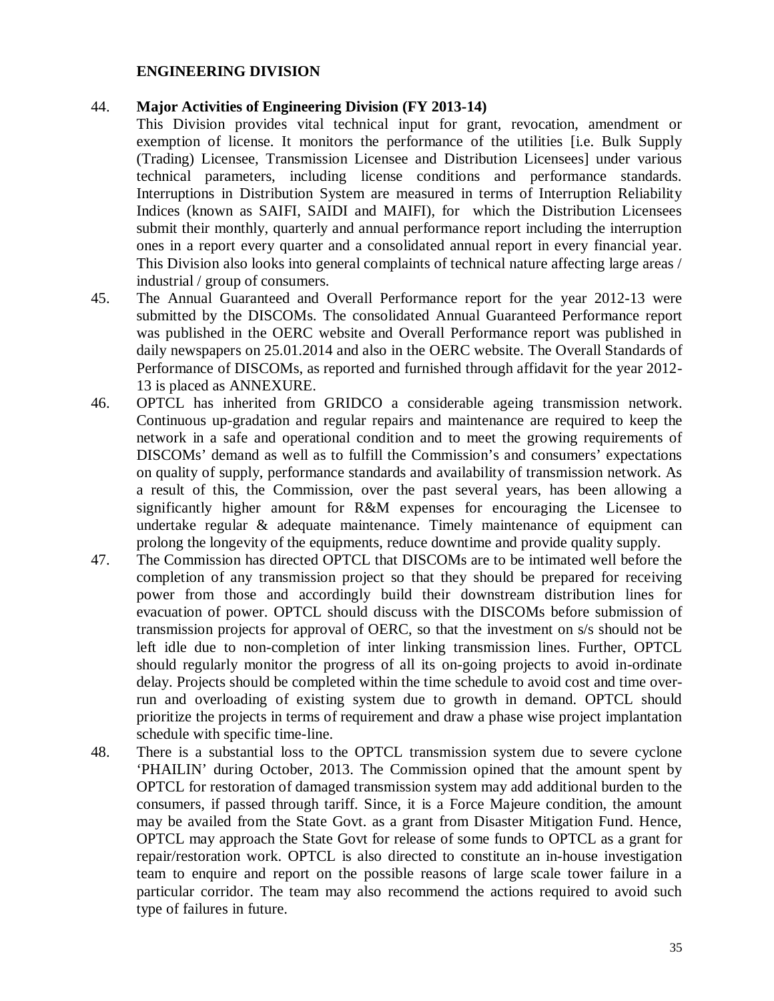#### **ENGINEERING DIVISION**

#### 44. **Major Activities of Engineering Division (FY 2013-14)**

This Division provides vital technical input for grant, revocation, amendment or exemption of license. It monitors the performance of the utilities [i.e. Bulk Supply (Trading) Licensee, Transmission Licensee and Distribution Licensees] under various technical parameters, including license conditions and performance standards. Interruptions in Distribution System are measured in terms of Interruption Reliability Indices (known as SAIFI, SAIDI and MAIFI), for which the Distribution Licensees submit their monthly, quarterly and annual performance report including the interruption ones in a report every quarter and a consolidated annual report in every financial year. This Division also looks into general complaints of technical nature affecting large areas / industrial / group of consumers.

- 45. The Annual Guaranteed and Overall Performance report for the year 2012-13 were submitted by the DISCOMs. The consolidated Annual Guaranteed Performance report was published in the OERC website and Overall Performance report was published in daily newspapers on 25.01.2014 and also in the OERC website. The Overall Standards of Performance of DISCOMs, as reported and furnished through affidavit for the year 2012- 13 is placed as ANNEXURE.
- 46. OPTCL has inherited from GRIDCO a considerable ageing transmission network. Continuous up-gradation and regular repairs and maintenance are required to keep the network in a safe and operational condition and to meet the growing requirements of DISCOMs' demand as well as to fulfill the Commission's and consumers' expectations on quality of supply, performance standards and availability of transmission network. As a result of this, the Commission, over the past several years, has been allowing a significantly higher amount for R&M expenses for encouraging the Licensee to undertake regular & adequate maintenance. Timely maintenance of equipment can prolong the longevity of the equipments, reduce downtime and provide quality supply.
- 47. The Commission has directed OPTCL that DISCOMs are to be intimated well before the completion of any transmission project so that they should be prepared for receiving power from those and accordingly build their downstream distribution lines for evacuation of power. OPTCL should discuss with the DISCOMs before submission of transmission projects for approval of OERC, so that the investment on s/s should not be left idle due to non-completion of inter linking transmission lines. Further, OPTCL should regularly monitor the progress of all its on-going projects to avoid in-ordinate delay. Projects should be completed within the time schedule to avoid cost and time overrun and overloading of existing system due to growth in demand. OPTCL should prioritize the projects in terms of requirement and draw a phase wise project implantation schedule with specific time-line.
- 48. There is a substantial loss to the OPTCL transmission system due to severe cyclone 'PHAILIN' during October, 2013. The Commission opined that the amount spent by OPTCL for restoration of damaged transmission system may add additional burden to the consumers, if passed through tariff. Since, it is a Force Majeure condition, the amount may be availed from the State Govt. as a grant from Disaster Mitigation Fund. Hence, OPTCL may approach the State Govt for release of some funds to OPTCL as a grant for repair/restoration work. OPTCL is also directed to constitute an in-house investigation team to enquire and report on the possible reasons of large scale tower failure in a particular corridor. The team may also recommend the actions required to avoid such type of failures in future.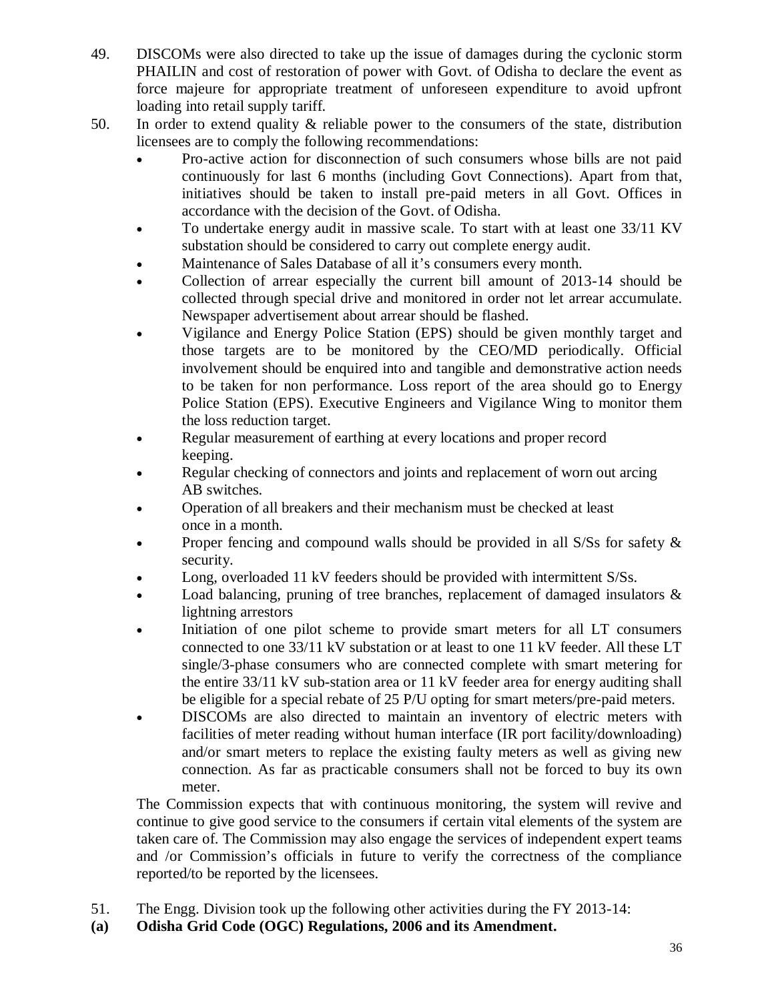- 49. DISCOMs were also directed to take up the issue of damages during the cyclonic storm PHAILIN and cost of restoration of power with Govt. of Odisha to declare the event as force majeure for appropriate treatment of unforeseen expenditure to avoid upfront loading into retail supply tariff.
- 50. In order to extend quality & reliable power to the consumers of the state, distribution licensees are to comply the following recommendations:
	- Pro-active action for disconnection of such consumers whose bills are not paid continuously for last 6 months (including Govt Connections). Apart from that, initiatives should be taken to install pre-paid meters in all Govt. Offices in accordance with the decision of the Govt. of Odisha.
	- To undertake energy audit in massive scale. To start with at least one 33/11 KV substation should be considered to carry out complete energy audit.
	- Maintenance of Sales Database of all it's consumers every month.
	- Collection of arrear especially the current bill amount of 2013-14 should be collected through special drive and monitored in order not let arrear accumulate. Newspaper advertisement about arrear should be flashed.
	- Vigilance and Energy Police Station (EPS) should be given monthly target and those targets are to be monitored by the CEO/MD periodically. Official involvement should be enquired into and tangible and demonstrative action needs to be taken for non performance. Loss report of the area should go to Energy Police Station (EPS). Executive Engineers and Vigilance Wing to monitor them the loss reduction target.
	- Regular measurement of earthing at every locations and proper record keeping.
	- Regular checking of connectors and joints and replacement of worn out arcing AB switches.
	- Operation of all breakers and their mechanism must be checked at least once in a month.
	- Proper fencing and compound walls should be provided in all S/Ss for safety & security.
	- Long, overloaded 11 kV feeders should be provided with intermittent S/Ss.
	- Load balancing, pruning of tree branches, replacement of damaged insulators  $\&$ lightning arrestors
	- Initiation of one pilot scheme to provide smart meters for all LT consumers connected to one 33/11 kV substation or at least to one 11 kV feeder. All these LT single/3-phase consumers who are connected complete with smart metering for the entire 33/11 kV sub-station area or 11 kV feeder area for energy auditing shall be eligible for a special rebate of 25 P/U opting for smart meters/pre-paid meters.
	- DISCOMs are also directed to maintain an inventory of electric meters with facilities of meter reading without human interface (IR port facility/downloading) and/or smart meters to replace the existing faulty meters as well as giving new connection. As far as practicable consumers shall not be forced to buy its own meter.

The Commission expects that with continuous monitoring, the system will revive and continue to give good service to the consumers if certain vital elements of the system are taken care of. The Commission may also engage the services of independent expert teams and /or Commission's officials in future to verify the correctness of the compliance reported/to be reported by the licensees.

- 51. The Engg. Division took up the following other activities during the FY 2013-14:
- **(a) Odisha Grid Code (OGC) Regulations, 2006 and its Amendment.**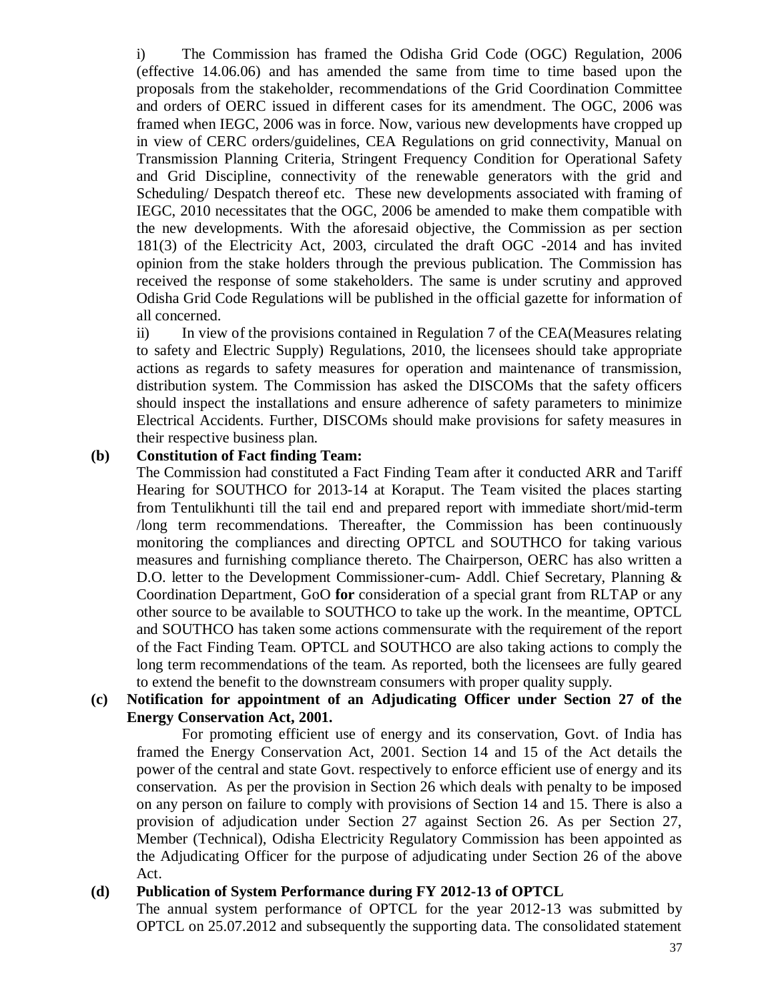i) The Commission has framed the Odisha Grid Code (OGC) Regulation, 2006 (effective 14.06.06) and has amended the same from time to time based upon the proposals from the stakeholder, recommendations of the Grid Coordination Committee and orders of OERC issued in different cases for its amendment. The OGC, 2006 was framed when IEGC, 2006 was in force. Now, various new developments have cropped up in view of CERC orders/guidelines, CEA Regulations on grid connectivity, Manual on Transmission Planning Criteria, Stringent Frequency Condition for Operational Safety and Grid Discipline, connectivity of the renewable generators with the grid and Scheduling/ Despatch thereof etc. These new developments associated with framing of IEGC, 2010 necessitates that the OGC, 2006 be amended to make them compatible with the new developments. With the aforesaid objective, the Commission as per section 181(3) of the Electricity Act, 2003, circulated the draft OGC -2014 and has invited opinion from the stake holders through the previous publication. The Commission has received the response of some stakeholders. The same is under scrutiny and approved Odisha Grid Code Regulations will be published in the official gazette for information of all concerned.

ii) In view of the provisions contained in Regulation 7 of the CEA(Measures relating to safety and Electric Supply) Regulations, 2010, the licensees should take appropriate actions as regards to safety measures for operation and maintenance of transmission, distribution system. The Commission has asked the DISCOMs that the safety officers should inspect the installations and ensure adherence of safety parameters to minimize Electrical Accidents. Further, DISCOMs should make provisions for safety measures in their respective business plan.

#### **(b) Constitution of Fact finding Team:**

The Commission had constituted a Fact Finding Team after it conducted ARR and Tariff Hearing for SOUTHCO for 2013-14 at Koraput. The Team visited the places starting from Tentulikhunti till the tail end and prepared report with immediate short/mid-term /long term recommendations. Thereafter, the Commission has been continuously monitoring the compliances and directing OPTCL and SOUTHCO for taking various measures and furnishing compliance thereto. The Chairperson, OERC has also written a D.O. letter to the Development Commissioner-cum- Addl. Chief Secretary, Planning & Coordination Department, GoO **for** consideration of a special grant from RLTAP or any other source to be available to SOUTHCO to take up the work. In the meantime, OPTCL and SOUTHCO has taken some actions commensurate with the requirement of the report of the Fact Finding Team. OPTCL and SOUTHCO are also taking actions to comply the long term recommendations of the team. As reported, both the licensees are fully geared to extend the benefit to the downstream consumers with proper quality supply.

## **(c) Notification for appointment of an Adjudicating Officer under Section 27 of the Energy Conservation Act, 2001.**

For promoting efficient use of energy and its conservation, Govt. of India has framed the Energy Conservation Act, 2001. Section 14 and 15 of the Act details the power of the central and state Govt. respectively to enforce efficient use of energy and its conservation. As per the provision in Section 26 which deals with penalty to be imposed on any person on failure to comply with provisions of Section 14 and 15. There is also a provision of adjudication under Section 27 against Section 26. As per Section 27, Member (Technical), Odisha Electricity Regulatory Commission has been appointed as the Adjudicating Officer for the purpose of adjudicating under Section 26 of the above Act.

#### **(d) Publication of System Performance during FY 2012-13 of OPTCL**

The annual system performance of OPTCL for the year 2012-13 was submitted by OPTCL on 25.07.2012 and subsequently the supporting data. The consolidated statement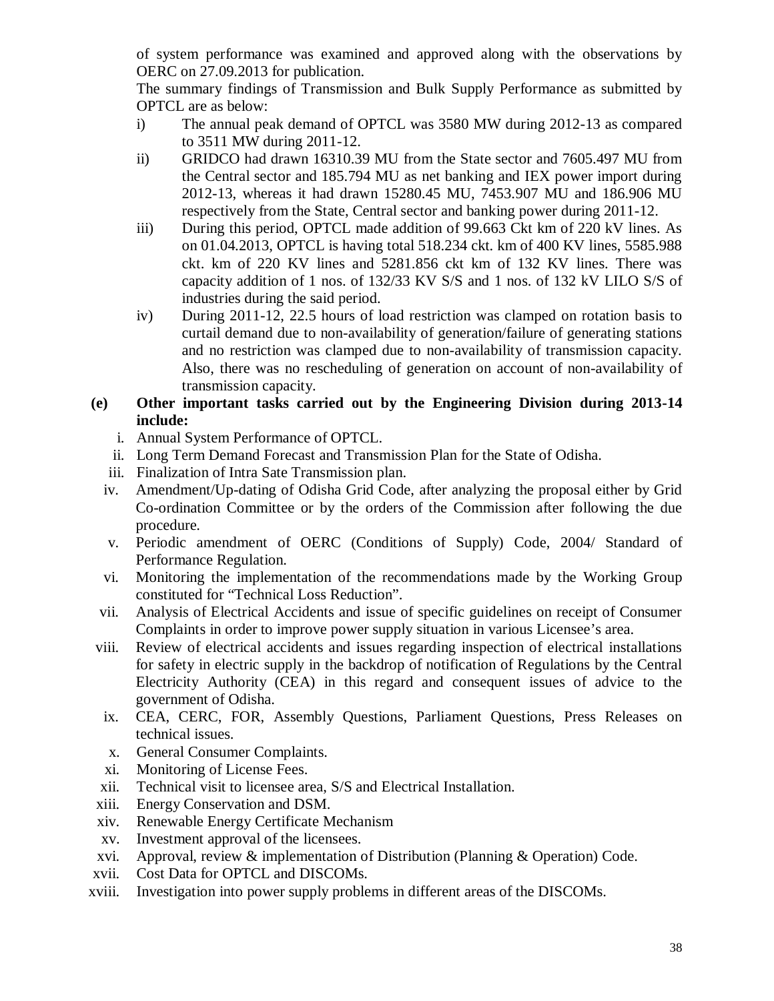of system performance was examined and approved along with the observations by OERC on 27.09.2013 for publication.

The summary findings of Transmission and Bulk Supply Performance as submitted by OPTCL are as below:

- i) The annual peak demand of OPTCL was 3580 MW during 2012-13 as compared to 3511 MW during 2011-12.
- ii) GRIDCO had drawn 16310.39 MU from the State sector and 7605.497 MU from the Central sector and 185.794 MU as net banking and IEX power import during 2012-13, whereas it had drawn 15280.45 MU, 7453.907 MU and 186.906 MU respectively from the State, Central sector and banking power during 2011-12.
- iii) During this period, OPTCL made addition of 99.663 Ckt km of 220 kV lines. As on 01.04.2013, OPTCL is having total 518.234 ckt. km of 400 KV lines, 5585.988 ckt. km of 220 KV lines and 5281.856 ckt km of 132 KV lines. There was capacity addition of 1 nos. of 132/33 KV S/S and 1 nos. of 132 kV LILO S/S of industries during the said period.
- iv) During 2011-12, 22.5 hours of load restriction was clamped on rotation basis to curtail demand due to non-availability of generation/failure of generating stations and no restriction was clamped due to non-availability of transmission capacity. Also, there was no rescheduling of generation on account of non-availability of transmission capacity.

## **(e) Other important tasks carried out by the Engineering Division during 2013-14 include:**

- i. Annual System Performance of OPTCL.
- ii. Long Term Demand Forecast and Transmission Plan for the State of Odisha.
- iii. Finalization of Intra Sate Transmission plan.
- iv. Amendment/Up-dating of Odisha Grid Code, after analyzing the proposal either by Grid Co-ordination Committee or by the orders of the Commission after following the due procedure.
- v. Periodic amendment of OERC (Conditions of Supply) Code, 2004/ Standard of Performance Regulation.
- vi. Monitoring the implementation of the recommendations made by the Working Group constituted for "Technical Loss Reduction".
- vii. Analysis of Electrical Accidents and issue of specific guidelines on receipt of Consumer Complaints in order to improve power supply situation in various Licensee's area.
- viii. Review of electrical accidents and issues regarding inspection of electrical installations for safety in electric supply in the backdrop of notification of Regulations by the Central Electricity Authority (CEA) in this regard and consequent issues of advice to the government of Odisha.
- ix. CEA, CERC, FOR, Assembly Questions, Parliament Questions, Press Releases on technical issues.
- x. General Consumer Complaints.
- xi. Monitoring of License Fees.
- xii. Technical visit to licensee area, S/S and Electrical Installation.
- xiii. Energy Conservation and DSM.
- xiv. Renewable Energy Certificate Mechanism
- xv. Investment approval of the licensees.
- xvi. Approval, review & implementation of Distribution (Planning & Operation) Code.
- xvii. Cost Data for OPTCL and DISCOMs.
- xviii. Investigation into power supply problems in different areas of the DISCOMs.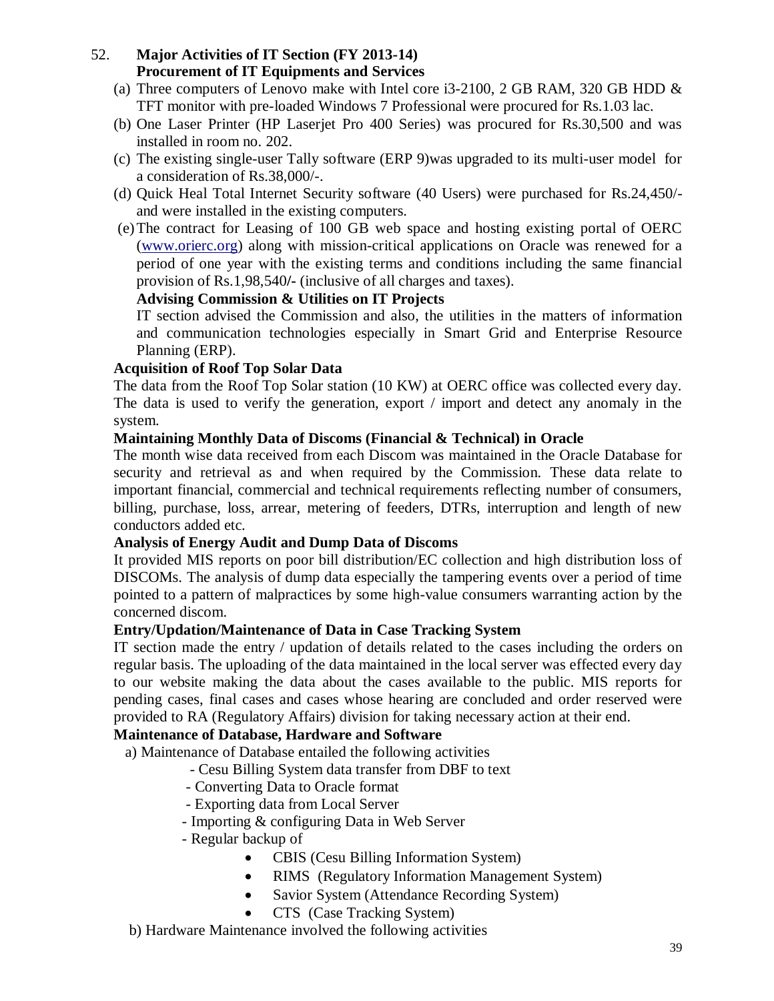## 52. **Major Activities of IT Section (FY 2013-14) Procurement of IT Equipments and Services**

- (a) Three computers of Lenovo make with Intel core i3-2100, 2 GB RAM, 320 GB HDD  $\&$ TFT monitor with pre-loaded Windows 7 Professional were procured for Rs.1.03 lac.
- (b) One Laser Printer (HP Laserjet Pro 400 Series) was procured for Rs.30,500 and was installed in room no. 202.
- (c) The existing single-user Tally software (ERP 9)was upgraded to its multi-user model for a consideration of Rs.38,000/-.
- (d) Quick Heal Total Internet Security software (40 Users) were purchased for Rs.24,450/ and were installed in the existing computers.
- (e)The contract for Leasing of 100 GB web space and hosting existing portal of OERC (www.orierc.org) along with mission-critical applications on Oracle was renewed for a period of one year with the existing terms and conditions including the same financial provision of Rs.1,98,540**/-** (inclusive of all charges and taxes).

## **Advising Commission & Utilities on IT Projects**

IT section advised the Commission and also, the utilities in the matters of information and communication technologies especially in Smart Grid and Enterprise Resource Planning (ERP).

## **Acquisition of Roof Top Solar Data**

The data from the Roof Top Solar station (10 KW) at OERC office was collected every day. The data is used to verify the generation, export / import and detect any anomaly in the system.

## **Maintaining Monthly Data of Discoms (Financial & Technical) in Oracle**

The month wise data received from each Discom was maintained in the Oracle Database for security and retrieval as and when required by the Commission. These data relate to important financial, commercial and technical requirements reflecting number of consumers, billing, purchase, loss, arrear, metering of feeders, DTRs, interruption and length of new conductors added etc.

## **Analysis of Energy Audit and Dump Data of Discoms**

It provided MIS reports on poor bill distribution/EC collection and high distribution loss of DISCOMs. The analysis of dump data especially the tampering events over a period of time pointed to a pattern of malpractices by some high-value consumers warranting action by the concerned discom.

## **Entry/Updation/Maintenance of Data in Case Tracking System**

IT section made the entry / updation of details related to the cases including the orders on regular basis. The uploading of the data maintained in the local server was effected every day to our website making the data about the cases available to the public. MIS reports for pending cases, final cases and cases whose hearing are concluded and order reserved were provided to RA (Regulatory Affairs) division for taking necessary action at their end.

## **Maintenance of Database, Hardware and Software**

a) Maintenance of Database entailed the following activities

- Cesu Billing System data transfer from DBF to text
- Converting Data to Oracle format
- Exporting data from Local Server
- Importing & configuring Data in Web Server
- Regular backup of
	- CBIS (Cesu Billing Information System)
	- RIMS (Regulatory Information Management System)
	- Savior System (Attendance Recording System)
	- CTS (Case Tracking System)

b) Hardware Maintenance involved the following activities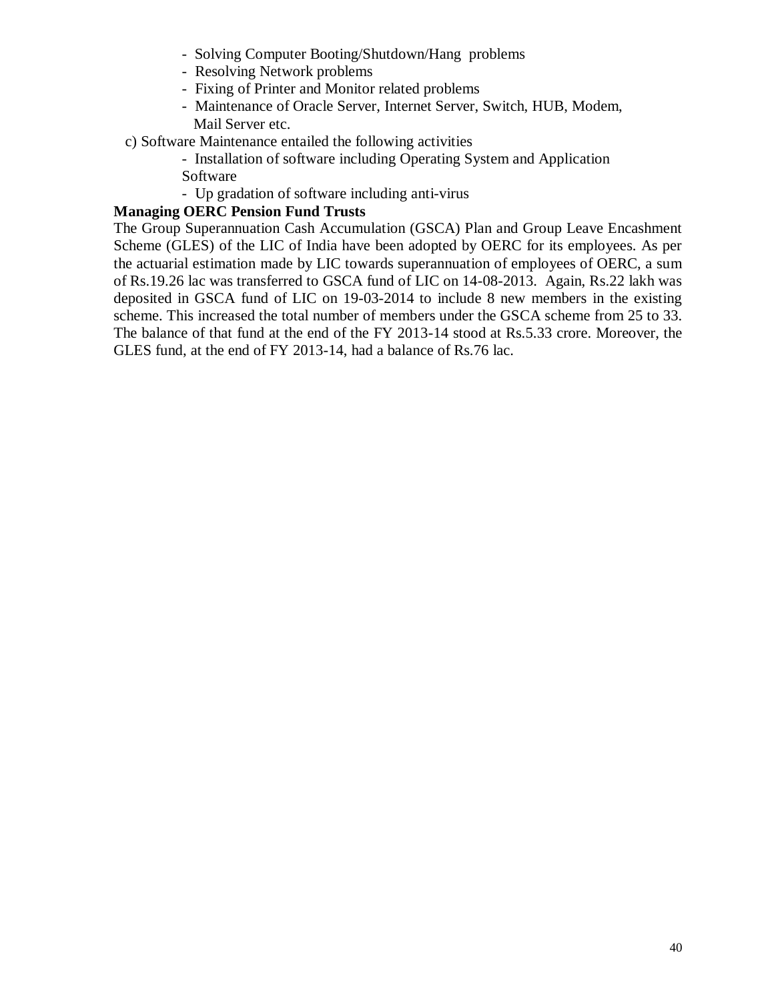- Solving Computer Booting/Shutdown/Hang problems
- Resolving Network problems
- Fixing of Printer and Monitor related problems
- Maintenance of Oracle Server, Internet Server, Switch, HUB, Modem, Mail Server etc.
- c) Software Maintenance entailed the following activities
	- Installation of software including Operating System and Application Software
	- Up gradation of software including anti-virus

## **Managing OERC Pension Fund Trusts**

The Group Superannuation Cash Accumulation (GSCA) Plan and Group Leave Encashment Scheme (GLES) of the LIC of India have been adopted by OERC for its employees. As per the actuarial estimation made by LIC towards superannuation of employees of OERC, a sum of Rs.19.26 lac was transferred to GSCA fund of LIC on 14-08-2013. Again, Rs.22 lakh was deposited in GSCA fund of LIC on 19-03-2014 to include 8 new members in the existing scheme. This increased the total number of members under the GSCA scheme from 25 to 33. The balance of that fund at the end of the FY 2013-14 stood at Rs.5.33 crore. Moreover, the GLES fund, at the end of FY 2013-14, had a balance of Rs.76 lac.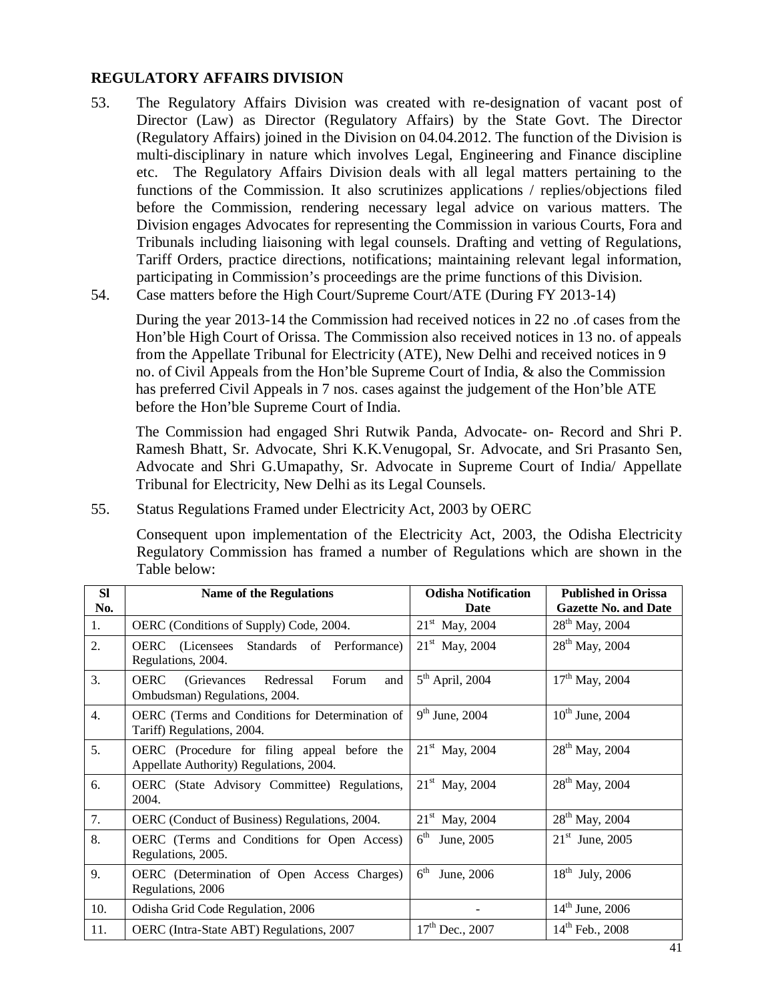#### **REGULATORY AFFAIRS DIVISION**

- 53. The Regulatory Affairs Division was created with re-designation of vacant post of Director (Law) as Director (Regulatory Affairs) by the State Govt. The Director (Regulatory Affairs) joined in the Division on 04.04.2012. The function of the Division is multi-disciplinary in nature which involves Legal, Engineering and Finance discipline etc. The Regulatory Affairs Division deals with all legal matters pertaining to the functions of the Commission. It also scrutinizes applications / replies/objections filed before the Commission, rendering necessary legal advice on various matters. The Division engages Advocates for representing the Commission in various Courts, Fora and Tribunals including liaisoning with legal counsels. Drafting and vetting of Regulations, Tariff Orders, practice directions, notifications; maintaining relevant legal information, participating in Commission's proceedings are the prime functions of this Division.
- 54. Case matters before the High Court/Supreme Court/ATE (During FY 2013-14)

During the year 2013-14 the Commission had received notices in 22 no .of cases from the Hon'ble High Court of Orissa. The Commission also received notices in 13 no. of appeals from the Appellate Tribunal for Electricity (ATE), New Delhi and received notices in 9 no. of Civil Appeals from the Hon'ble Supreme Court of India, & also the Commission has preferred Civil Appeals in 7 nos. cases against the judgement of the Hon'ble ATE before the Hon'ble Supreme Court of India.

The Commission had engaged Shri Rutwik Panda, Advocate- on- Record and Shri P. Ramesh Bhatt, Sr. Advocate, Shri K.K.Venugopal, Sr. Advocate, and Sri Prasanto Sen, Advocate and Shri G.Umapathy, Sr. Advocate in Supreme Court of India/ Appellate Tribunal for Electricity, New Delhi as its Legal Counsels.

55. Status Regulations Framed under Electricity Act, 2003 by OERC

Consequent upon implementation of the Electricity Act, 2003, the Odisha Electricity Regulatory Commission has framed a number of Regulations which are shown in the Table below:

| <b>SI</b>        | <b>Name of the Regulations</b>                                                            | <b>Odisha Notification</b>    | <b>Published in Orissa</b>  |
|------------------|-------------------------------------------------------------------------------------------|-------------------------------|-----------------------------|
| No.              |                                                                                           | Date                          | <b>Gazette No. and Date</b> |
| 1.               | OERC (Conditions of Supply) Code, 2004.                                                   | $21st$ May, 2004              | $28^{th}$ May, 2004         |
| 2.               | <b>OERC</b> (Licensees Standards of Performance)<br>Regulations, 2004.                    | $21st$ May, 2004              | $28^{th}$ May, 2004         |
| 3.               | <b>OERC</b><br>Redressal<br>(Grievances)<br>Forum<br>and<br>Ombudsman) Regulations, 2004. | $5th$ April, 2004             | $17th$ May, 2004            |
| $\overline{4}$ . | OERC (Terms and Conditions for Determination of<br>Tariff) Regulations, 2004.             | $9th$ June, 2004              | $10^{th}$ June, 2004        |
| 5.               | OERC (Procedure for filing appeal before the<br>Appellate Authority) Regulations, 2004.   | $21st$ May, 2004              | 28 <sup>th</sup> May, 2004  |
| 6.               | OERC (State Advisory Committee) Regulations,<br>2004.                                     | $21^{\rm st}$ May, 2004       | $28^{th}$ May, 2004         |
| 7.               | OERC (Conduct of Business) Regulations, 2004.                                             | $21st$ May, 2004              | 28 <sup>th</sup> May, 2004  |
| 8.               | OERC (Terms and Conditions for Open Access)<br>Regulations, 2005.                         | $6^{\text{th}}$<br>June, 2005 | $21st$ June, 2005           |
| 9.               | OERC (Determination of Open Access Charges)<br>Regulations, 2006                          | 6 <sup>th</sup><br>June, 2006 | $18^{th}$ July, 2006        |
| 10.              | Odisha Grid Code Regulation, 2006                                                         |                               | $14^{\text{th}}$ June, 2006 |
| 11.              | OERC (Intra-State ABT) Regulations, 2007                                                  | $17th$ Dec., 2007             | $14^{th}$ Feb., 2008        |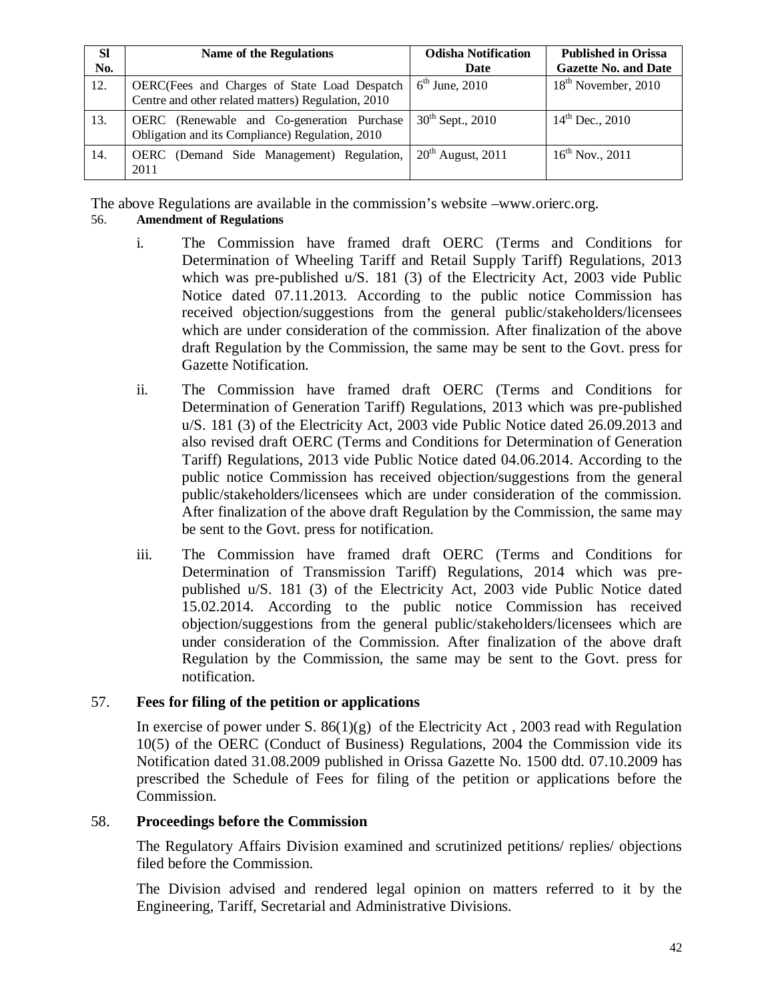| <b>SI</b><br>No. | <b>Name of the Regulations</b>                                                                       | <b>Odisha Notification</b><br>Date | <b>Published in Orissa</b><br><b>Gazette No. and Date</b> |
|------------------|------------------------------------------------------------------------------------------------------|------------------------------------|-----------------------------------------------------------|
| 12.              | OERC(Fees and Charges of State Load Despatch<br>Centre and other related matters) Regulation, 2010   | $6th$ June, 2010                   | $18th$ November, 2010                                     |
| 13.              | <b>OERC</b> (Renewable and Co-generation Purchase<br>Obligation and its Compliance) Regulation, 2010 | $30^{th}$ Sept., 2010              | $14^{th}$ Dec., 2010                                      |
| 14.              | OERC (Demand Side Management) Regulation,<br>2011                                                    | $20th$ August, 2011                | $16^{th}$ Nov., 2011                                      |

The above Regulations are available in the commission's website –www.orierc.org.

## 56. **Amendment of Regulations**

- i. The Commission have framed draft OERC (Terms and Conditions for Determination of Wheeling Tariff and Retail Supply Tariff) Regulations, 2013 which was pre-published u/S. 181 (3) of the Electricity Act, 2003 vide Public Notice dated 07.11.2013. According to the public notice Commission has received objection/suggestions from the general public/stakeholders/licensees which are under consideration of the commission. After finalization of the above draft Regulation by the Commission, the same may be sent to the Govt. press for Gazette Notification.
- ii. The Commission have framed draft OERC (Terms and Conditions for Determination of Generation Tariff) Regulations, 2013 which was pre-published u/S. 181 (3) of the Electricity Act, 2003 vide Public Notice dated 26.09.2013 and also revised draft OERC (Terms and Conditions for Determination of Generation Tariff) Regulations, 2013 vide Public Notice dated 04.06.2014. According to the public notice Commission has received objection/suggestions from the general public/stakeholders/licensees which are under consideration of the commission. After finalization of the above draft Regulation by the Commission, the same may be sent to the Govt. press for notification.
- iii. The Commission have framed draft OERC (Terms and Conditions for Determination of Transmission Tariff) Regulations, 2014 which was prepublished u/S. 181 (3) of the Electricity Act, 2003 vide Public Notice dated 15.02.2014. According to the public notice Commission has received objection/suggestions from the general public/stakeholders/licensees which are under consideration of the Commission. After finalization of the above draft Regulation by the Commission, the same may be sent to the Govt. press for notification.

## 57. **Fees for filing of the petition or applications**

In exercise of power under S.  $86(1)(g)$  of the Electricity Act, 2003 read with Regulation 10(5) of the OERC (Conduct of Business) Regulations, 2004 the Commission vide its Notification dated 31.08.2009 published in Orissa Gazette No. 1500 dtd. 07.10.2009 has prescribed the Schedule of Fees for filing of the petition or applications before the Commission.

## 58. **Proceedings before the Commission**

The Regulatory Affairs Division examined and scrutinized petitions/ replies/ objections filed before the Commission.

The Division advised and rendered legal opinion on matters referred to it by the Engineering, Tariff, Secretarial and Administrative Divisions.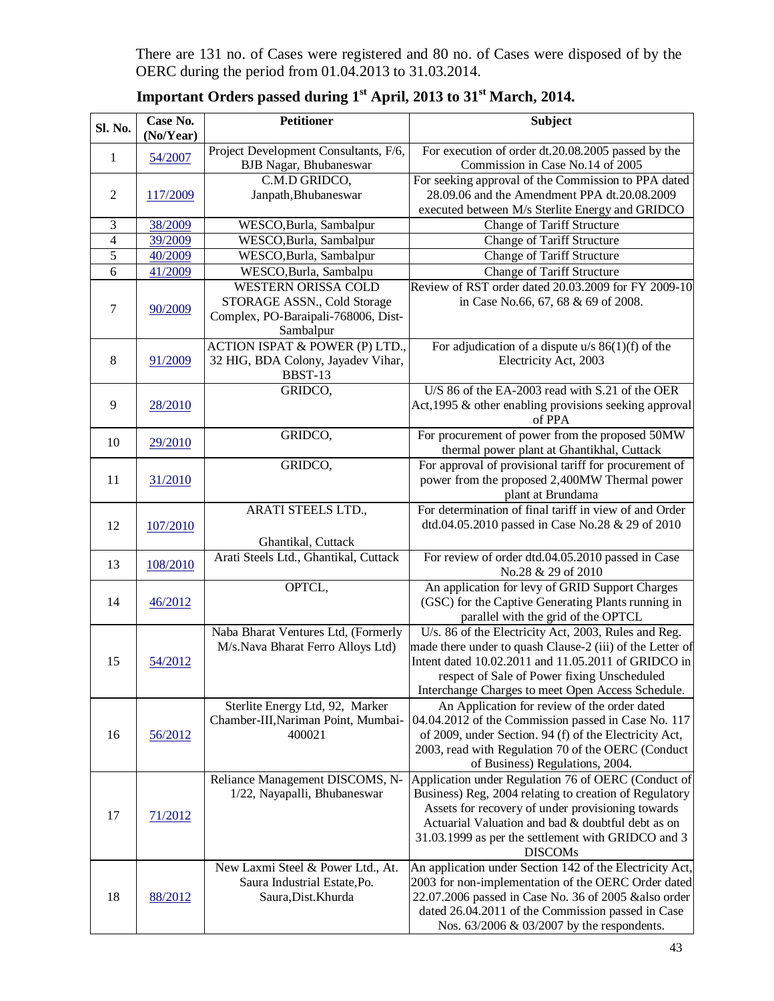There are 131 no. of Cases were registered and 80 no. of Cases were disposed of by the OERC during the period from 01.04.2013 to 31.03.2014.

| Sl. No.        | Case No.<br>(No/Year) | Petitioner                                                                                                    | <b>Subject</b>                                                                                                                                                                                                                                                                                  |
|----------------|-----------------------|---------------------------------------------------------------------------------------------------------------|-------------------------------------------------------------------------------------------------------------------------------------------------------------------------------------------------------------------------------------------------------------------------------------------------|
| 1              | 54/2007               | Project Development Consultants, F/6,<br><b>BJB</b> Nagar, Bhubaneswar                                        | For execution of order dt.20.08.2005 passed by the<br>Commission in Case No.14 of 2005                                                                                                                                                                                                          |
| $\overline{2}$ | 117/2009              | C.M.D GRIDCO,<br>Janpath, Bhubaneswar                                                                         | For seeking approval of the Commission to PPA dated<br>28.09.06 and the Amendment PPA dt.20.08.2009<br>executed between M/s Sterlite Energy and GRIDCO                                                                                                                                          |
| 3              | 38/2009               | WESCO, Burla, Sambalpur                                                                                       | Change of Tariff Structure                                                                                                                                                                                                                                                                      |
| $\overline{4}$ | 39/2009               | WESCO, Burla, Sambalpur                                                                                       | Change of Tariff Structure                                                                                                                                                                                                                                                                      |
| 5              | 40/2009               | WESCO, Burla, Sambalpur                                                                                       | Change of Tariff Structure                                                                                                                                                                                                                                                                      |
| 6              | 41/2009               | WESCO, Burla, Sambalpu                                                                                        | Change of Tariff Structure                                                                                                                                                                                                                                                                      |
| 7              | 90/2009               | <b>WESTERN ORISSA COLD</b><br>STORAGE ASSN., Cold Storage<br>Complex, PO-Baraipali-768006, Dist-<br>Sambalpur | Review of RST order dated 20.03.2009 for FY 2009-10<br>in Case No.66, 67, 68 & 69 of 2008.                                                                                                                                                                                                      |
| 8              | 91/2009               | <b>ACTION ISPAT &amp; POWER (P) LTD.,</b><br>32 HIG, BDA Colony, Jayadev Vihar,<br>BBST-13                    | For adjudication of a dispute $u/s$ 86(1)(f) of the<br>Electricity Act, 2003                                                                                                                                                                                                                    |
| 9              | 28/2010               | GRIDCO,                                                                                                       | U/S 86 of the EA-2003 read with S.21 of the OER<br>Act, 1995 & other enabling provisions seeking approval<br>of PPA                                                                                                                                                                             |
| 10             | 29/2010               | GRIDCO,                                                                                                       | For procurement of power from the proposed 50MW<br>thermal power plant at Ghantikhal, Cuttack                                                                                                                                                                                                   |
| 11             | 31/2010               | GRIDCO,                                                                                                       | For approval of provisional tariff for procurement of<br>power from the proposed 2,400MW Thermal power<br>plant at Brundama                                                                                                                                                                     |
| 12             | 107/2010              | ARATI STEELS LTD.,<br>Ghantikal, Cuttack                                                                      | For determination of final tariff in view of and Order<br>dtd.04.05.2010 passed in Case No.28 & 29 of 2010                                                                                                                                                                                      |
| 13             | 108/2010              | Arati Steels Ltd., Ghantikal, Cuttack                                                                         | For review of order dtd.04.05.2010 passed in Case<br>No.28 & 29 of 2010                                                                                                                                                                                                                         |
| 14             | 46/2012               | OPTCL,                                                                                                        | An application for levy of GRID Support Charges<br>(GSC) for the Captive Generating Plants running in<br>parallel with the grid of the OPTCL                                                                                                                                                    |
| 15             | 54/2012               | Naba Bharat Ventures Ltd, (Formerly<br>M/s.Nava Bharat Ferro Alloys Ltd)                                      | U/s. 86 of the Electricity Act, 2003, Rules and Reg.<br>made there under to quash Clause-2 (iii) of the Letter of<br>Intent dated 10.02.2011 and 11.05.2011 of GRIDCO in<br>respect of Sale of Power fixing Unscheduled<br>Interchange Charges to meet Open Access Schedule.                    |
| 16             | 56/2012               | Sterlite Energy Ltd, 92, Marker<br>Chamber-III, Nariman Point, Mumbai-<br>400021                              | An Application for review of the order dated<br>04.04.2012 of the Commission passed in Case No. 117<br>of 2009, under Section. 94 (f) of the Electricity Act,<br>2003, read with Regulation 70 of the OERC (Conduct<br>of Business) Regulations, 2004.                                          |
| 17             | 71/2012               | Reliance Management DISCOMS, N-<br>1/22, Nayapalli, Bhubaneswar                                               | Application under Regulation 76 of OERC (Conduct of<br>Business) Reg, 2004 relating to creation of Regulatory<br>Assets for recovery of under provisioning towards<br>Actuarial Valuation and bad & doubtful debt as on<br>31.03.1999 as per the settlement with GRIDCO and 3<br><b>DISCOMs</b> |
| 18             | 88/2012               | New Laxmi Steel & Power Ltd., At.<br>Saura Industrial Estate, Po.<br>Saura, Dist. Khurda                      | An application under Section 142 of the Electricity Act,<br>2003 for non-implementation of the OERC Order dated<br>22.07.2006 passed in Case No. 36 of 2005 & also order<br>dated 26.04.2011 of the Commission passed in Case<br>Nos. 63/2006 & 03/2007 by the respondents.                     |

**Important Orders passed during 1st April, 2013 to 31st March, 2014.**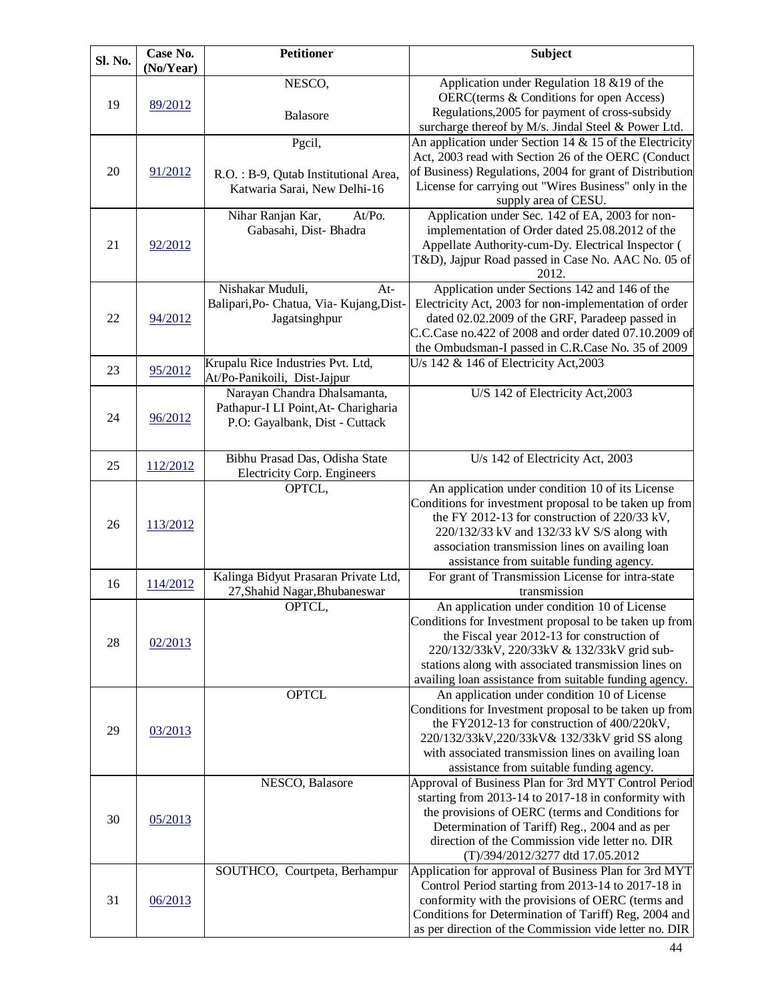| Sl. No. | Case No.<br>(No/Year) | <b>Petitioner</b>                                                                                      | <b>Subject</b>                                                                                                                                                                                                                                                                                                         |
|---------|-----------------------|--------------------------------------------------------------------------------------------------------|------------------------------------------------------------------------------------------------------------------------------------------------------------------------------------------------------------------------------------------------------------------------------------------------------------------------|
| 19      | 89/2012               | NESCO,<br>Balasore                                                                                     | Application under Regulation 18 & 19 of the<br>OERC(terms & Conditions for open Access)<br>Regulations, 2005 for payment of cross-subsidy                                                                                                                                                                              |
|         |                       | Pgcil,                                                                                                 | surcharge thereof by M/s. Jindal Steel & Power Ltd.<br>An application under Section 14 $&$ 15 of the Electricity                                                                                                                                                                                                       |
| 20      | 91/2012               | R.O.: B-9, Qutab Institutional Area,<br>Katwaria Sarai, New Delhi-16                                   | Act, 2003 read with Section 26 of the OERC (Conduct<br>of Business) Regulations, 2004 for grant of Distribution<br>License for carrying out "Wires Business" only in the<br>supply area of CESU.                                                                                                                       |
| 21      | 92/2012               | Nihar Ranjan Kar,<br>At/Po.<br>Gabasahi, Dist-Bhadra                                                   | Application under Sec. 142 of EA, 2003 for non-<br>implementation of Order dated 25.08.2012 of the<br>Appellate Authority-cum-Dy. Electrical Inspector (<br>T&D), Jajpur Road passed in Case No. AAC No. 05 of<br>2012.                                                                                                |
| 22      | 94/2012               | Nishakar Muduli,<br>$At-$<br>Balipari, Po- Chatua, Via- Kujang, Dist-<br>Jagatsinghpur                 | Application under Sections 142 and 146 of the<br>Electricity Act, 2003 for non-implementation of order<br>dated 02.02.2009 of the GRF, Paradeep passed in<br>C.C.Case no.422 of 2008 and order dated 07.10.2009 of<br>the Ombudsman-I passed in C.R.Case No. 35 of 2009                                                |
| 23      | 95/2012               | Krupalu Rice Industries Pvt. Ltd,<br>At/Po-Panikoili, Dist-Jajpur                                      | U/s 142 $&$ 146 of Electricity Act, 2003                                                                                                                                                                                                                                                                               |
| 24      | 96/2012               | Narayan Chandra Dhalsamanta,<br>Pathapur-I LI Point, At- Charigharia<br>P.O: Gayalbank, Dist - Cuttack | U/S 142 of Electricity Act, 2003                                                                                                                                                                                                                                                                                       |
| 25      | 112/2012              | Bibhu Prasad Das, Odisha State<br><b>Electricity Corp. Engineers</b>                                   | U/s 142 of Electricity Act, 2003                                                                                                                                                                                                                                                                                       |
| 26      | 113/2012              | OPTCL,                                                                                                 | An application under condition 10 of its License<br>Conditions for investment proposal to be taken up from<br>the FY 2012-13 for construction of 220/33 kV,<br>220/132/33 kV and 132/33 kV S/S along with<br>association transmission lines on availing loan<br>assistance from suitable funding agency.               |
| 16      | 114/2012              | Kalinga Bidyut Prasaran Private Ltd,<br>27, Shahid Nagar, Bhubaneswar                                  | For grant of Transmission License for intra-state<br>transmission                                                                                                                                                                                                                                                      |
| 28      | 02/2013               | OPTCL,                                                                                                 | An application under condition 10 of License<br>Conditions for Investment proposal to be taken up from<br>the Fiscal year 2012-13 for construction of<br>220/132/33kV, 220/33kV & 132/33kV grid sub-<br>stations along with associated transmission lines on<br>availing loan assistance from suitable funding agency. |
| 29      | 03/2013               | <b>OPTCL</b>                                                                                           | An application under condition 10 of License<br>Conditions for Investment proposal to be taken up from<br>the FY2012-13 for construction of 400/220kV,<br>220/132/33kV,220/33kV& 132/33kV grid SS along<br>with associated transmission lines on availing loan<br>assistance from suitable funding agency.             |
| 30      | 05/2013               | NESCO, Balasore                                                                                        | Approval of Business Plan for 3rd MYT Control Period<br>starting from 2013-14 to 2017-18 in conformity with<br>the provisions of OERC (terms and Conditions for<br>Determination of Tariff) Reg., 2004 and as per<br>direction of the Commission vide letter no. DIR<br>(T)/394/2012/3277 dtd 17.05.2012               |
| 31      | 06/2013               | SOUTHCO, Courtpeta, Berhampur                                                                          | Application for approval of Business Plan for 3rd MYT<br>Control Period starting from 2013-14 to 2017-18 in<br>conformity with the provisions of OERC (terms and<br>Conditions for Determination of Tariff) Reg, 2004 and<br>as per direction of the Commission vide letter no. DIR                                    |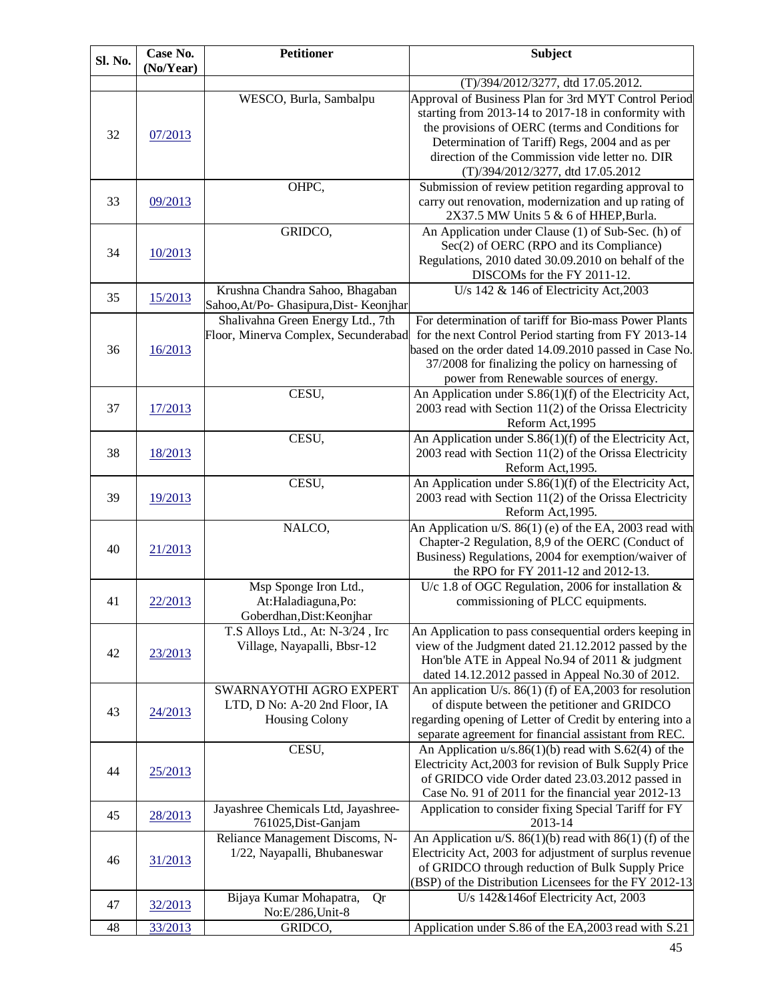| Sl. No. | Case No.<br>(No/Year) | <b>Petitioner</b>                                                                 | <b>Subject</b>                                                                                                                                                                                                                                                           |
|---------|-----------------------|-----------------------------------------------------------------------------------|--------------------------------------------------------------------------------------------------------------------------------------------------------------------------------------------------------------------------------------------------------------------------|
|         |                       |                                                                                   | (T)/394/2012/3277, dtd 17.05.2012.                                                                                                                                                                                                                                       |
| 32      | 07/2013               | WESCO, Burla, Sambalpu                                                            | Approval of Business Plan for 3rd MYT Control Period<br>starting from 2013-14 to 2017-18 in conformity with<br>the provisions of OERC (terms and Conditions for<br>Determination of Tariff) Regs, 2004 and as per<br>direction of the Commission vide letter no. DIR     |
| 33      | 09/2013               | OHPC,                                                                             | (T)/394/2012/3277, dtd 17.05.2012<br>Submission of review petition regarding approval to<br>carry out renovation, modernization and up rating of<br>2X37.5 MW Units 5 & 6 of HHEP, Burla.                                                                                |
| 34      | 10/2013               | GRIDCO,                                                                           | An Application under Clause (1) of Sub-Sec. (h) of<br>Sec(2) of OERC (RPO and its Compliance)<br>Regulations, 2010 dated 30.09.2010 on behalf of the<br>DISCOMs for the FY 2011-12.                                                                                      |
| 35      | 15/2013               | Krushna Chandra Sahoo, Bhagaban<br>Sahoo, At/Po- Ghasipura, Dist- Keonjhar        | U/s $142 \& 146$ of Electricity Act, 2003                                                                                                                                                                                                                                |
| 36      | 16/2013               | Shalivahna Green Energy Ltd., 7th<br>Floor, Minerva Complex, Secunderabad         | For determination of tariff for Bio-mass Power Plants<br>for the next Control Period starting from FY 2013-14<br>based on the order dated 14.09.2010 passed in Case No.<br>37/2008 for finalizing the policy on harnessing of<br>power from Renewable sources of energy. |
| 37      | 17/2013               | CESU,                                                                             | An Application under S.86(1)(f) of the Electricity Act,<br>2003 read with Section 11(2) of the Orissa Electricity<br>Reform Act, 1995                                                                                                                                    |
| 38      | 18/2013               | CESU,                                                                             | An Application under S.86(1)(f) of the Electricity Act,<br>2003 read with Section 11(2) of the Orissa Electricity<br>Reform Act, 1995.                                                                                                                                   |
| 39      | 19/2013               | CESU,                                                                             | An Application under S.86(1)(f) of the Electricity Act,<br>2003 read with Section 11(2) of the Orissa Electricity<br>Reform Act, 1995.                                                                                                                                   |
| 40      | 21/2013               | NALCO,                                                                            | An Application u/S. 86(1) (e) of the EA, 2003 read with<br>Chapter-2 Regulation, 8,9 of the OERC (Conduct of<br>Business) Regulations, 2004 for exemption/waiver of<br>the RPO for FY 2011-12 and 2012-13.                                                               |
| 41      | 22/2013               | Msp Sponge Iron Ltd.,<br>At:Haladiaguna,Po:<br>Goberdhan, Dist: Keonjhar          | U/c 1.8 of OGC Regulation, 2006 for installation $\&$<br>commissioning of PLCC equipments.                                                                                                                                                                               |
| 42      | 23/2013               | T.S Alloys Ltd., At: N-3/24, Irc<br>Village, Nayapalli, Bbsr-12                   | An Application to pass consequential orders keeping in<br>view of the Judgment dated 21.12.2012 passed by the<br>Hon'ble ATE in Appeal No.94 of 2011 & judgment<br>dated 14.12.2012 passed in Appeal No.30 of 2012.                                                      |
| 43      | 24/2013               | SWARNAYOTHI AGRO EXPERT<br>LTD, D No: A-20 2nd Floor, IA<br><b>Housing Colony</b> | An application U/s. 86(1) (f) of EA, 2003 for resolution<br>of dispute between the petitioner and GRIDCO<br>regarding opening of Letter of Credit by entering into a<br>separate agreement for financial assistant from REC.                                             |
| 44      | 25/2013               | CESU,                                                                             | An Application $u/s.86(1)(b)$ read with S.62(4) of the<br>Electricity Act, 2003 for revision of Bulk Supply Price<br>of GRIDCO vide Order dated 23.03.2012 passed in<br>Case No. 91 of 2011 for the financial year 2012-13                                               |
| 45      | 28/2013               | Jayashree Chemicals Ltd, Jayashree-<br>761025, Dist-Ganjam                        | Application to consider fixing Special Tariff for FY<br>2013-14                                                                                                                                                                                                          |
| 46      | 31/2013               | Reliance Management Discoms, N-<br>1/22, Nayapalli, Bhubaneswar                   | An Application u/S. $86(1)(b)$ read with $86(1)(f)$ of the<br>Electricity Act, 2003 for adjustment of surplus revenue<br>of GRIDCO through reduction of Bulk Supply Price<br>(BSP) of the Distribution Licensees for the FY 2012-13                                      |
| 47      | 32/2013               | Bijaya Kumar Mohapatra,<br>Qr<br>No:E/286, Unit-8                                 | U/s 142&146of Electricity Act, 2003                                                                                                                                                                                                                                      |
| 48      | 33/2013               | GRIDCO,                                                                           | Application under S.86 of the EA, 2003 read with S.21                                                                                                                                                                                                                    |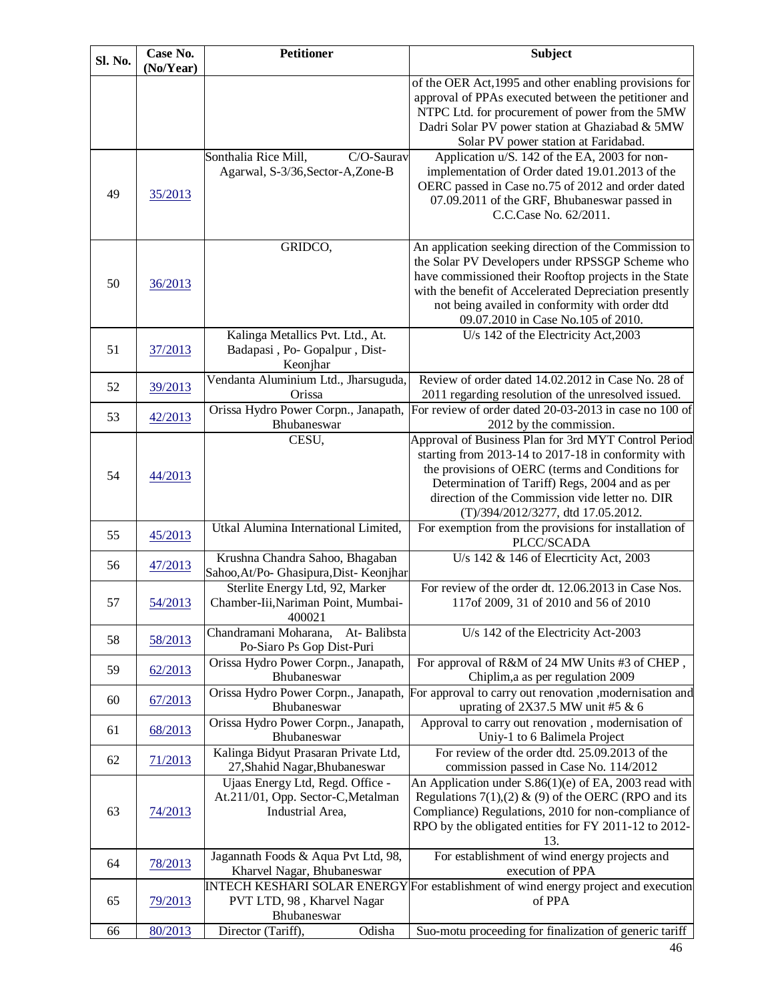| Sl. No. | Case No.<br>(No/Year) | <b>Petitioner</b>                                                                          | <b>Subject</b>                                                                                                                                                                                                                                                                                                      |
|---------|-----------------------|--------------------------------------------------------------------------------------------|---------------------------------------------------------------------------------------------------------------------------------------------------------------------------------------------------------------------------------------------------------------------------------------------------------------------|
|         |                       |                                                                                            | of the OER Act, 1995 and other enabling provisions for<br>approval of PPAs executed between the petitioner and<br>NTPC Ltd. for procurement of power from the 5MW<br>Dadri Solar PV power station at Ghaziabad & 5MW<br>Solar PV power station at Faridabad.                                                        |
| 49      | 35/2013               | C/O-Saurav<br>Sonthalia Rice Mill,<br>Agarwal, S-3/36, Sector-A, Zone-B                    | Application u/S. 142 of the EA, 2003 for non-<br>implementation of Order dated 19.01.2013 of the<br>OERC passed in Case no.75 of 2012 and order dated<br>07.09.2011 of the GRF, Bhubaneswar passed in<br>C.C.Case No. 62/2011.                                                                                      |
| 50      | 36/2013               | GRIDCO,                                                                                    | An application seeking direction of the Commission to<br>the Solar PV Developers under RPSSGP Scheme who<br>have commissioned their Rooftop projects in the State<br>with the benefit of Accelerated Depreciation presently<br>not being availed in conformity with order dtd<br>09.07.2010 in Case No.105 of 2010. |
| 51      | 37/2013               | Kalinga Metallics Pvt. Ltd., At.<br>Badapasi, Po- Gopalpur, Dist-<br>Keonjhar              | U/s 142 of the Electricity Act, 2003                                                                                                                                                                                                                                                                                |
| 52      | 39/2013               | Vendanta Aluminium Ltd., Jharsuguda,<br>Orissa                                             | Review of order dated 14.02.2012 in Case No. 28 of<br>2011 regarding resolution of the unresolved issued.                                                                                                                                                                                                           |
| 53      | 42/2013               | Orissa Hydro Power Corpn., Janapath,<br>Bhubaneswar                                        | For review of order dated 20-03-2013 in case no 100 of<br>2012 by the commission.                                                                                                                                                                                                                                   |
| 54      | 44/2013               | CESU,                                                                                      | Approval of Business Plan for 3rd MYT Control Period<br>starting from 2013-14 to 2017-18 in conformity with<br>the provisions of OERC (terms and Conditions for<br>Determination of Tariff) Regs, 2004 and as per<br>direction of the Commission vide letter no. DIR<br>(T)/394/2012/3277, dtd 17.05.2012.          |
| 55      | 45/2013               | Utkal Alumina International Limited,                                                       | For exemption from the provisions for installation of<br>PLCC/SCADA                                                                                                                                                                                                                                                 |
| 56      | 47/2013               | Krushna Chandra Sahoo, Bhagaban<br>Sahoo, At/Po- Ghasipura, Dist- Keonjhar                 | U/s 142 & 146 of Elecrticity Act, 2003                                                                                                                                                                                                                                                                              |
| 57      | 54/2013               | Sterlite Energy Ltd, 92, Marker<br>Chamber-Iii, Nariman Point, Mumbai-<br>400021           | For review of the order dt. 12.06.2013 in Case Nos.<br>117of 2009, 31 of 2010 and 56 of 2010                                                                                                                                                                                                                        |
| 58      | 58/2013               | Chandramani Moharana,<br>At-Balibsta<br>Po-Siaro Ps Gop Dist-Puri                          | U/s 142 of the Electricity Act-2003                                                                                                                                                                                                                                                                                 |
| 59      | 62/2013               | Orissa Hydro Power Corpn., Janapath,<br>Bhubaneswar                                        | For approval of R&M of 24 MW Units #3 of CHEP,<br>Chiplim, a as per regulation 2009                                                                                                                                                                                                                                 |
| 60      | 67/2013               | Orissa Hydro Power Corpn., Janapath,<br>Bhubaneswar                                        | For approval to carry out renovation , modernisation and<br>uprating of 2X37.5 MW unit #5 & 6                                                                                                                                                                                                                       |
| 61      | 68/2013               | Orissa Hydro Power Corpn., Janapath,<br>Bhubaneswar                                        | Approval to carry out renovation, modernisation of<br>Uniy-1 to 6 Balimela Project                                                                                                                                                                                                                                  |
| 62      | 71/2013               | Kalinga Bidyut Prasaran Private Ltd,<br>27, Shahid Nagar, Bhubaneswar                      | For review of the order dtd. 25.09.2013 of the<br>commission passed in Case No. 114/2012                                                                                                                                                                                                                            |
| 63      | 74/2013               | Ujaas Energy Ltd, Regd. Office -<br>At.211/01, Opp. Sector-C, Metalman<br>Industrial Area, | An Application under S.86(1)(e) of EA, 2003 read with<br>Regulations 7(1), (2) & (9) of the OERC (RPO and its<br>Compliance) Regulations, 2010 for non-compliance of<br>RPO by the obligated entities for FY 2011-12 to 2012-<br>13.                                                                                |
| 64      | 78/2013               | Jagannath Foods & Aqua Pvt Ltd, 98,<br>Kharvel Nagar, Bhubaneswar                          | For establishment of wind energy projects and<br>execution of PPA                                                                                                                                                                                                                                                   |
| 65      | 79/2013               | PVT LTD, 98, Kharvel Nagar<br>Bhubaneswar                                                  | INTECH KESHARI SOLAR ENERGY For establishment of wind energy project and execution<br>of PPA                                                                                                                                                                                                                        |
| 66      | 80/2013               | Odisha<br>Director (Tariff),                                                               | Suo-motu proceeding for finalization of generic tariff                                                                                                                                                                                                                                                              |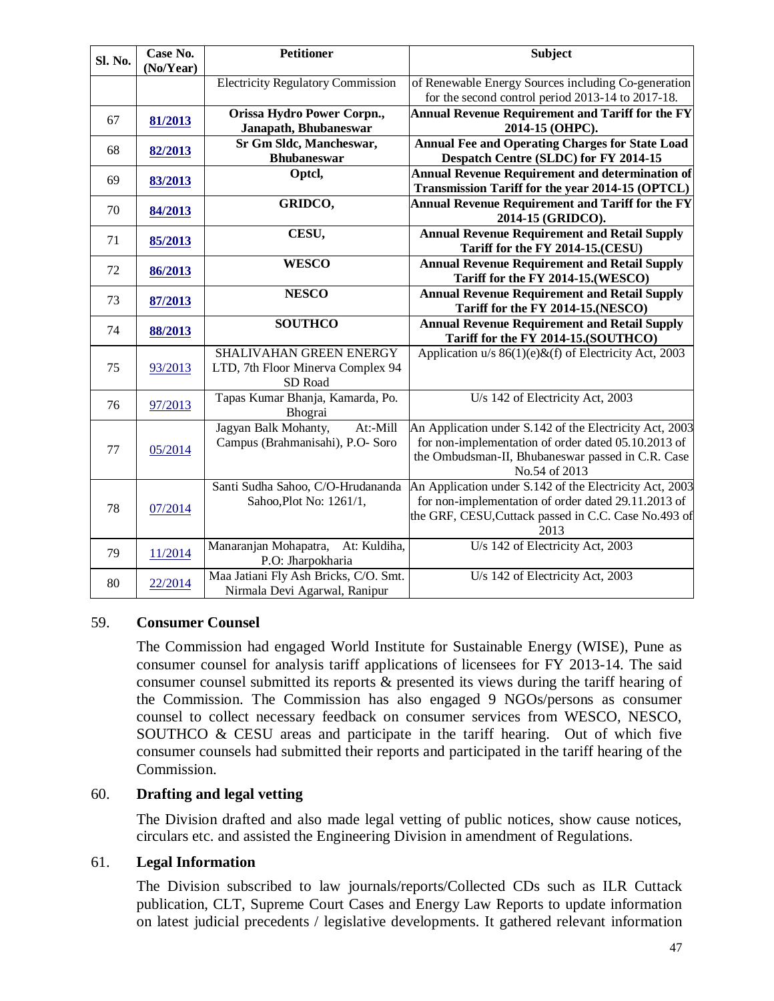| Sl. No. | Case No.<br>(No/Year) | <b>Petitioner</b>                                                       | <b>Subject</b>                                                                                                                                                                       |
|---------|-----------------------|-------------------------------------------------------------------------|--------------------------------------------------------------------------------------------------------------------------------------------------------------------------------------|
|         |                       | <b>Electricity Regulatory Commission</b>                                | of Renewable Energy Sources including Co-generation                                                                                                                                  |
|         |                       |                                                                         | for the second control period 2013-14 to 2017-18.                                                                                                                                    |
| 67      | 81/2013               | Orissa Hydro Power Corpn.,<br>Janapath, Bhubaneswar                     | <b>Annual Revenue Requirement and Tariff for the FY</b><br>2014-15 (OHPC).                                                                                                           |
| 68      | 82/2013               | Sr Gm Sldc, Mancheswar,<br><b>Bhubaneswar</b>                           | <b>Annual Fee and Operating Charges for State Load</b><br>Despatch Centre (SLDC) for FY 2014-15                                                                                      |
| 69      | 83/2013               | Optcl,                                                                  | <b>Annual Revenue Requirement and determination of</b><br>Transmission Tariff for the year 2014-15 (OPTCL)                                                                           |
| 70      | 84/2013               | GRIDCO,                                                                 | <b>Annual Revenue Requirement and Tariff for the FY</b><br>2014-15 (GRIDCO).                                                                                                         |
| 71      | 85/2013               | CESU,                                                                   | <b>Annual Revenue Requirement and Retail Supply</b><br>Tariff for the FY 2014-15.(CESU)                                                                                              |
| 72      | 86/2013               | <b>WESCO</b>                                                            | <b>Annual Revenue Requirement and Retail Supply</b><br>Tariff for the FY 2014-15.(WESCO)                                                                                             |
| 73      | 87/2013               | <b>NESCO</b>                                                            | <b>Annual Revenue Requirement and Retail Supply</b><br>Tariff for the FY 2014-15.(NESCO)                                                                                             |
| 74      | 88/2013               | <b>SOUTHCO</b>                                                          | <b>Annual Revenue Requirement and Retail Supply</b><br>Tariff for the FY 2014-15.(SOUTHCO)                                                                                           |
| 75      | 93/2013               | SHALIVAHAN GREEN ENERGY<br>LTD, 7th Floor Minerva Complex 94<br>SD Road | Application $u/s 86(1)(e) \& f$ of Electricity Act, 2003                                                                                                                             |
| 76      | 97/2013               | Tapas Kumar Bhanja, Kamarda, Po.<br>Bhograi                             | U/s 142 of Electricity Act, 2003                                                                                                                                                     |
| 77      | 05/2014               | Jagyan Balk Mohanty,<br>At:-Mill<br>Campus (Brahmanisahi), P.O- Soro    | An Application under S.142 of the Electricity Act, 2003<br>for non-implementation of order dated 05.10.2013 of<br>the Ombudsman-II, Bhubaneswar passed in C.R. Case<br>No.54 of 2013 |
| 78      | 07/2014               | Santi Sudha Sahoo, C/O-Hrudananda<br>Sahoo, Plot No: 1261/1,            | An Application under S.142 of the Electricity Act, 2003<br>for non-implementation of order dated 29.11.2013 of<br>the GRF, CESU, Cuttack passed in C.C. Case No.493 of<br>2013       |
| 79      | 11/2014               | Manaranjan Mohapatra,<br>At: Kuldiha,<br>P.O: Jharpokharia              | U/s 142 of Electricity Act, 2003                                                                                                                                                     |
| 80      | 22/2014               | Maa Jatiani Fly Ash Bricks, C/O. Smt.<br>Nirmala Devi Agarwal, Ranipur  | U/s 142 of Electricity Act, 2003                                                                                                                                                     |

#### 59. **Consumer Counsel**

The Commission had engaged World Institute for Sustainable Energy (WISE), Pune as consumer counsel for analysis tariff applications of licensees for FY 2013-14. The said consumer counsel submitted its reports & presented its views during the tariff hearing of the Commission. The Commission has also engaged 9 NGOs/persons as consumer counsel to collect necessary feedback on consumer services from WESCO, NESCO, SOUTHCO & CESU areas and participate in the tariff hearing. Out of which five consumer counsels had submitted their reports and participated in the tariff hearing of the Commission.

#### 60. **Drafting and legal vetting**

The Division drafted and also made legal vetting of public notices, show cause notices, circulars etc. and assisted the Engineering Division in amendment of Regulations.

#### 61. **Legal Information**

The Division subscribed to law journals/reports/Collected CDs such as ILR Cuttack publication, CLT, Supreme Court Cases and Energy Law Reports to update information on latest judicial precedents / legislative developments. It gathered relevant information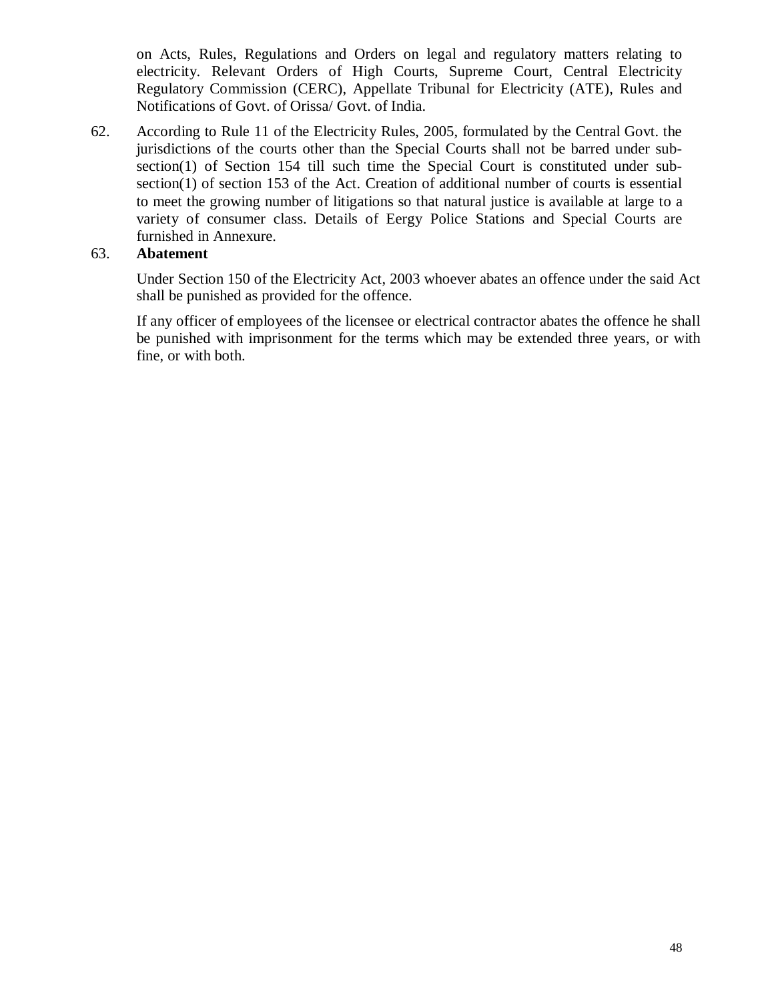on Acts, Rules, Regulations and Orders on legal and regulatory matters relating to electricity. Relevant Orders of High Courts, Supreme Court, Central Electricity Regulatory Commission (CERC), Appellate Tribunal for Electricity (ATE), Rules and Notifications of Govt. of Orissa/ Govt. of India.

62. According to Rule 11 of the Electricity Rules, 2005, formulated by the Central Govt. the jurisdictions of the courts other than the Special Courts shall not be barred under subsection(1) of Section 154 till such time the Special Court is constituted under subsection(1) of section 153 of the Act. Creation of additional number of courts is essential to meet the growing number of litigations so that natural justice is available at large to a variety of consumer class. Details of Eergy Police Stations and Special Courts are furnished in Annexure.

## 63. **Abatement**

Under Section 150 of the Electricity Act, 2003 whoever abates an offence under the said Act shall be punished as provided for the offence.

If any officer of employees of the licensee or electrical contractor abates the offence he shall be punished with imprisonment for the terms which may be extended three years, or with fine, or with both.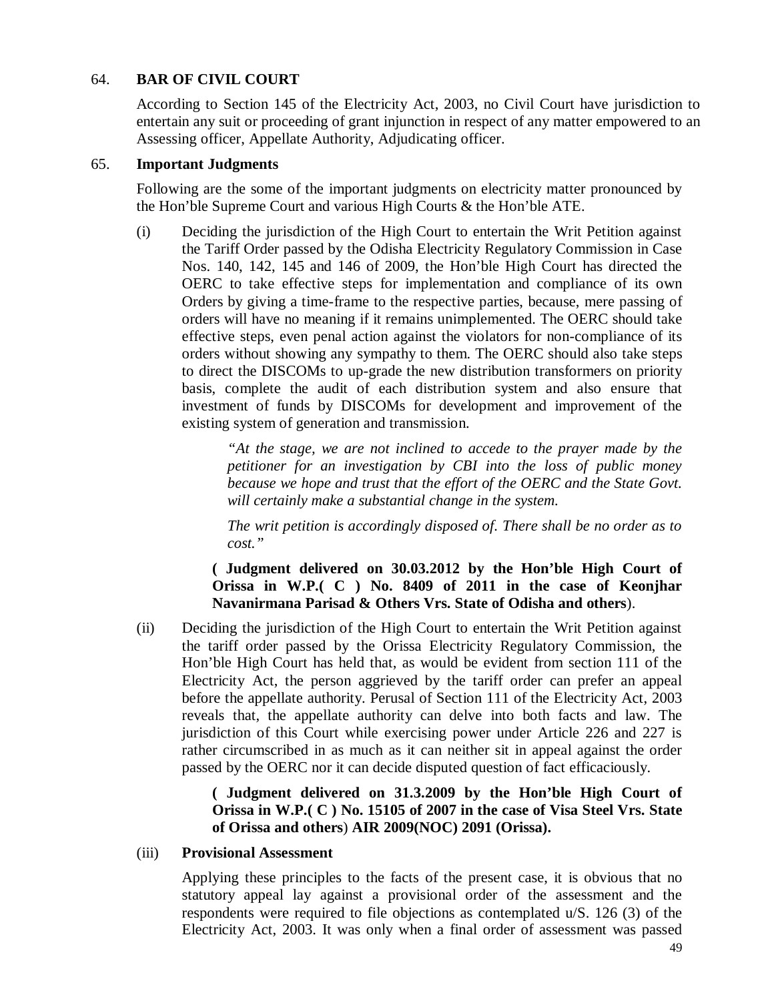#### 64. **BAR OF CIVIL COURT**

According to Section 145 of the Electricity Act, 2003, no Civil Court have jurisdiction to entertain any suit or proceeding of grant injunction in respect of any matter empowered to an Assessing officer, Appellate Authority, Adjudicating officer.

#### 65. **Important Judgments**

Following are the some of the important judgments on electricity matter pronounced by the Hon'ble Supreme Court and various High Courts & the Hon'ble ATE.

(i) Deciding the jurisdiction of the High Court to entertain the Writ Petition against the Tariff Order passed by the Odisha Electricity Regulatory Commission in Case Nos. 140, 142, 145 and 146 of 2009, the Hon'ble High Court has directed the OERC to take effective steps for implementation and compliance of its own Orders by giving a time-frame to the respective parties, because, mere passing of orders will have no meaning if it remains unimplemented. The OERC should take effective steps, even penal action against the violators for non-compliance of its orders without showing any sympathy to them. The OERC should also take steps to direct the DISCOMs to up-grade the new distribution transformers on priority basis, complete the audit of each distribution system and also ensure that investment of funds by DISCOMs for development and improvement of the existing system of generation and transmission.

> *"At the stage, we are not inclined to accede to the prayer made by the petitioner for an investigation by CBI into the loss of public money because we hope and trust that the effort of the OERC and the State Govt. will certainly make a substantial change in the system.*

> *The writ petition is accordingly disposed of. There shall be no order as to cost."*

**( Judgment delivered on 30.03.2012 by the Hon'ble High Court of Orissa in W.P.( C ) No. 8409 of 2011 in the case of Keonjhar Navanirmana Parisad & Others Vrs. State of Odisha and others**).

(ii) Deciding the jurisdiction of the High Court to entertain the Writ Petition against the tariff order passed by the Orissa Electricity Regulatory Commission, the Hon'ble High Court has held that, as would be evident from section 111 of the Electricity Act, the person aggrieved by the tariff order can prefer an appeal before the appellate authority. Perusal of Section 111 of the Electricity Act, 2003 reveals that, the appellate authority can delve into both facts and law. The jurisdiction of this Court while exercising power under Article 226 and 227 is rather circumscribed in as much as it can neither sit in appeal against the order passed by the OERC nor it can decide disputed question of fact efficaciously.

> **( Judgment delivered on 31.3.2009 by the Hon'ble High Court of Orissa in W.P.( C ) No. 15105 of 2007 in the case of Visa Steel Vrs. State of Orissa and others**) **AIR 2009(NOC) 2091 (Orissa).**

#### (iii) **Provisional Assessment**

Applying these principles to the facts of the present case, it is obvious that no statutory appeal lay against a provisional order of the assessment and the respondents were required to file objections as contemplated u/S. 126 (3) of the Electricity Act, 2003. It was only when a final order of assessment was passed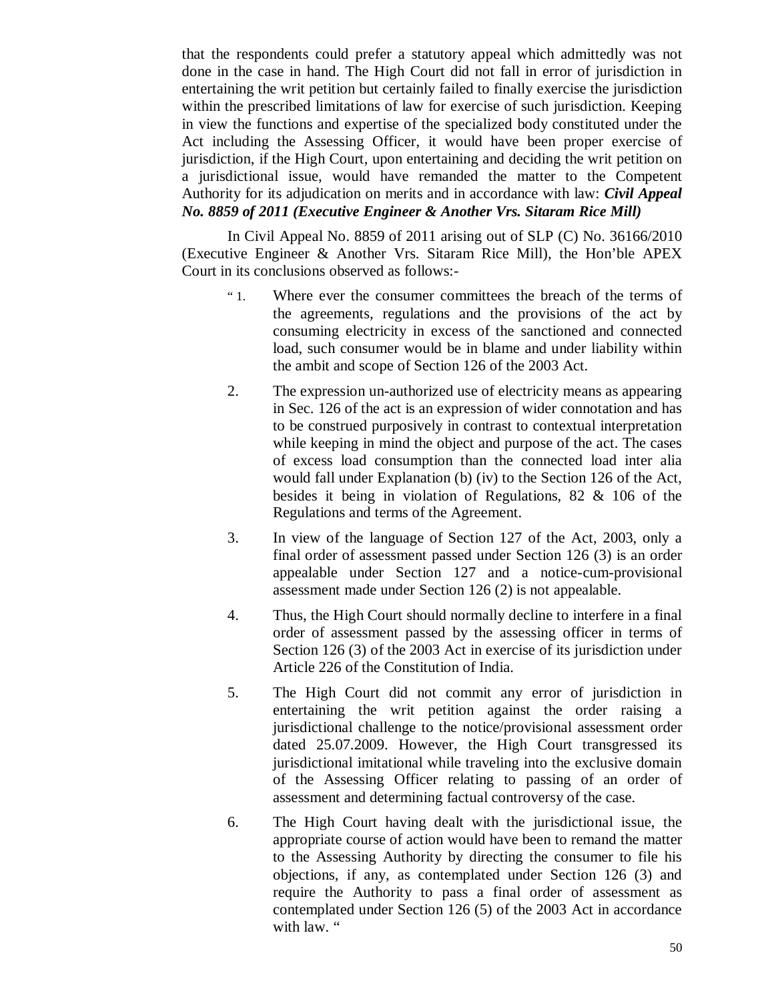that the respondents could prefer a statutory appeal which admittedly was not done in the case in hand. The High Court did not fall in error of jurisdiction in entertaining the writ petition but certainly failed to finally exercise the jurisdiction within the prescribed limitations of law for exercise of such jurisdiction. Keeping in view the functions and expertise of the specialized body constituted under the Act including the Assessing Officer, it would have been proper exercise of jurisdiction, if the High Court, upon entertaining and deciding the writ petition on a jurisdictional issue, would have remanded the matter to the Competent Authority for its adjudication on merits and in accordance with law: *Civil Appeal No. 8859 of 2011 (Executive Engineer & Another Vrs. Sitaram Rice Mill)*

In Civil Appeal No. 8859 of 2011 arising out of SLP (C) No. 36166/2010 (Executive Engineer & Another Vrs. Sitaram Rice Mill), the Hon'ble APEX Court in its conclusions observed as follows:-

- " 1. Where ever the consumer committees the breach of the terms of the agreements, regulations and the provisions of the act by consuming electricity in excess of the sanctioned and connected load, such consumer would be in blame and under liability within the ambit and scope of Section 126 of the 2003 Act.
- 2. The expression un-authorized use of electricity means as appearing in Sec. 126 of the act is an expression of wider connotation and has to be construed purposively in contrast to contextual interpretation while keeping in mind the object and purpose of the act. The cases of excess load consumption than the connected load inter alia would fall under Explanation (b) (iv) to the Section 126 of the Act, besides it being in violation of Regulations, 82 & 106 of the Regulations and terms of the Agreement.
- 3. In view of the language of Section 127 of the Act, 2003, only a final order of assessment passed under Section 126 (3) is an order appealable under Section 127 and a notice-cum-provisional assessment made under Section 126 (2) is not appealable.
- 4. Thus, the High Court should normally decline to interfere in a final order of assessment passed by the assessing officer in terms of Section 126 (3) of the 2003 Act in exercise of its jurisdiction under Article 226 of the Constitution of India.
- 5. The High Court did not commit any error of jurisdiction in entertaining the writ petition against the order raising a jurisdictional challenge to the notice/provisional assessment order dated 25.07.2009. However, the High Court transgressed its jurisdictional imitational while traveling into the exclusive domain of the Assessing Officer relating to passing of an order of assessment and determining factual controversy of the case.
- 6. The High Court having dealt with the jurisdictional issue, the appropriate course of action would have been to remand the matter to the Assessing Authority by directing the consumer to file his objections, if any, as contemplated under Section 126 (3) and require the Authority to pass a final order of assessment as contemplated under Section 126 (5) of the 2003 Act in accordance with law. "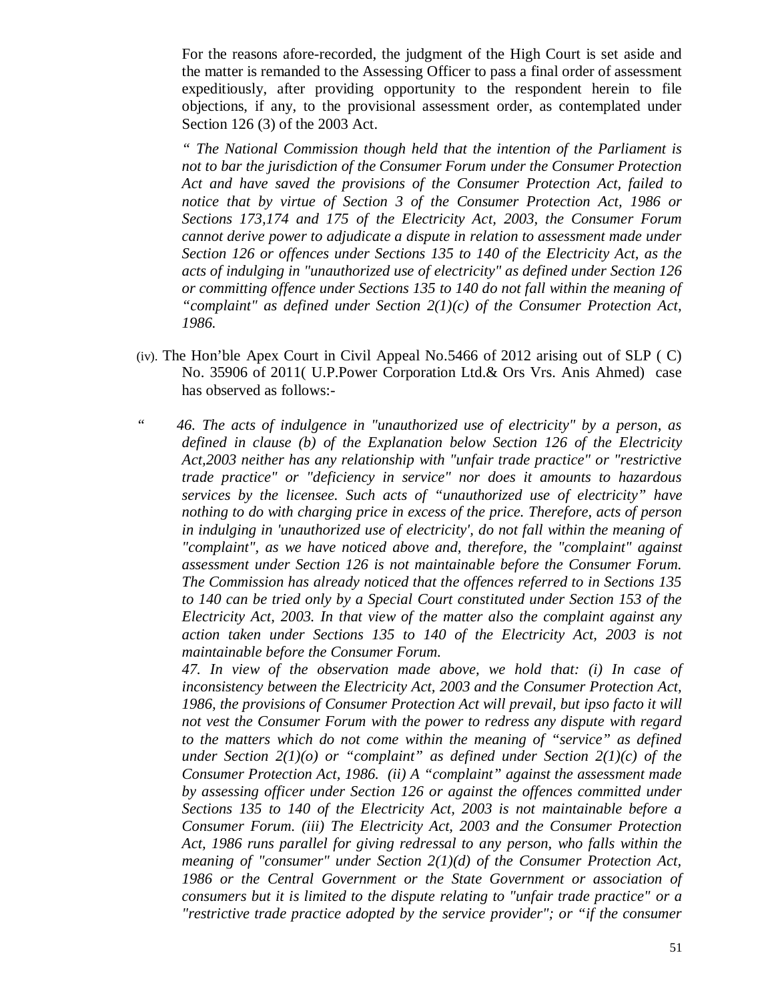For the reasons afore-recorded, the judgment of the High Court is set aside and the matter is remanded to the Assessing Officer to pass a final order of assessment expeditiously, after providing opportunity to the respondent herein to file objections, if any, to the provisional assessment order, as contemplated under Section 126 (3) of the 2003 Act.

*" The National Commission though held that the intention of the Parliament is not to bar the jurisdiction of the Consumer Forum under the Consumer Protection Act and have saved the provisions of the Consumer Protection Act, failed to notice that by virtue of Section 3 of the Consumer Protection Act, 1986 or Sections 173,174 and 175 of the Electricity Act, 2003, the Consumer Forum cannot derive power to adjudicate a dispute in relation to assessment made under Section 126 or offences under Sections 135 to 140 of the Electricity Act, as the acts of indulging in "unauthorized use of electricity" as defined under Section 126 or committing offence under Sections 135 to 140 do not fall within the meaning of "complaint" as defined under Section 2(1)(c) of the Consumer Protection Act, 1986.*

- (iv). The Hon'ble Apex Court in Civil Appeal No.5466 of 2012 arising out of SLP ( C) No. 35906 of 2011( U.P.Power Corporation Ltd.& Ors Vrs. Anis Ahmed) case has observed as follows:-
- *" 46. The acts of indulgence in "unauthorized use of electricity" by a person, as defined in clause (b) of the Explanation below Section 126 of the Electricity Act,2003 neither has any relationship with "unfair trade practice" or "restrictive trade practice" or "deficiency in service" nor does it amounts to hazardous services by the licensee. Such acts of "unauthorized use of electricity" have nothing to do with charging price in excess of the price. Therefore, acts of person in indulging in 'unauthorized use of electricity', do not fall within the meaning of "complaint", as we have noticed above and, therefore, the "complaint" against assessment under Section 126 is not maintainable before the Consumer Forum. The Commission has already noticed that the offences referred to in Sections 135 to 140 can be tried only by a Special Court constituted under Section 153 of the Electricity Act, 2003. In that view of the matter also the complaint against any action taken under Sections 135 to 140 of the Electricity Act, 2003 is not maintainable before the Consumer Forum.*

*47. In view of the observation made above, we hold that: (i) In case of inconsistency between the Electricity Act, 2003 and the Consumer Protection Act, 1986, the provisions of Consumer Protection Act will prevail, but ipso facto it will not vest the Consumer Forum with the power to redress any dispute with regard to the matters which do not come within the meaning of "service" as defined under Section 2(1)(o) or "complaint" as defined under Section 2(1)(c) of the Consumer Protection Act, 1986. (ii) A "complaint" against the assessment made by assessing officer under Section 126 or against the offences committed under Sections 135 to 140 of the Electricity Act, 2003 is not maintainable before a Consumer Forum. (iii) The Electricity Act, 2003 and the Consumer Protection Act, 1986 runs parallel for giving redressal to any person, who falls within the meaning of "consumer" under Section 2(1)(d) of the Consumer Protection Act, 1986 or the Central Government or the State Government or association of consumers but it is limited to the dispute relating to "unfair trade practice" or a "restrictive trade practice adopted by the service provider"; or "if the consumer*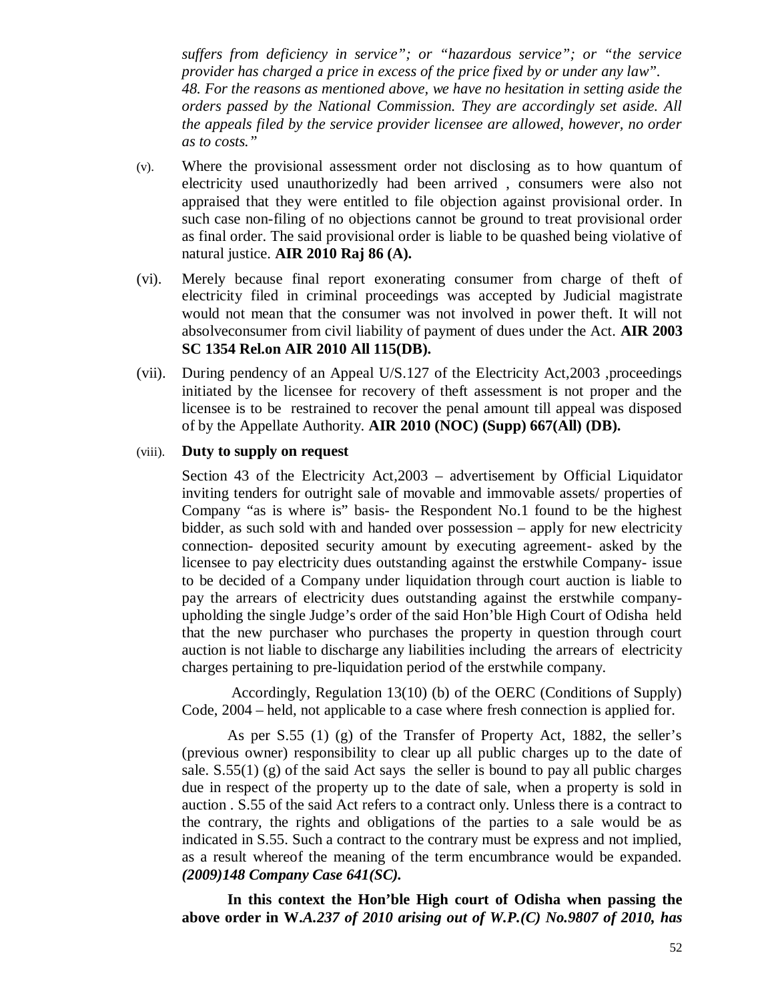*suffers from deficiency in service"; or "hazardous service"; or "the service provider has charged a price in excess of the price fixed by or under any law". 48. For the reasons as mentioned above, we have no hesitation in setting aside the orders passed by the National Commission. They are accordingly set aside. All the appeals filed by the service provider licensee are allowed, however, no order as to costs."* 

- (v). Where the provisional assessment order not disclosing as to how quantum of electricity used unauthorizedly had been arrived , consumers were also not appraised that they were entitled to file objection against provisional order. In such case non-filing of no objections cannot be ground to treat provisional order as final order. The said provisional order is liable to be quashed being violative of natural justice. **AIR 2010 Raj 86 (A).**
- (vi). Merely because final report exonerating consumer from charge of theft of electricity filed in criminal proceedings was accepted by Judicial magistrate would not mean that the consumer was not involved in power theft. It will not absolveconsumer from civil liability of payment of dues under the Act. **AIR 2003 SC 1354 Rel.on AIR 2010 All 115(DB).**
- (vii). During pendency of an Appeal U/S.127 of the Electricity Act,2003 ,proceedings initiated by the licensee for recovery of theft assessment is not proper and the licensee is to be restrained to recover the penal amount till appeal was disposed of by the Appellate Authority. **AIR 2010 (NOC) (Supp) 667(All) (DB).**

#### (viii). **Duty to supply on request**

Section 43 of the Electricity Act,2003 – advertisement by Official Liquidator inviting tenders for outright sale of movable and immovable assets/ properties of Company "as is where is" basis- the Respondent No.1 found to be the highest bidder, as such sold with and handed over possession – apply for new electricity connection- deposited security amount by executing agreement- asked by the licensee to pay electricity dues outstanding against the erstwhile Company- issue to be decided of a Company under liquidation through court auction is liable to pay the arrears of electricity dues outstanding against the erstwhile companyupholding the single Judge's order of the said Hon'ble High Court of Odisha held that the new purchaser who purchases the property in question through court auction is not liable to discharge any liabilities including the arrears of electricity charges pertaining to pre-liquidation period of the erstwhile company.

Accordingly, Regulation 13(10) (b) of the OERC (Conditions of Supply) Code, 2004 – held, not applicable to a case where fresh connection is applied for.

As per S.55 (1) (g) of the Transfer of Property Act, 1882, the seller's (previous owner) responsibility to clear up all public charges up to the date of sale.  $S.55(1)$  (g) of the said Act says the seller is bound to pay all public charges due in respect of the property up to the date of sale, when a property is sold in auction . S.55 of the said Act refers to a contract only. Unless there is a contract to the contrary, the rights and obligations of the parties to a sale would be as indicated in S.55. Such a contract to the contrary must be express and not implied, as a result whereof the meaning of the term encumbrance would be expanded. *(2009)148 Company Case 641(SC).*

**In this context the Hon'ble High court of Odisha when passing the above order in W.***A.237 of 2010 arising out of W.P.(C) No.9807 of 2010, has*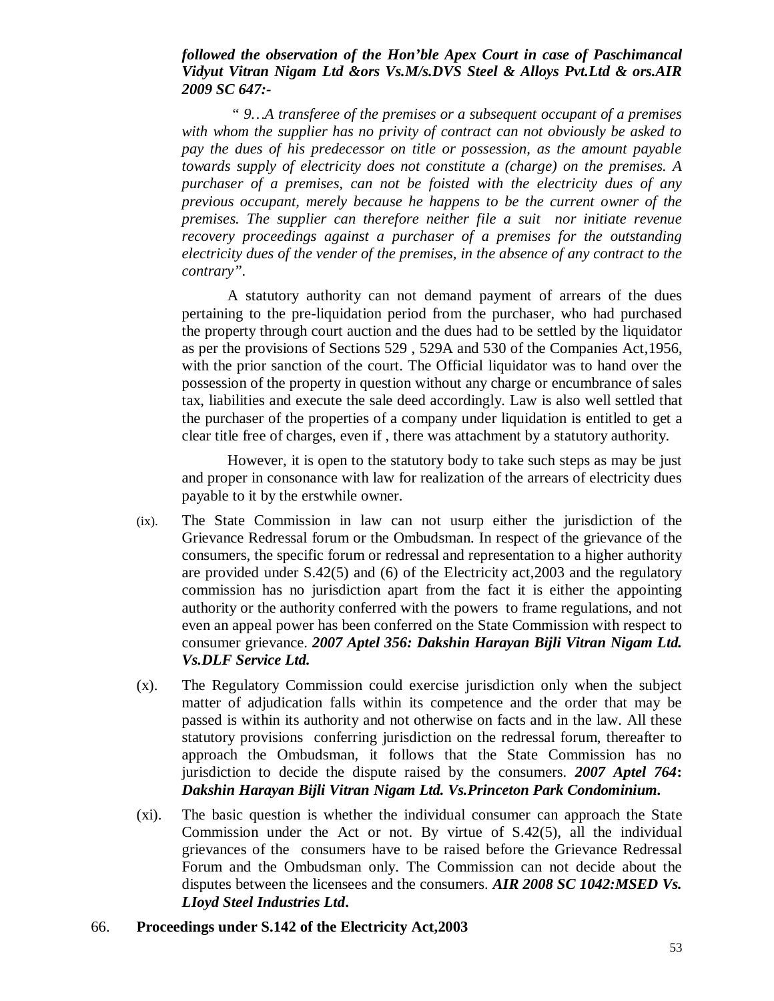#### *followed the observation of the Hon'ble Apex Court in case of Paschimancal Vidyut Vitran Nigam Ltd &ors Vs.M/s.DVS Steel & Alloys Pvt.Ltd & ors.AIR 2009 SC 647:-*

*" 9…A transferee of the premises or a subsequent occupant of a premises with whom the supplier has no privity of contract can not obviously be asked to pay the dues of his predecessor on title or possession, as the amount payable towards supply of electricity does not constitute a (charge) on the premises. A purchaser of a premises, can not be foisted with the electricity dues of any previous occupant, merely because he happens to be the current owner of the premises. The supplier can therefore neither file a suit nor initiate revenue recovery proceedings against a purchaser of a premises for the outstanding electricity dues of the vender of the premises, in the absence of any contract to the contrary".*

A statutory authority can not demand payment of arrears of the dues pertaining to the pre-liquidation period from the purchaser, who had purchased the property through court auction and the dues had to be settled by the liquidator as per the provisions of Sections 529 , 529A and 530 of the Companies Act,1956, with the prior sanction of the court. The Official liquidator was to hand over the possession of the property in question without any charge or encumbrance of sales tax, liabilities and execute the sale deed accordingly. Law is also well settled that the purchaser of the properties of a company under liquidation is entitled to get a clear title free of charges, even if , there was attachment by a statutory authority.

However, it is open to the statutory body to take such steps as may be just and proper in consonance with law for realization of the arrears of electricity dues payable to it by the erstwhile owner.

- (ix). The State Commission in law can not usurp either the jurisdiction of the Grievance Redressal forum or the Ombudsman. In respect of the grievance of the consumers, the specific forum or redressal and representation to a higher authority are provided under S.42(5) and (6) of the Electricity act,2003 and the regulatory commission has no jurisdiction apart from the fact it is either the appointing authority or the authority conferred with the powers to frame regulations, and not even an appeal power has been conferred on the State Commission with respect to consumer grievance. *2007 Aptel 356: Dakshin Harayan Bijli Vitran Nigam Ltd. Vs.DLF Service Ltd.*
- (x). The Regulatory Commission could exercise jurisdiction only when the subject matter of adjudication falls within its competence and the order that may be passed is within its authority and not otherwise on facts and in the law. All these statutory provisions conferring jurisdiction on the redressal forum, thereafter to approach the Ombudsman, it follows that the State Commission has no jurisdiction to decide the dispute raised by the consumers. *2007 Aptel 764***:** *Dakshin Harayan Bijli Vitran Nigam Ltd. Vs.Princeton Park Condominium.*
- (xi). The basic question is whether the individual consumer can approach the State Commission under the Act or not. By virtue of S.42(5), all the individual grievances of the consumers have to be raised before the Grievance Redressal Forum and the Ombudsman only. The Commission can not decide about the disputes between the licensees and the consumers. *AIR 2008 SC 1042:MSED Vs. LIoyd Steel Industries Ltd***.**
- 66. **Proceedings under S.142 of the Electricity Act,2003**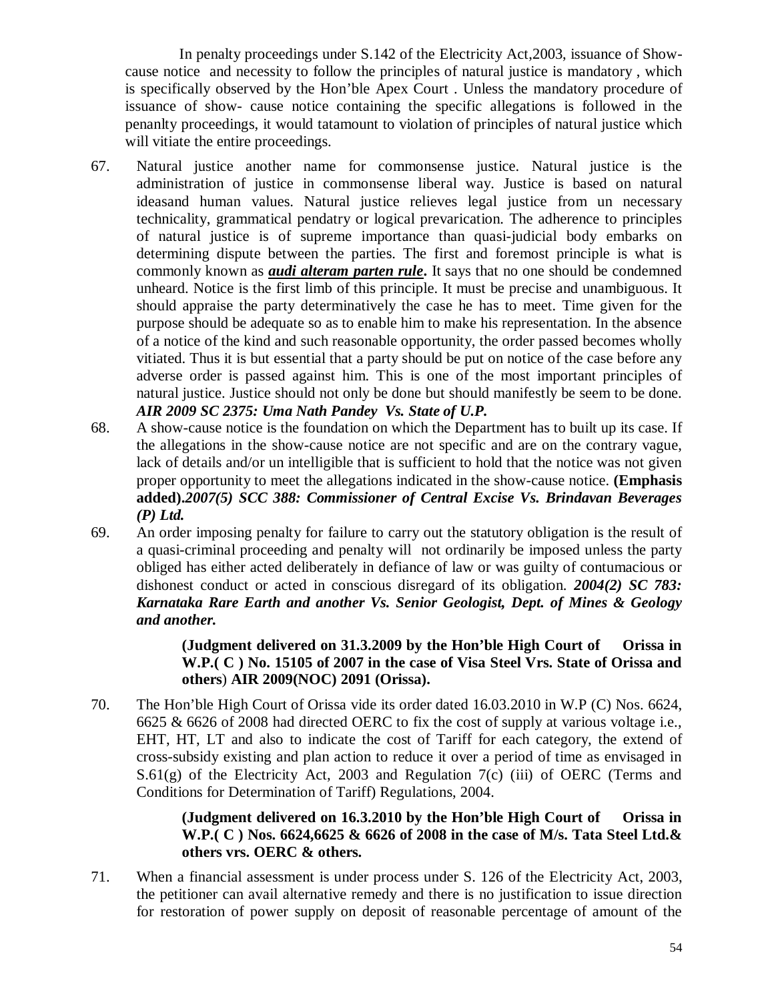In penalty proceedings under S.142 of the Electricity Act,2003, issuance of Showcause notice and necessity to follow the principles of natural justice is mandatory , which is specifically observed by the Hon'ble Apex Court . Unless the mandatory procedure of issuance of show- cause notice containing the specific allegations is followed in the penanlty proceedings, it would tatamount to violation of principles of natural justice which will vitiate the entire proceedings.

- 67. Natural justice another name for commonsense justice. Natural justice is the administration of justice in commonsense liberal way. Justice is based on natural ideasand human values. Natural justice relieves legal justice from un necessary technicality, grammatical pendatry or logical prevarication. The adherence to principles of natural justice is of supreme importance than quasi-judicial body embarks on determining dispute between the parties. The first and foremost principle is what is commonly known as *audi alteram parten rule***.** It says that no one should be condemned unheard. Notice is the first limb of this principle. It must be precise and unambiguous. It should appraise the party determinatively the case he has to meet. Time given for the purpose should be adequate so as to enable him to make his representation. In the absence of a notice of the kind and such reasonable opportunity, the order passed becomes wholly vitiated. Thus it is but essential that a party should be put on notice of the case before any adverse order is passed against him. This is one of the most important principles of natural justice. Justice should not only be done but should manifestly be seem to be done. *AIR 2009 SC 2375: Uma Nath Pandey Vs. State of U.P.*
- 68. A show-cause notice is the foundation on which the Department has to built up its case. If the allegations in the show-cause notice are not specific and are on the contrary vague, lack of details and/or un intelligible that is sufficient to hold that the notice was not given proper opportunity to meet the allegations indicated in the show-cause notice. **(Emphasis added).***2007(5) SCC 388: Commissioner of Central Excise Vs. Brindavan Beverages (P) Ltd.*
- 69. An order imposing penalty for failure to carry out the statutory obligation is the result of a quasi-criminal proceeding and penalty will not ordinarily be imposed unless the party obliged has either acted deliberately in defiance of law or was guilty of contumacious or dishonest conduct or acted in conscious disregard of its obligation. *2004(2) SC 783: Karnataka Rare Earth and another Vs. Senior Geologist, Dept. of Mines & Geology and another.*

## **(Judgment delivered on 31.3.2009 by the Hon'ble High Court of Orissa in W.P.( C ) No. 15105 of 2007 in the case of Visa Steel Vrs. State of Orissa and others**) **AIR 2009(NOC) 2091 (Orissa).**

70. The Hon'ble High Court of Orissa vide its order dated 16.03.2010 in W.P (C) Nos. 6624, 6625 & 6626 of 2008 had directed OERC to fix the cost of supply at various voltage i.e., EHT, HT, LT and also to indicate the cost of Tariff for each category, the extend of cross-subsidy existing and plan action to reduce it over a period of time as envisaged in  $S.61(g)$  of the Electricity Act, 2003 and Regulation 7(c) (iii) of OERC (Terms and Conditions for Determination of Tariff) Regulations, 2004.

## **(Judgment delivered on 16.3.2010 by the Hon'ble High Court of Orissa in W.P.( C ) Nos. 6624,6625 & 6626 of 2008 in the case of M/s. Tata Steel Ltd.& others vrs. OERC & others.**

71. When a financial assessment is under process under S. 126 of the Electricity Act, 2003, the petitioner can avail alternative remedy and there is no justification to issue direction for restoration of power supply on deposit of reasonable percentage of amount of the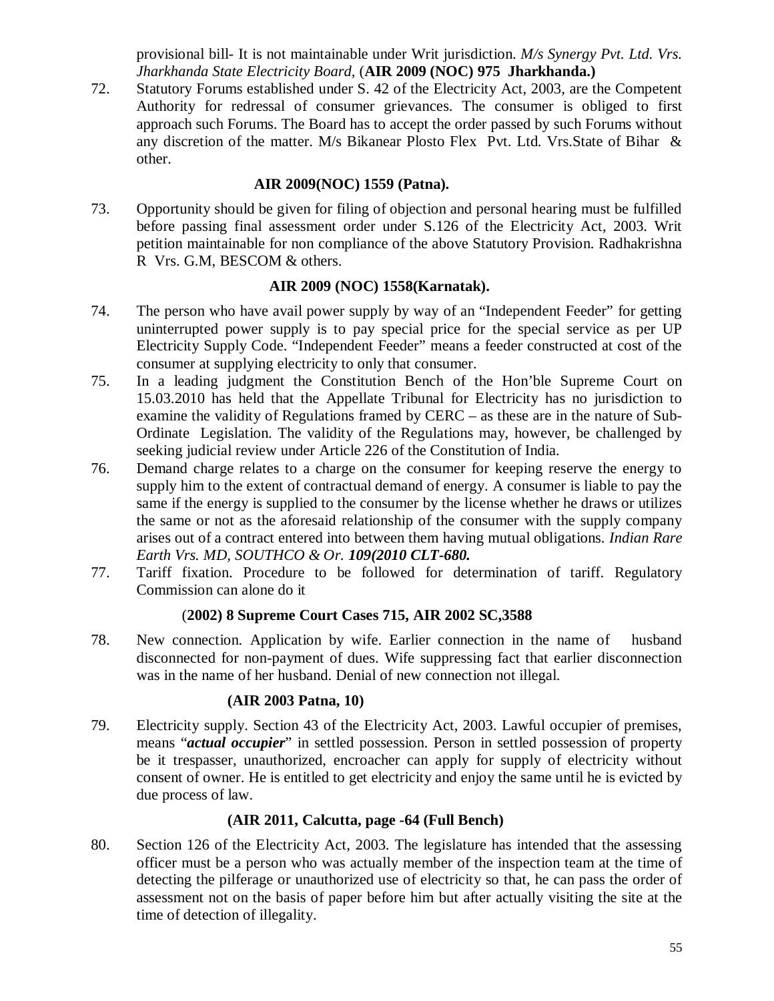provisional bill- It is not maintainable under Writ jurisdiction. *M/s Synergy Pvt. Ltd. Vrs. Jharkhanda State Electricity Board,* (**AIR 2009 (NOC) 975 Jharkhanda.)**

72. Statutory Forums established under S. 42 of the Electricity Act, 2003, are the Competent Authority for redressal of consumer grievances. The consumer is obliged to first approach such Forums. The Board has to accept the order passed by such Forums without any discretion of the matter. M/s Bikanear Plosto Flex Pvt. Ltd. Vrs.State of Bihar & other.

## **AIR 2009(NOC) 1559 (Patna).**

73. Opportunity should be given for filing of objection and personal hearing must be fulfilled before passing final assessment order under S.126 of the Electricity Act, 2003. Writ petition maintainable for non compliance of the above Statutory Provision. Radhakrishna R Vrs. G.M, BESCOM & others.

## **AIR 2009 (NOC) 1558(Karnatak).**

- 74. The person who have avail power supply by way of an "Independent Feeder" for getting uninterrupted power supply is to pay special price for the special service as per UP Electricity Supply Code. "Independent Feeder" means a feeder constructed at cost of the consumer at supplying electricity to only that consumer.
- 75. In a leading judgment the Constitution Bench of the Hon'ble Supreme Court on 15.03.2010 has held that the Appellate Tribunal for Electricity has no jurisdiction to examine the validity of Regulations framed by CERC – as these are in the nature of Sub-Ordinate Legislation. The validity of the Regulations may, however, be challenged by seeking judicial review under Article 226 of the Constitution of India.
- 76. Demand charge relates to a charge on the consumer for keeping reserve the energy to supply him to the extent of contractual demand of energy. A consumer is liable to pay the same if the energy is supplied to the consumer by the license whether he draws or utilizes the same or not as the aforesaid relationship of the consumer with the supply company arises out of a contract entered into between them having mutual obligations. *Indian Rare Earth Vrs. MD, SOUTHCO & Or. 109(2010 CLT-680.*
- 77. Tariff fixation. Procedure to be followed for determination of tariff. Regulatory Commission can alone do it

## (**2002) 8 Supreme Court Cases 715, AIR 2002 SC,3588**

78. New connection. Application by wife. Earlier connection in the name of husband disconnected for non-payment of dues. Wife suppressing fact that earlier disconnection was in the name of her husband. Denial of new connection not illegal.

## **(AIR 2003 Patna, 10)**

79. Electricity supply. Section 43 of the Electricity Act, 2003. Lawful occupier of premises, means "*actual occupier*" in settled possession. Person in settled possession of property be it trespasser, unauthorized, encroacher can apply for supply of electricity without consent of owner. He is entitled to get electricity and enjoy the same until he is evicted by due process of law.

## **(AIR 2011, Calcutta, page -64 (Full Bench)**

80. Section 126 of the Electricity Act, 2003. The legislature has intended that the assessing officer must be a person who was actually member of the inspection team at the time of detecting the pilferage or unauthorized use of electricity so that, he can pass the order of assessment not on the basis of paper before him but after actually visiting the site at the time of detection of illegality.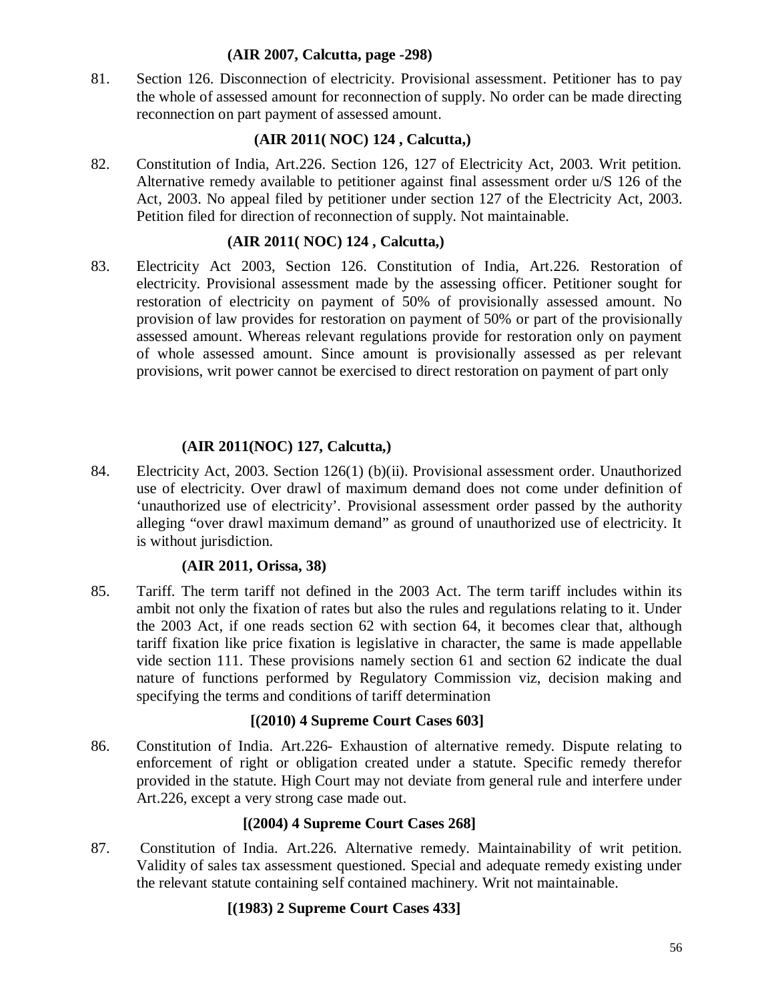#### **(AIR 2007, Calcutta, page -298)**

81. Section 126. Disconnection of electricity. Provisional assessment. Petitioner has to pay the whole of assessed amount for reconnection of supply. No order can be made directing reconnection on part payment of assessed amount.

## **(AIR 2011( NOC) 124 , Calcutta,)**

82. Constitution of India, Art.226. Section 126, 127 of Electricity Act, 2003. Writ petition. Alternative remedy available to petitioner against final assessment order u/S 126 of the Act, 2003. No appeal filed by petitioner under section 127 of the Electricity Act, 2003. Petition filed for direction of reconnection of supply. Not maintainable.

## **(AIR 2011( NOC) 124 , Calcutta,)**

83. Electricity Act 2003, Section 126. Constitution of India, Art.226. Restoration of electricity. Provisional assessment made by the assessing officer. Petitioner sought for restoration of electricity on payment of 50% of provisionally assessed amount. No provision of law provides for restoration on payment of 50% or part of the provisionally assessed amount. Whereas relevant regulations provide for restoration only on payment of whole assessed amount. Since amount is provisionally assessed as per relevant provisions, writ power cannot be exercised to direct restoration on payment of part only

#### **(AIR 2011(NOC) 127, Calcutta,)**

84. Electricity Act, 2003. Section 126(1) (b)(ii). Provisional assessment order. Unauthorized use of electricity. Over drawl of maximum demand does not come under definition of 'unauthorized use of electricity'. Provisional assessment order passed by the authority alleging "over drawl maximum demand" as ground of unauthorized use of electricity. It is without jurisdiction.

#### **(AIR 2011, Orissa, 38)**

85. Tariff. The term tariff not defined in the 2003 Act. The term tariff includes within its ambit not only the fixation of rates but also the rules and regulations relating to it. Under the 2003 Act, if one reads section 62 with section 64, it becomes clear that, although tariff fixation like price fixation is legislative in character, the same is made appellable vide section 111. These provisions namely section 61 and section 62 indicate the dual nature of functions performed by Regulatory Commission viz, decision making and specifying the terms and conditions of tariff determination

#### **[(2010) 4 Supreme Court Cases 603]**

86. Constitution of India. Art.226- Exhaustion of alternative remedy. Dispute relating to enforcement of right or obligation created under a statute. Specific remedy therefor provided in the statute. High Court may not deviate from general rule and interfere under Art.226, except a very strong case made out.

#### **[(2004) 4 Supreme Court Cases 268]**

87. Constitution of India. Art.226. Alternative remedy. Maintainability of writ petition. Validity of sales tax assessment questioned. Special and adequate remedy existing under the relevant statute containing self contained machinery. Writ not maintainable.

## **[(1983) 2 Supreme Court Cases 433]**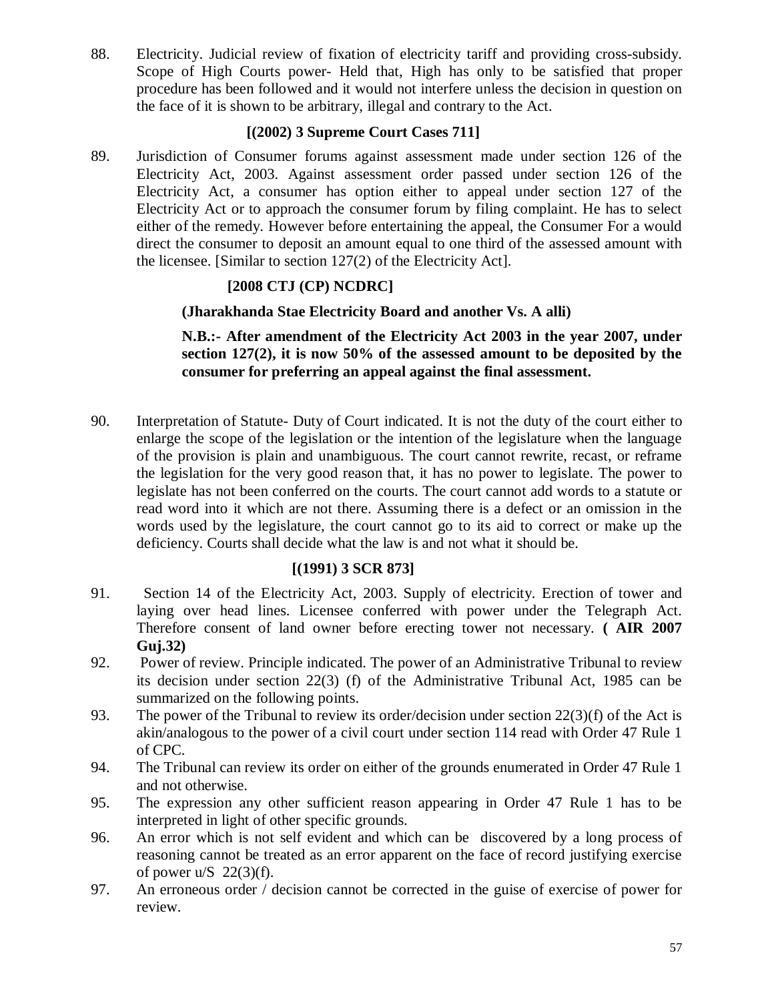88. Electricity. Judicial review of fixation of electricity tariff and providing cross-subsidy. Scope of High Courts power- Held that, High has only to be satisfied that proper procedure has been followed and it would not interfere unless the decision in question on the face of it is shown to be arbitrary, illegal and contrary to the Act.

## **[(2002) 3 Supreme Court Cases 711]**

89. Jurisdiction of Consumer forums against assessment made under section 126 of the Electricity Act, 2003. Against assessment order passed under section 126 of the Electricity Act, a consumer has option either to appeal under section 127 of the Electricity Act or to approach the consumer forum by filing complaint. He has to select either of the remedy. However before entertaining the appeal, the Consumer For a would direct the consumer to deposit an amount equal to one third of the assessed amount with the licensee. [Similar to section 127(2) of the Electricity Act].

## **[2008 CTJ (CP) NCDRC]**

## **(Jharakhanda Stae Electricity Board and another Vs. A alli)**

**N.B.:- After amendment of the Electricity Act 2003 in the year 2007, under section 127(2), it is now 50% of the assessed amount to be deposited by the consumer for preferring an appeal against the final assessment.**

90. Interpretation of Statute- Duty of Court indicated. It is not the duty of the court either to enlarge the scope of the legislation or the intention of the legislature when the language of the provision is plain and unambiguous. The court cannot rewrite, recast, or reframe the legislation for the very good reason that, it has no power to legislate. The power to legislate has not been conferred on the courts. The court cannot add words to a statute or read word into it which are not there. Assuming there is a defect or an omission in the words used by the legislature, the court cannot go to its aid to correct or make up the deficiency. Courts shall decide what the law is and not what it should be.

## **[(1991) 3 SCR 873]**

- 91. Section 14 of the Electricity Act, 2003. Supply of electricity. Erection of tower and laying over head lines. Licensee conferred with power under the Telegraph Act. Therefore consent of land owner before erecting tower not necessary. **( AIR 2007 Guj.32)**
- 92. Power of review. Principle indicated. The power of an Administrative Tribunal to review its decision under section 22(3) (f) of the Administrative Tribunal Act, 1985 can be summarized on the following points.
- 93. The power of the Tribunal to review its order/decision under section 22(3)(f) of the Act is akin/analogous to the power of a civil court under section 114 read with Order 47 Rule 1 of CPC.
- 94. The Tribunal can review its order on either of the grounds enumerated in Order 47 Rule 1 and not otherwise.
- 95. The expression any other sufficient reason appearing in Order 47 Rule 1 has to be interpreted in light of other specific grounds.
- 96. An error which is not self evident and which can be discovered by a long process of reasoning cannot be treated as an error apparent on the face of record justifying exercise of power  $u/S$  22(3)(f).
- 97. An erroneous order / decision cannot be corrected in the guise of exercise of power for review.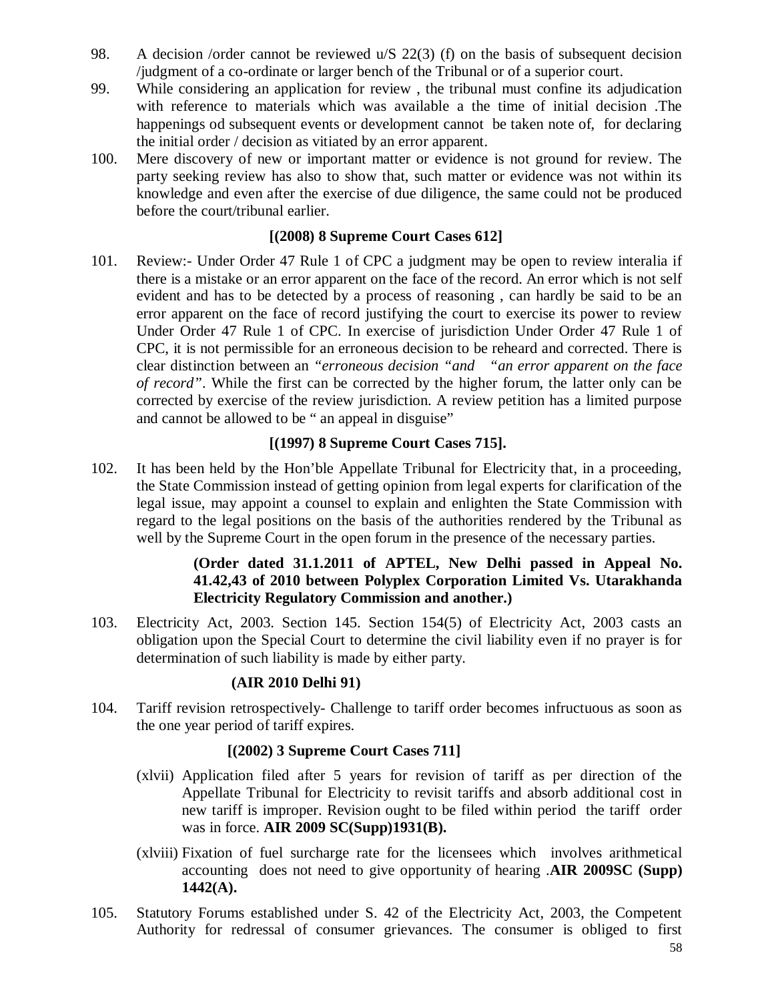- 98. A decision /order cannot be reviewed u/S 22(3) (f) on the basis of subsequent decision /judgment of a co-ordinate or larger bench of the Tribunal or of a superior court.
- 99. While considering an application for review , the tribunal must confine its adjudication with reference to materials which was available a the time of initial decision .The happenings od subsequent events or development cannot be taken note of, for declaring the initial order / decision as vitiated by an error apparent.
- 100. Mere discovery of new or important matter or evidence is not ground for review. The party seeking review has also to show that, such matter or evidence was not within its knowledge and even after the exercise of due diligence, the same could not be produced before the court/tribunal earlier.

## **[(2008) 8 Supreme Court Cases 612]**

101. Review:- Under Order 47 Rule 1 of CPC a judgment may be open to review interalia if there is a mistake or an error apparent on the face of the record. An error which is not self evident and has to be detected by a process of reasoning , can hardly be said to be an error apparent on the face of record justifying the court to exercise its power to review Under Order 47 Rule 1 of CPC. In exercise of jurisdiction Under Order 47 Rule 1 of CPC, it is not permissible for an erroneous decision to be reheard and corrected. There is clear distinction between an *"erroneous decision "and "an error apparent on the face of record"*. While the first can be corrected by the higher forum, the latter only can be corrected by exercise of the review jurisdiction. A review petition has a limited purpose and cannot be allowed to be " an appeal in disguise"

#### **[(1997) 8 Supreme Court Cases 715].**

102. It has been held by the Hon'ble Appellate Tribunal for Electricity that, in a proceeding, the State Commission instead of getting opinion from legal experts for clarification of the legal issue, may appoint a counsel to explain and enlighten the State Commission with regard to the legal positions on the basis of the authorities rendered by the Tribunal as well by the Supreme Court in the open forum in the presence of the necessary parties.

## **(Order dated 31.1.2011 of APTEL, New Delhi passed in Appeal No. 41.42,43 of 2010 between Polyplex Corporation Limited Vs. Utarakhanda Electricity Regulatory Commission and another.)**

103. Electricity Act, 2003. Section 145. Section 154(5) of Electricity Act, 2003 casts an obligation upon the Special Court to determine the civil liability even if no prayer is for determination of such liability is made by either party.

## **(AIR 2010 Delhi 91)**

104. Tariff revision retrospectively- Challenge to tariff order becomes infructuous as soon as the one year period of tariff expires.

#### **[(2002) 3 Supreme Court Cases 711]**

- (xlvii) Application filed after 5 years for revision of tariff as per direction of the Appellate Tribunal for Electricity to revisit tariffs and absorb additional cost in new tariff is improper. Revision ought to be filed within period the tariff order was in force. **AIR 2009 SC(Supp)1931(B).**
- (xlviii) Fixation of fuel surcharge rate for the licensees which involves arithmetical accounting does not need to give opportunity of hearing .**AIR 2009SC (Supp) 1442(A).**
- 105. Statutory Forums established under S. 42 of the Electricity Act, 2003, the Competent Authority for redressal of consumer grievances. The consumer is obliged to first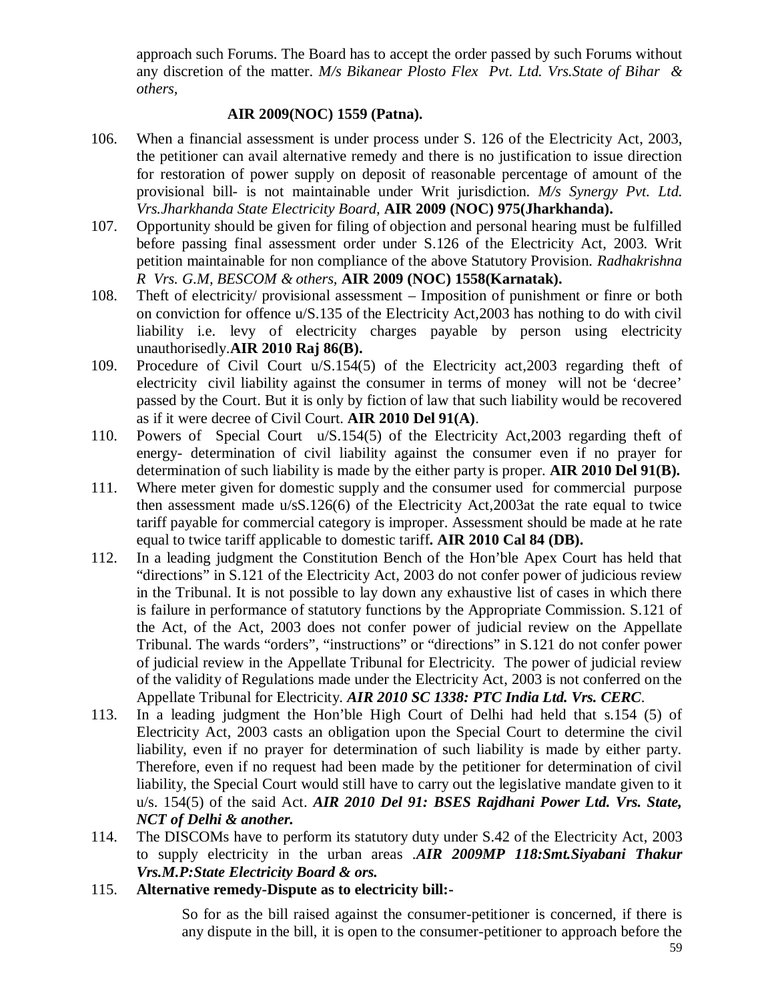approach such Forums. The Board has to accept the order passed by such Forums without any discretion of the matter. *M/s Bikanear Plosto Flex Pvt. Ltd. Vrs.State of Bihar & others,*

#### **AIR 2009(NOC) 1559 (Patna).**

- 106. When a financial assessment is under process under S. 126 of the Electricity Act, 2003, the petitioner can avail alternative remedy and there is no justification to issue direction for restoration of power supply on deposit of reasonable percentage of amount of the provisional bill- is not maintainable under Writ jurisdiction. *M/s Synergy Pvt. Ltd. Vrs.Jharkhanda State Electricity Board,* **AIR 2009 (NOC) 975(Jharkhanda).**
- 107. Opportunity should be given for filing of objection and personal hearing must be fulfilled before passing final assessment order under S.126 of the Electricity Act, 2003. Writ petition maintainable for non compliance of the above Statutory Provision. *Radhakrishna R Vrs. G.M, BESCOM & others,* **AIR 2009 (NOC) 1558(Karnatak).**
- 108. Theft of electricity/ provisional assessment Imposition of punishment or finre or both on conviction for offence u/S.135 of the Electricity Act,2003 has nothing to do with civil liability i.e. levy of electricity charges payable by person using electricity unauthorisedly.**AIR 2010 Raj 86(B).**
- 109. Procedure of Civil Court u/S.154(5) of the Electricity act,2003 regarding theft of electricity civil liability against the consumer in terms of money will not be 'decree' passed by the Court. But it is only by fiction of law that such liability would be recovered as if it were decree of Civil Court. **AIR 2010 Del 91(A)**.
- 110. Powers of Special Court u/S.154(5) of the Electricity Act,2003 regarding theft of energy- determination of civil liability against the consumer even if no prayer for determination of such liability is made by the either party is proper. **AIR 2010 Del 91(B).**
- 111. Where meter given for domestic supply and the consumer used for commercial purpose then assessment made u/sS.126(6) of the Electricity Act,2003at the rate equal to twice tariff payable for commercial category is improper. Assessment should be made at he rate equal to twice tariff applicable to domestic tariff**. AIR 2010 Cal 84 (DB).**
- 112. In a leading judgment the Constitution Bench of the Hon'ble Apex Court has held that "directions" in S.121 of the Electricity Act, 2003 do not confer power of judicious review in the Tribunal. It is not possible to lay down any exhaustive list of cases in which there is failure in performance of statutory functions by the Appropriate Commission. S.121 of the Act, of the Act, 2003 does not confer power of judicial review on the Appellate Tribunal. The wards "orders", "instructions" or "directions" in S.121 do not confer power of judicial review in the Appellate Tribunal for Electricity. The power of judicial review of the validity of Regulations made under the Electricity Act, 2003 is not conferred on the Appellate Tribunal for Electricity. *AIR 2010 SC 1338: PTC India Ltd. Vrs. CERC*.
- 113. In a leading judgment the Hon'ble High Court of Delhi had held that s.154 (5) of Electricity Act, 2003 casts an obligation upon the Special Court to determine the civil liability, even if no prayer for determination of such liability is made by either party. Therefore, even if no request had been made by the petitioner for determination of civil liability, the Special Court would still have to carry out the legislative mandate given to it u/s. 154(5) of the said Act. *AIR 2010 Del 91: BSES Rajdhani Power Ltd. Vrs. State, NCT of Delhi & another.*
- 114. The DISCOMs have to perform its statutory duty under S.42 of the Electricity Act, 2003 to supply electricity in the urban areas .*AIR 2009MP 118:Smt.Siyabani Thakur Vrs.M.P:State Electricity Board & ors.*
- 115. **Alternative remedy-Dispute as to electricity bill:-**

So for as the bill raised against the consumer-petitioner is concerned, if there is any dispute in the bill, it is open to the consumer-petitioner to approach before the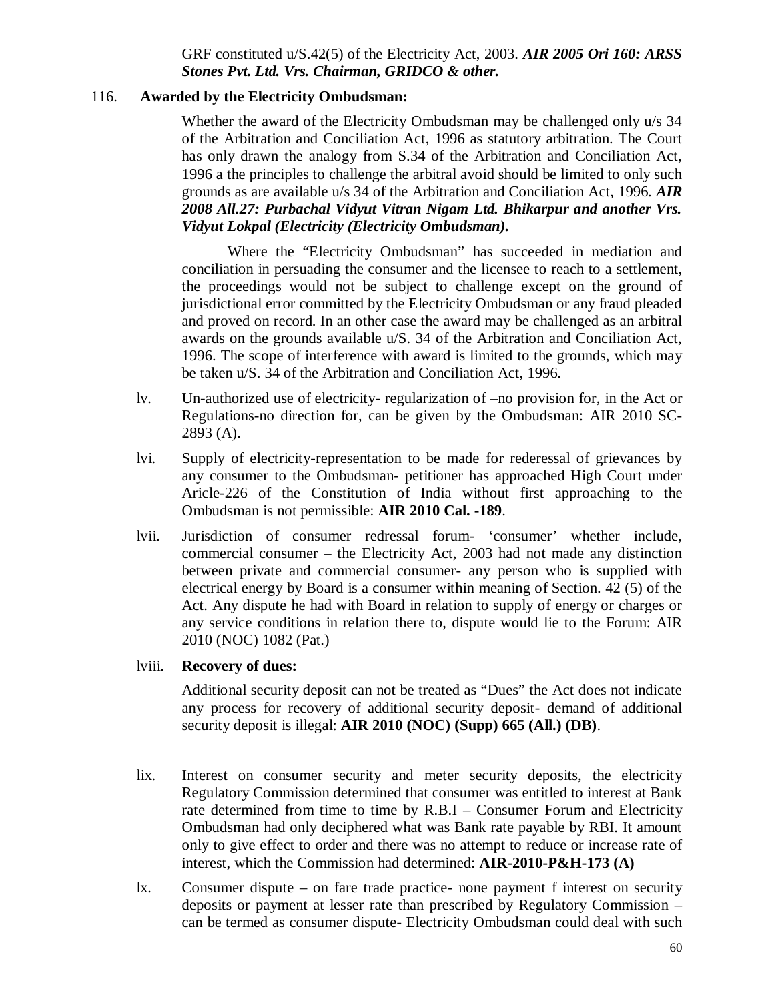GRF constituted u/S.42(5) of the Electricity Act, 2003. *AIR 2005 Ori 160: ARSS Stones Pvt. Ltd. Vrs. Chairman, GRIDCO & other.*

#### 116. **Awarded by the Electricity Ombudsman:**

Whether the award of the Electricity Ombudsman may be challenged only  $u/s$  34 of the Arbitration and Conciliation Act, 1996 as statutory arbitration. The Court has only drawn the analogy from S.34 of the Arbitration and Conciliation Act, 1996 a the principles to challenge the arbitral avoid should be limited to only such grounds as are available u/s 34 of the Arbitration and Conciliation Act, 1996. *AIR 2008 All.27: Purbachal Vidyut Vitran Nigam Ltd. Bhikarpur and another Vrs. Vidyut Lokpal (Electricity (Electricity Ombudsman).*

Where the "Electricity Ombudsman" has succeeded in mediation and conciliation in persuading the consumer and the licensee to reach to a settlement, the proceedings would not be subject to challenge except on the ground of jurisdictional error committed by the Electricity Ombudsman or any fraud pleaded and proved on record. In an other case the award may be challenged as an arbitral awards on the grounds available u/S. 34 of the Arbitration and Conciliation Act, 1996. The scope of interference with award is limited to the grounds, which may be taken u/S. 34 of the Arbitration and Conciliation Act, 1996.

- lv. Un-authorized use of electricity- regularization of –no provision for, in the Act or Regulations-no direction for, can be given by the Ombudsman: AIR 2010 SC-2893 (A).
- lvi. Supply of electricity-representation to be made for rederessal of grievances by any consumer to the Ombudsman- petitioner has approached High Court under Aricle-226 of the Constitution of India without first approaching to the Ombudsman is not permissible: **AIR 2010 Cal. -189**.
- lvii. Jurisdiction of consumer redressal forum- 'consumer' whether include, commercial consumer – the Electricity Act, 2003 had not made any distinction between private and commercial consumer- any person who is supplied with electrical energy by Board is a consumer within meaning of Section. 42 (5) of the Act. Any dispute he had with Board in relation to supply of energy or charges or any service conditions in relation there to, dispute would lie to the Forum: AIR 2010 (NOC) 1082 (Pat.)

#### lviii. **Recovery of dues:**

Additional security deposit can not be treated as "Dues" the Act does not indicate any process for recovery of additional security deposit- demand of additional security deposit is illegal: **AIR 2010 (NOC) (Supp) 665 (All.) (DB)**.

- lix. Interest on consumer security and meter security deposits, the electricity Regulatory Commission determined that consumer was entitled to interest at Bank rate determined from time to time by R.B.I – Consumer Forum and Electricity Ombudsman had only deciphered what was Bank rate payable by RBI. It amount only to give effect to order and there was no attempt to reduce or increase rate of interest, which the Commission had determined: **AIR-2010-P&H-173 (A)**
- lx. Consumer dispute on fare trade practice- none payment f interest on security deposits or payment at lesser rate than prescribed by Regulatory Commission – can be termed as consumer dispute- Electricity Ombudsman could deal with such